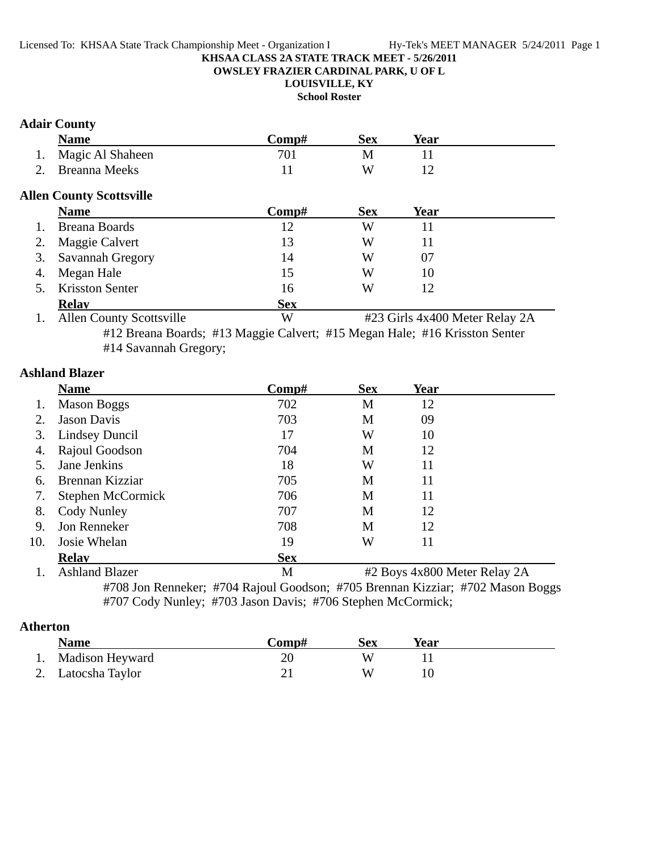#### **KHSAA CLASS 2A STATE TRACK MEET - 5/26/2011 OWSLEY FRAZIER CARDINAL PARK, U OF L**

**LOUISVILLE, KY**

**School Roster**

### **Adair County**

|    | Name             | `omn# | Sex | Year |  |
|----|------------------|-------|-----|------|--|
| 1. | Magic Al Shaheen |       |     |      |  |
|    | 2. Breanna Meeks |       | W   |      |  |

## **Allen County Scottsville**

|    | <b>Name</b>            | Comp#      | <b>Sex</b> | Year |
|----|------------------------|------------|------------|------|
|    | <b>Breana Boards</b>   | 12         | W          |      |
|    | 2. Maggie Calvert      | 13         | W          |      |
|    | 3. Savannah Gregory    | 14         | W          | 07   |
| 4. | Megan Hale             | 15         | W          | 10   |
|    | <b>Krisston Senter</b> | 16         | W          |      |
|    | <b>Relay</b>           | <b>Sex</b> |            |      |

1. Allen County Scottsville W #23 Girls 4x400 Meter Relay 2A #12 Breana Boards; #13 Maggie Calvert; #15 Megan Hale; #16 Krisston Senter #14 Savannah Gregory;

### **Ashland Blazer**

|        | <b>Name</b>             | Comp#        | <b>Sex</b>   | Year       |               |
|--------|-------------------------|--------------|--------------|------------|---------------|
| 1.     | <b>Mason Boggs</b>      | 702          | M            | 12         |               |
| 2.     | <b>Jason Davis</b>      | 703          | M            | 09         |               |
| 3.     | <b>Lindsey Duncil</b>   | 17           | W            | 10         |               |
| 4.     | Rajoul Goodson          | 704          | M            | 12         |               |
| 5.     | Jane Jenkins            | 18           | W            | 11         |               |
| 6.     | Brennan Kizziar         | 705          | M            | 11         |               |
| 7.     | Stephen McCormick       | 706          | M            | 11         |               |
| 8.     | Cody Nunley             | 707          | M            | 12         |               |
| 9.     | Jon Renneker            | 708          | M            | 12         |               |
| 10.    | Josie Whelan            | 19           | W            | 11         |               |
|        | <b>Relav</b>            | <b>Sex</b>   |              |            |               |
| $\sim$ | $\sqrt{11}$ $\sqrt{11}$ | $\mathbf{r}$ | $\mathbf{a}$ | $\sqrt{2}$ | $\sim$ $\sim$ |

1. Ashland Blazer M #2 Boys 4x800 Meter Relay 2A #708 Jon Renneker; #704 Rajoul Goodson; #705 Brennan Kizziar; #702 Mason Boggs #707 Cody Nunley; #703 Jason Davis; #706 Stephen McCormick;

## **Atherton**

| <b>Name</b>        | Comp# | Sex | Year |  |
|--------------------|-------|-----|------|--|
| 1. Madison Heyward |       |     |      |  |
| 2. Latocsha Taylor |       | W   |      |  |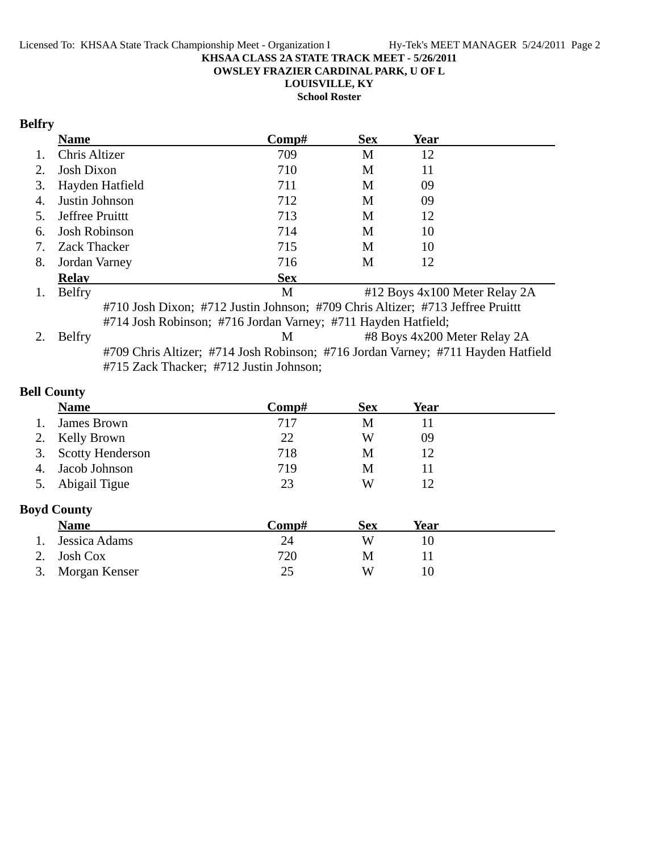**OWSLEY FRAZIER CARDINAL PARK, U OF L**

**LOUISVILLE, KY**

**School Roster**

## **Belfry**

|    | <b>Name</b>         | Comp#      | <b>Sex</b> | Year                          |  |
|----|---------------------|------------|------------|-------------------------------|--|
| 1. | Chris Altizer       | 709        | M          | 12                            |  |
| 2. | <b>Josh Dixon</b>   | 710        | M          | 11                            |  |
|    | 3. Hayden Hatfield  | 711        | M          | 09                            |  |
| 4. | Justin Johnson      | 712        | M          | 09                            |  |
|    | 5. Jeffree Pruittt  | 713        | M          | 12                            |  |
|    | 6. Josh Robinson    | 714        | M          | 10                            |  |
| 7. | <b>Zack Thacker</b> | 715        | M          | 10                            |  |
| 8. | Jordan Varney       | 716        | M          | 12                            |  |
|    | <b>Relay</b>        | <b>Sex</b> |            |                               |  |
| 1. | <b>Belfry</b>       | M          |            | #12 Boys 4x100 Meter Relay 2A |  |

#710 Josh Dixon; #712 Justin Johnson; #709 Chris Altizer; #713 Jeffree Pruittt #714 Josh Robinson; #716 Jordan Varney; #711 Hayden Hatfield;

2. Belfry M #8 Boys 4x200 Meter Relay 2A #709 Chris Altizer; #714 Josh Robinson; #716 Jordan Varney; #711 Hayden Hatfield #715 Zack Thacker; #712 Justin Johnson;

### **Bell County**

|    | <b>Name</b>         | $\bf Comp\#$ | <b>Sex</b> | Year |  |
|----|---------------------|--------------|------------|------|--|
|    | James Brown         | 717          | M          |      |  |
|    | 2. Kelly Brown      | 22           | W          | 09   |  |
|    | 3. Scotty Henderson | 718          | M          |      |  |
| 4. | Jacob Johnson       | 719          | M          |      |  |
| 5. | Abigail Tigue       | 23           | W          |      |  |

### **Boyd County**

| <b>Name</b>      | Comp# | Sex | Year |
|------------------|-------|-----|------|
| 1. Jessica Adams | 24    | W   |      |
| 2. Josh Cox      | 720   | M   |      |
| 3. Morgan Kenser | 25    | w   |      |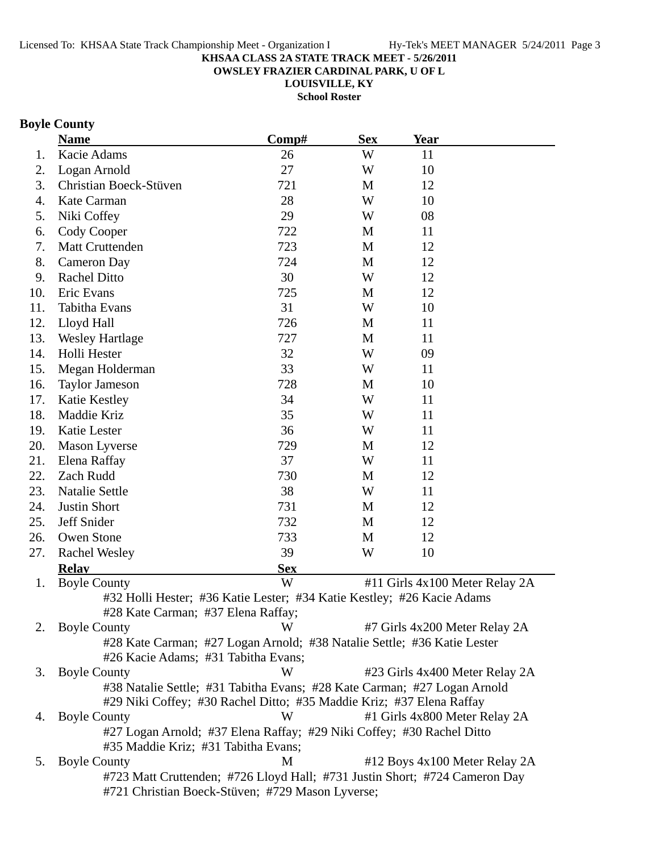**OWSLEY FRAZIER CARDINAL PARK, U OF L**

**LOUISVILLE, KY**

**School Roster**

## **Boyle County**

|     | <b>Name</b>                                                                | Comp#      | <b>Sex</b> | <u>Year</u> |                                |
|-----|----------------------------------------------------------------------------|------------|------------|-------------|--------------------------------|
| 1.  | Kacie Adams                                                                | 26         | W          | 11          |                                |
| 2.  | Logan Arnold                                                               | 27         | W          | 10          |                                |
| 3.  | Christian Boeck-Stüven                                                     | 721        | M          | 12          |                                |
| 4.  | Kate Carman                                                                | 28         | W          | 10          |                                |
| 5.  | Niki Coffey                                                                | 29         | W          | 08          |                                |
| 6.  | Cody Cooper                                                                | 722        | M          | 11          |                                |
| 7.  | <b>Matt Cruttenden</b>                                                     | 723        | M          | 12          |                                |
| 8.  | <b>Cameron Day</b>                                                         | 724        | M          | 12          |                                |
| 9.  | <b>Rachel Ditto</b>                                                        | 30         | W          | 12          |                                |
| 10. | Eric Evans                                                                 | 725        | M          | 12          |                                |
| 11. | Tabitha Evans                                                              | 31         | W          | 10          |                                |
| 12. | Lloyd Hall                                                                 | 726        | M          | 11          |                                |
| 13. | <b>Wesley Hartlage</b>                                                     | 727        | M          | 11          |                                |
| 14. | Holli Hester                                                               | 32         | W          | 09          |                                |
| 15. | Megan Holderman                                                            | 33         | W          | 11          |                                |
| 16. | <b>Taylor Jameson</b>                                                      | 728        | M          | 10          |                                |
| 17. | Katie Kestley                                                              | 34         | W          | 11          |                                |
| 18. | Maddie Kriz                                                                | 35         | W          | 11          |                                |
| 19. | Katie Lester                                                               | 36         | W          | 11          |                                |
| 20. | <b>Mason Lyverse</b>                                                       | 729        | M          | 12          |                                |
| 21. | Elena Raffay                                                               | 37         | W          | 11          |                                |
| 22. | Zach Rudd                                                                  | 730        | M          | 12          |                                |
| 23. | <b>Natalie Settle</b>                                                      | 38         | W          | 11          |                                |
| 24. | <b>Justin Short</b>                                                        | 731        | M          | 12          |                                |
| 25. | Jeff Snider                                                                | 732        | M          | 12          |                                |
| 26. | Owen Stone                                                                 | 733        | M          | 12          |                                |
| 27. | <b>Rachel Wesley</b>                                                       | 39         | W          | 10          |                                |
|     | <b>Relay</b>                                                               | <b>Sex</b> |            |             |                                |
| 1.  | <b>Boyle County</b>                                                        | W          |            |             | #11 Girls 4x100 Meter Relay 2A |
|     | #32 Holli Hester; #36 Katie Lester; #34 Katie Kestley; #26 Kacie Adams     |            |            |             |                                |
|     | #28 Kate Carman; #37 Elena Raffay;                                         |            |            |             |                                |
| 2.  | <b>Boyle County</b>                                                        | W          |            |             | #7 Girls 4x200 Meter Relay 2A  |
|     | #28 Kate Carman; #27 Logan Arnold; #38 Natalie Settle; #36 Katie Lester    |            |            |             |                                |
|     | #26 Kacie Adams; #31 Tabitha Evans;                                        |            |            |             |                                |
| 3.  | <b>Boyle County</b>                                                        | W          |            |             | #23 Girls 4x400 Meter Relay 2A |
|     | #38 Natalie Settle; #31 Tabitha Evans; #28 Kate Carman; #27 Logan Arnold   |            |            |             |                                |
|     | #29 Niki Coffey; #30 Rachel Ditto; #35 Maddie Kriz; #37 Elena Raffay       |            |            |             |                                |
| 4.  | <b>Boyle County</b>                                                        | W          |            |             | #1 Girls 4x800 Meter Relay 2A  |
|     | #27 Logan Arnold; #37 Elena Raffay; #29 Niki Coffey; #30 Rachel Ditto      |            |            |             |                                |
|     | #35 Maddie Kriz; #31 Tabitha Evans;                                        |            |            |             |                                |
| 5.  | <b>Boyle County</b>                                                        | M          |            |             | #12 Boys 4x100 Meter Relay 2A  |
|     | #723 Matt Cruttenden; #726 Lloyd Hall; #731 Justin Short; #724 Cameron Day |            |            |             |                                |
|     | #721 Christian Boeck-Stüven; #729 Mason Lyverse;                           |            |            |             |                                |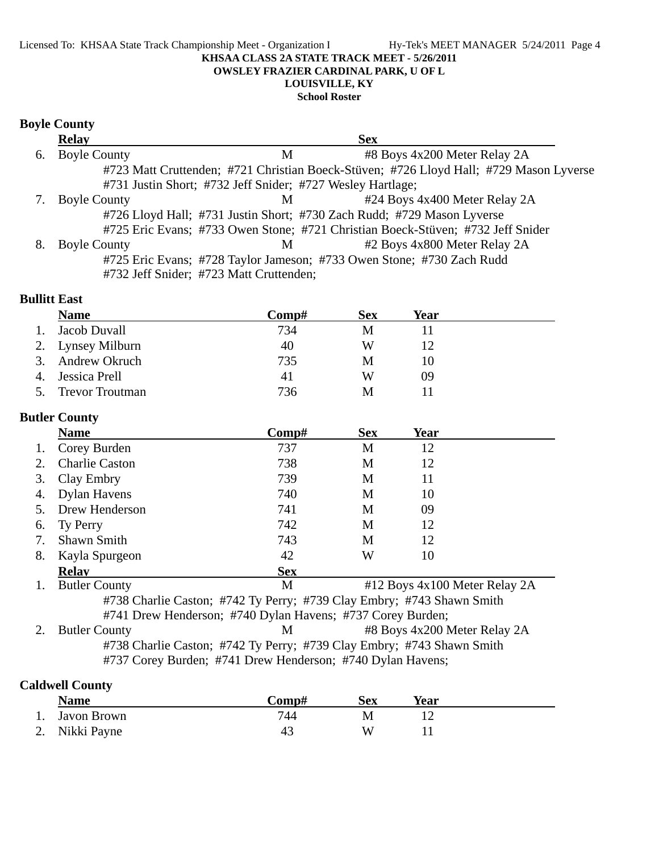## **LOUISVILLE, KY**

## **School Roster**

### **Boyle County**

|    | <b>Relay</b>        |                                                            | <b>Sex</b>                                                                             |  |
|----|---------------------|------------------------------------------------------------|----------------------------------------------------------------------------------------|--|
| 6. | <b>Boyle County</b> | М                                                          | #8 Boys 4x200 Meter Relay 2A                                                           |  |
|    |                     |                                                            | #723 Matt Cruttenden; #721 Christian Boeck-Stüven; #726 Lloyd Hall; #729 Mason Lyverse |  |
|    |                     | #731 Justin Short; #732 Jeff Snider; #727 Wesley Hartlage; |                                                                                        |  |
|    | <b>Boyle County</b> | M                                                          | #24 Boys 4x400 Meter Relay 2A                                                          |  |
|    |                     |                                                            | #726 Lloyd Hall; #731 Justin Short; #730 Zach Rudd; #729 Mason Lyverse                 |  |
|    |                     |                                                            | #725 Eric Evans; #733 Owen Stone; #721 Christian Boeck-Stüven; #732 Jeff Snider        |  |
|    | <b>Boyle County</b> | M                                                          | #2 Boys 4x800 Meter Relay 2A                                                           |  |
|    |                     |                                                            | #725 Eric Evans; #728 Taylor Jameson; #733 Owen Stone; #730 Zach Rudd                  |  |
|    |                     | #732 Jeff Snider; #723 Matt Cruttenden;                    |                                                                                        |  |

### **Bullitt East**

|    | <b>Name</b>            | Comp# | <b>Sex</b> | Year |  |
|----|------------------------|-------|------------|------|--|
|    | Jacob Duvall           | 734   | M          |      |  |
|    | 2. Lynsey Milburn      | 40    | W          |      |  |
|    | 3. Andrew Okruch       | 735   | М          |      |  |
| 4. | Jessica Prell          | 41    | W          | 09   |  |
|    | <b>Trevor Troutman</b> | 736   | M          |      |  |

## **Butler County**

|        | <b>Name</b>                                                           | Comp#      | <b>Sex</b> | Year                                                                                                                                                                                                                                                                                                                               |  |  |  |
|--------|-----------------------------------------------------------------------|------------|------------|------------------------------------------------------------------------------------------------------------------------------------------------------------------------------------------------------------------------------------------------------------------------------------------------------------------------------------|--|--|--|
| Ι.     | Corey Burden                                                          | 737        | M          | 12                                                                                                                                                                                                                                                                                                                                 |  |  |  |
|        | <b>Charlie Caston</b>                                                 | 738        | M          | 12                                                                                                                                                                                                                                                                                                                                 |  |  |  |
| 3.     | Clay Embry                                                            | 739        | М          | 11                                                                                                                                                                                                                                                                                                                                 |  |  |  |
| 4.     | Dylan Havens                                                          | 740        | М          | 10                                                                                                                                                                                                                                                                                                                                 |  |  |  |
|        | Drew Henderson                                                        | 741        | M          | 09                                                                                                                                                                                                                                                                                                                                 |  |  |  |
| 6.     | Ty Perry                                                              | 742        | M          | 12                                                                                                                                                                                                                                                                                                                                 |  |  |  |
|        | <b>Shawn Smith</b>                                                    | 743        | М          | 12                                                                                                                                                                                                                                                                                                                                 |  |  |  |
| 8.     | Kayla Spurgeon                                                        | 42         | W          | 10                                                                                                                                                                                                                                                                                                                                 |  |  |  |
|        | <b>Relay</b>                                                          | <b>Sex</b> |            |                                                                                                                                                                                                                                                                                                                                    |  |  |  |
|        | <b>Butler County</b>                                                  | M          |            | #12 Boys 4x100 Meter Relay 2A                                                                                                                                                                                                                                                                                                      |  |  |  |
|        | #738 Charlie Caston; #742 Ty Perry; #739 Clay Embry; #743 Shawn Smith |            |            |                                                                                                                                                                                                                                                                                                                                    |  |  |  |
|        | #741 Drew Henderson; #740 Dylan Havens; #737 Corey Burden;            |            |            |                                                                                                                                                                                                                                                                                                                                    |  |  |  |
| $\sim$ | $D-1$ $\sim$ $C$ $\sim$ $\sim$                                        |            |            | $\mathbf{M}$ $\mathbf{H}$ $\mathbf{D}$ $\mathbf{L}$ $\mathbf{D}$ $\mathbf{L}$ $\mathbf{L}$ $\mathbf{D}$ $\mathbf{M}$ $\mathbf{L}$ $\mathbf{L}$ $\mathbf{D}$ $\mathbf{L}$ $\mathbf{L}$ $\mathbf{L}$ $\mathbf{L}$ $\mathbf{L}$ $\mathbf{L}$ $\mathbf{L}$ $\mathbf{L}$ $\mathbf{L}$ $\mathbf{L}$ $\mathbf{L}$ $\mathbf{L}$ $\mathbf{$ |  |  |  |

2. Butler County **12. Butler County** 12. Butler Relay 2A #738 Charlie Caston; #742 Ty Perry; #739 Clay Embry; #743 Shawn Smith #737 Corey Burden; #741 Drew Henderson; #740 Dylan Havens;

## **Caldwell County**

| <b>Name</b>    | Comp# | Sex | Year |  |
|----------------|-------|-----|------|--|
| 1. Javon Brown | 744   | M   |      |  |
| 2. Nikki Payne | 43    | W   |      |  |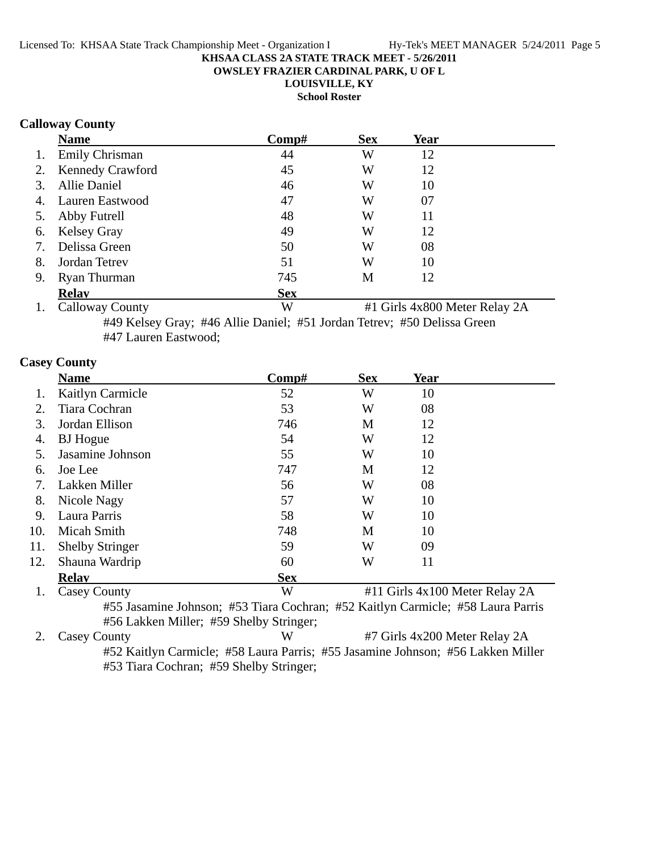**OWSLEY FRAZIER CARDINAL PARK, U OF L**

**LOUISVILLE, KY**

**School Roster**

### **Calloway County**

|    | <b>Name</b>           | Comp#      | <b>Sex</b> | Year |  |
|----|-----------------------|------------|------------|------|--|
| 1. | <b>Emily Chrisman</b> | 44         | W          | 12   |  |
|    | 2. Kennedy Crawford   | 45         | W          | 12   |  |
| 3. | <b>Allie Daniel</b>   | 46         | W          | 10   |  |
|    | 4. Lauren Eastwood    | 47         | W          | 07   |  |
|    | 5. Abby Futrell       | 48         | W          | 11   |  |
|    | 6. Kelsey Gray        | 49         | W          | 12   |  |
| 7. | Delissa Green         | 50         | W          | 08   |  |
| 8. | Jordan Tetrev         | 51         | W          | 10   |  |
| 9. | <b>Ryan Thurman</b>   | 745        | М          | 12   |  |
|    | <b>Relav</b>          | <b>Sex</b> |            |      |  |

1. Calloway County W #1 Girls 4x800 Meter Relay 2A #49 Kelsey Gray; #46 Allie Daniel; #51 Jordan Tetrev; #50 Delissa Green #47 Lauren Eastwood;

### **Casey County**

|     | <b>Name</b>                                                                     | Comp#                                                                             | <b>Sex</b>  | Year                           |                                |
|-----|---------------------------------------------------------------------------------|-----------------------------------------------------------------------------------|-------------|--------------------------------|--------------------------------|
| 1.  | Kaitlyn Carmicle                                                                | 52                                                                                | W           | 10                             |                                |
| 2.  | Tiara Cochran                                                                   | 53                                                                                | W           | 08                             |                                |
| 3.  | Jordan Ellison                                                                  | 746                                                                               | M           | 12                             |                                |
| 4.  | <b>BJ</b> Hogue                                                                 | 54                                                                                | W           | 12                             |                                |
| 5.  | Jasamine Johnson                                                                | 55                                                                                | W           | 10                             |                                |
| 6.  | Joe Lee                                                                         | 747                                                                               | M           | 12                             |                                |
| 7.  | Lakken Miller                                                                   | 56                                                                                | W           | 08                             |                                |
| 8.  | Nicole Nagy                                                                     | 57                                                                                | W           | 10                             |                                |
| 9.  | Laura Parris                                                                    | 58                                                                                | W           | 10                             |                                |
| 10. | Micah Smith                                                                     | 748                                                                               | M           | 10                             |                                |
| 11. | <b>Shelby Stringer</b>                                                          | 59                                                                                | W           | 09                             |                                |
| 12. | Shauna Wardrip                                                                  | 60                                                                                | W           | 11                             |                                |
|     | Relav                                                                           | <b>Sex</b>                                                                        |             |                                |                                |
| 1.  | <b>Casey County</b>                                                             | W                                                                                 |             | #11 Girls 4x100 Meter Relay 2A |                                |
|     | #55 Jasamine Johnson; #53 Tiara Cochran; #52 Kaitlyn Carmicle; #58 Laura Parris |                                                                                   |             |                                |                                |
|     | #56 Lakken Miller; #59 Shelby Stringer;                                         |                                                                                   |             |                                |                                |
| 2.  | <b>Casey County</b>                                                             | W                                                                                 |             | #7 Girls 4x200 Meter Relay 2A  |                                |
|     | $\mathbf{u} \in \mathbf{A}$ is the set of $\mathbf{A}$                          | $\cdot$ 1 $\cdot$ $\cdot$ $\cdot$ $\cdot$ $\cdot$ $\cdot$ $\cdot$<br>$\mathbf{r}$ | $H = F + T$ | $\mathbf{r}$ 1                 | $H = 2T - 11$ Me <sup>11</sup> |

#52 Kaitlyn Carmicle; #58 Laura Parris; #55 Jasamine Johnson; #56 Lakken Miller #53 Tiara Cochran; #59 Shelby Stringer;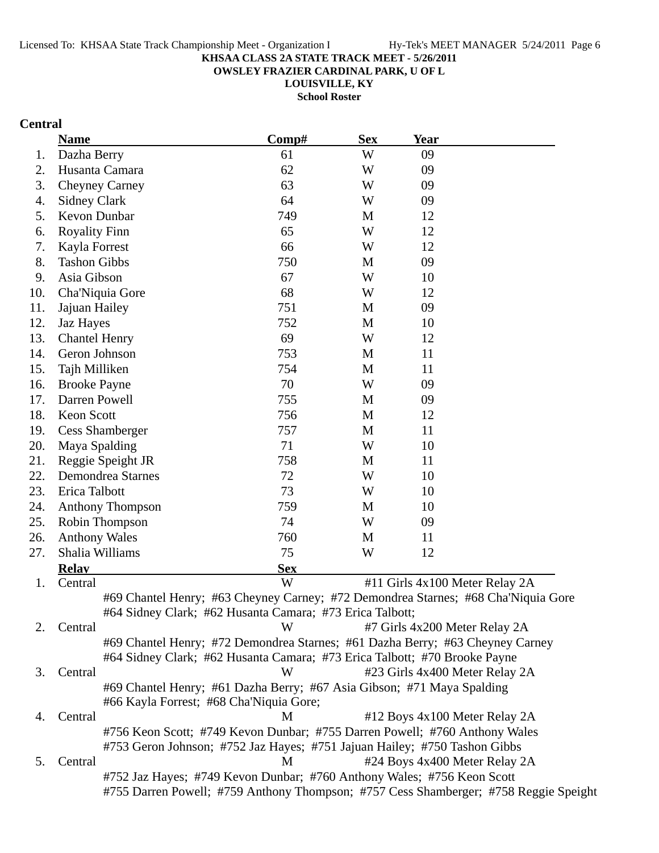**OWSLEY FRAZIER CARDINAL PARK, U OF L**

**LOUISVILLE, KY School Roster**

## **Central**

|     | <b>Name</b>                                                                       | Comp#      | <b>Sex</b> | <b>Year</b> |                                                                                      |
|-----|-----------------------------------------------------------------------------------|------------|------------|-------------|--------------------------------------------------------------------------------------|
| 1.  | Dazha Berry                                                                       | 61         | W          | 09          |                                                                                      |
| 2.  | Husanta Camara                                                                    | 62         | W          | 09          |                                                                                      |
| 3.  | <b>Cheyney Carney</b>                                                             | 63         | W          | 09          |                                                                                      |
| 4.  | <b>Sidney Clark</b>                                                               | 64         | W          | 09          |                                                                                      |
| 5.  | Kevon Dunbar                                                                      | 749        | M          | 12          |                                                                                      |
| 6.  | <b>Royality Finn</b>                                                              | 65         | W          | 12          |                                                                                      |
| 7.  | Kayla Forrest                                                                     | 66         | W          | 12          |                                                                                      |
| 8.  | <b>Tashon Gibbs</b>                                                               | 750        | M          | 09          |                                                                                      |
| 9.  | Asia Gibson                                                                       | 67         | W          | 10          |                                                                                      |
| 10. | Cha'Niquia Gore                                                                   | 68         | W          | 12          |                                                                                      |
| 11. | Jajuan Hailey                                                                     | 751        | M          | 09          |                                                                                      |
| 12. | Jaz Hayes                                                                         | 752        | M          | 10          |                                                                                      |
| 13. | <b>Chantel Henry</b>                                                              | 69         | W          | 12          |                                                                                      |
| 14. | Geron Johnson                                                                     | 753        | M          | 11          |                                                                                      |
| 15. | Tajh Milliken                                                                     | 754        | M          | 11          |                                                                                      |
| 16. | <b>Brooke Payne</b>                                                               | 70         | W          | 09          |                                                                                      |
| 17. | Darren Powell                                                                     | 755        | M          | 09          |                                                                                      |
| 18. | Keon Scott                                                                        | 756        | M          | 12          |                                                                                      |
| 19. | <b>Cess Shamberger</b>                                                            | 757        | M          | 11          |                                                                                      |
| 20. | Maya Spalding                                                                     | 71         | W          | 10          |                                                                                      |
| 21. | Reggie Speight JR                                                                 | 758        | M          | 11          |                                                                                      |
| 22. | <b>Demondrea Starnes</b>                                                          | 72         | W          | 10          |                                                                                      |
| 23. | Erica Talbott                                                                     | 73         | W          | 10          |                                                                                      |
| 24. | <b>Anthony Thompson</b>                                                           | 759        | M          | 10          |                                                                                      |
| 25. | Robin Thompson                                                                    | 74         | W          | 09          |                                                                                      |
| 26. | <b>Anthony Wales</b>                                                              | 760        | M          | 11          |                                                                                      |
| 27. | Shalia Williams                                                                   | 75         | W          | 12          |                                                                                      |
|     | <b>Relay</b>                                                                      | <b>Sex</b> |            |             |                                                                                      |
| 1.  | Central                                                                           | W          |            |             | #11 Girls 4x100 Meter Relay 2A                                                       |
|     | #69 Chantel Henry; #63 Cheyney Carney; #72 Demondrea Starnes; #68 Cha'Niquia Gore |            |            |             |                                                                                      |
|     | #64 Sidney Clark; #62 Husanta Camara; #73 Erica Talbott;                          |            |            |             |                                                                                      |
| 2.  | Central                                                                           | W          |            |             | #7 Girls 4x200 Meter Relay 2A                                                        |
|     | #69 Chantel Henry; #72 Demondrea Starnes; #61 Dazha Berry; #63 Cheyney Carney     |            |            |             |                                                                                      |
|     | #64 Sidney Clark; #62 Husanta Camara; #73 Erica Talbott; #70 Brooke Payne         |            |            |             |                                                                                      |
| 3.  | Central                                                                           | W          |            |             | #23 Girls 4x400 Meter Relay 2A                                                       |
|     | #69 Chantel Henry; #61 Dazha Berry; #67 Asia Gibson; #71 Maya Spalding            |            |            |             |                                                                                      |
|     | #66 Kayla Forrest; #68 Cha'Niquia Gore;                                           |            |            |             |                                                                                      |
| 4.  | Central                                                                           | M          |            |             | #12 Boys 4x100 Meter Relay 2A                                                        |
|     | #756 Keon Scott; #749 Kevon Dunbar; #755 Darren Powell; #760 Anthony Wales        |            |            |             |                                                                                      |
|     | #753 Geron Johnson; #752 Jaz Hayes; #751 Jajuan Hailey; #750 Tashon Gibbs         |            |            |             |                                                                                      |
| 5.  | Central                                                                           | M          |            |             | #24 Boys 4x400 Meter Relay 2A                                                        |
|     | #752 Jaz Hayes; #749 Kevon Dunbar; #760 Anthony Wales; #756 Keon Scott            |            |            |             |                                                                                      |
|     |                                                                                   |            |            |             | #755 Darren Powell; #759 Anthony Thompson; #757 Cess Shamberger; #758 Reggie Speight |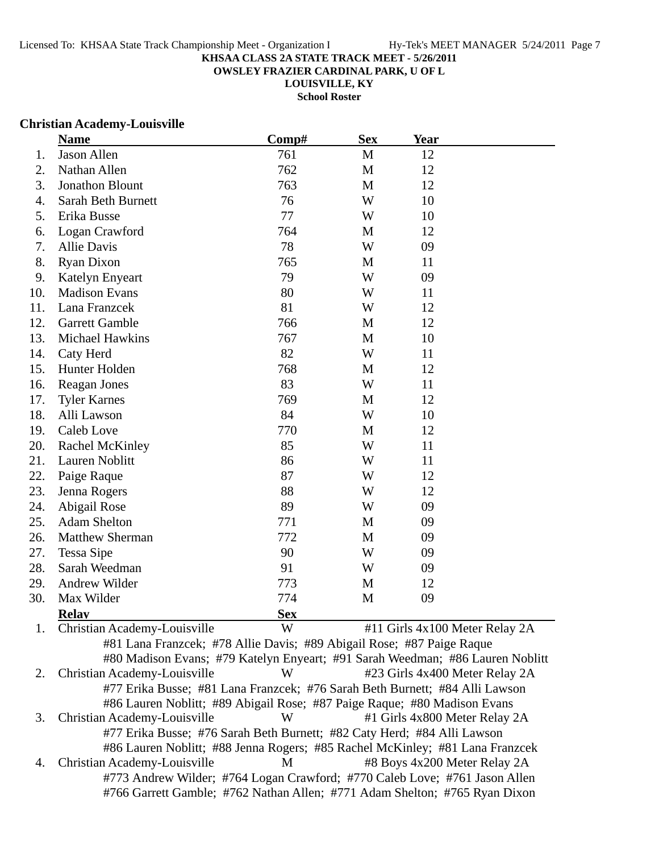**OWSLEY FRAZIER CARDINAL PARK, U OF L**

**LOUISVILLE, KY School Roster**

#### **Christian Academy-Louisville**

|     | <b>Name</b>                                                                   | Comp#      | <b>Sex</b>   | <b>Year</b> |                                |
|-----|-------------------------------------------------------------------------------|------------|--------------|-------------|--------------------------------|
| 1.  | <b>Jason Allen</b>                                                            | 761        | $\mathbf M$  | 12          |                                |
| 2.  | Nathan Allen                                                                  | 762        | M            | 12          |                                |
| 3.  | <b>Jonathon Blount</b>                                                        | 763        | M            | 12          |                                |
| 4.  | <b>Sarah Beth Burnett</b>                                                     | 76         | W            | 10          |                                |
| 5.  | Erika Busse                                                                   | 77         | W            | 10          |                                |
| 6.  | Logan Crawford                                                                | 764        | $\mathbf{M}$ | 12          |                                |
| 7.  | Allie Davis                                                                   | 78         | W            | 09          |                                |
| 8.  | <b>Ryan Dixon</b>                                                             | 765        | M            | 11          |                                |
| 9.  | Katelyn Enyeart                                                               | 79         | W            | 09          |                                |
| 10. | <b>Madison Evans</b>                                                          | 80         | W            | 11          |                                |
| 11. | Lana Franzcek                                                                 | 81         | W            | 12          |                                |
| 12. | <b>Garrett Gamble</b>                                                         | 766        | M            | 12          |                                |
| 13. | Michael Hawkins                                                               | 767        | M            | 10          |                                |
| 14. | Caty Herd                                                                     | 82         | W            | 11          |                                |
| 15. | Hunter Holden                                                                 | 768        | M            | 12          |                                |
| 16. | Reagan Jones                                                                  | 83         | W            | 11          |                                |
| 17. | <b>Tyler Karnes</b>                                                           | 769        | M            | 12          |                                |
| 18. | Alli Lawson                                                                   | 84         | W            | 10          |                                |
| 19. | <b>Caleb Love</b>                                                             | 770        | M            | 12          |                                |
| 20. | <b>Rachel McKinley</b>                                                        | 85         | W            | 11          |                                |
| 21. | Lauren Noblitt                                                                | 86         | W            | 11          |                                |
| 22. | Paige Raque                                                                   | 87         | W            | 12          |                                |
| 23. | Jenna Rogers                                                                  | 88         | W            | 12          |                                |
| 24. | Abigail Rose                                                                  | 89         | W            | 09          |                                |
| 25. | <b>Adam Shelton</b>                                                           | 771        | M            | 09          |                                |
| 26. | <b>Matthew Sherman</b>                                                        | 772        | M            | 09          |                                |
| 27. | <b>Tessa Sipe</b>                                                             | 90         | W            | 09          |                                |
| 28. | Sarah Weedman                                                                 | 91         | W            | 09          |                                |
| 29. | Andrew Wilder                                                                 | 773        | M            | 12          |                                |
| 30. | Max Wilder                                                                    | 774        | M            | 09          |                                |
|     | <b>Relay</b>                                                                  | <b>Sex</b> |              |             |                                |
| 1.  | Christian Academy-Louisville                                                  | W          |              |             | #11 Girls 4x100 Meter Relay 2A |
|     | #81 Lana Franzcek; #78 Allie Davis; #89 Abigail Rose; #87 Paige Raque         |            |              |             |                                |
|     | #80 Madison Evans; #79 Katelyn Enyeart; #91 Sarah Weedman; #86 Lauren Noblitt |            |              |             |                                |
| 2.  | Christian Academy-Louisville                                                  | W          |              |             | #23 Girls 4x400 Meter Relay 2A |
|     | #77 Erika Busse; #81 Lana Franzcek; #76 Sarah Beth Burnett; #84 Alli Lawson   |            |              |             |                                |

#86 Lauren Noblitt; #89 Abigail Rose; #87 Paige Raque; #80 Madison Evans 3. Christian Academy-Louisville W #1 Girls 4x800 Meter Relay 2A #77 Erika Busse; #76 Sarah Beth Burnett; #82 Caty Herd; #84 Alli Lawson #86 Lauren Noblitt; #88 Jenna Rogers; #85 Rachel McKinley; #81 Lana Franzcek 4. Christian Academy-Louisville M #8 Boys 4x200 Meter Relay 2A #773 Andrew Wilder; #764 Logan Crawford; #770 Caleb Love; #761 Jason Allen #766 Garrett Gamble; #762 Nathan Allen; #771 Adam Shelton; #765 Ryan Dixon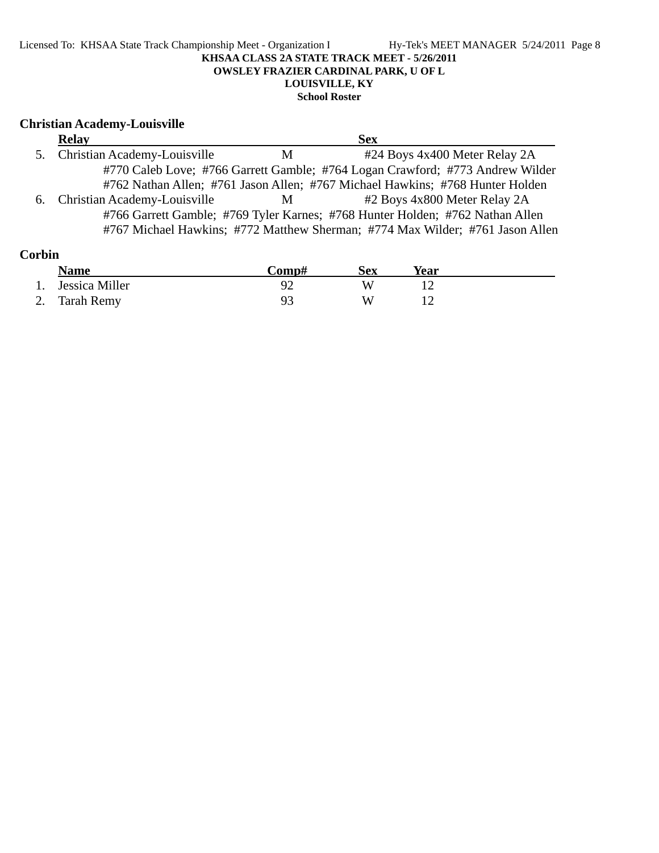#### Licensed To: KHSAA State Track Championship Meet - Organization I Hy-Tek's MEET MANAGER 5/24/2011 Page 8 **KHSAA CLASS 2A STATE TRACK MEET - 5/26/2011 OWSLEY FRAZIER CARDINAL PARK, U OF L LOUISVILLE, KY School Roster**

### **Christian Academy-Louisville**

| <b>Relay</b>                    |   | <b>Sex</b>                                                                    |  |
|---------------------------------|---|-------------------------------------------------------------------------------|--|
| 5. Christian Academy-Louisville | M | #24 Boys 4x400 Meter Relay 2A                                                 |  |
|                                 |   | #770 Caleb Love; #766 Garrett Gamble; #764 Logan Crawford; #773 Andrew Wilder |  |
|                                 |   | #762 Nathan Allen; #761 Jason Allen; #767 Michael Hawkins; #768 Hunter Holden |  |
| 6. Christian Academy-Louisville | M | #2 Boys 4x800 Meter Relay 2A                                                  |  |
|                                 |   | #766 Garrett Gamble; #769 Tyler Karnes; #768 Hunter Holden; #762 Nathan Allen |  |
|                                 |   | #767 Michael Hawkins; #772 Matthew Sherman; #774 Max Wilder; #761 Jason Allen |  |

| Corbin |                |       |     |      |  |
|--------|----------------|-------|-----|------|--|
|        | <b>Name</b>    | Comp# | Sex | Year |  |
|        | Jessica Miller | $Q^2$ | W   |      |  |
|        | 2. Tarah Remy  | 93    | W   |      |  |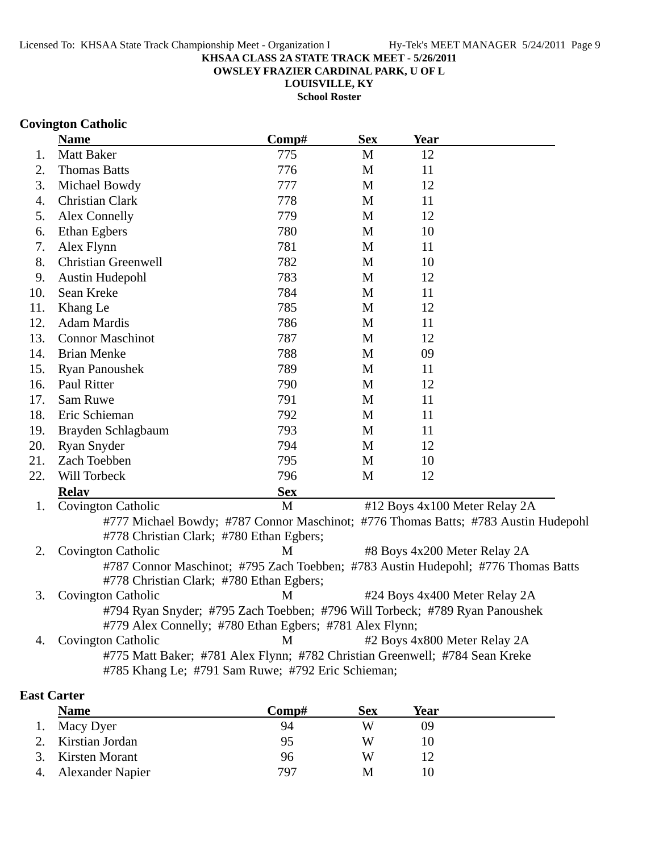**OWSLEY FRAZIER CARDINAL PARK, U OF L**

**LOUISVILLE, KY School Roster**

### **Covington Catholic**

|     | <b>Name</b>                                                                        | Comp#      | <b>Sex</b>   | Year |                               |
|-----|------------------------------------------------------------------------------------|------------|--------------|------|-------------------------------|
| 1.  | Matt Baker                                                                         | 775        | M            | 12   |                               |
| 2.  | <b>Thomas Batts</b>                                                                | 776        | M            | 11   |                               |
| 3.  | Michael Bowdy                                                                      | 777        | $\mathbf{M}$ | 12   |                               |
| 4.  | Christian Clark                                                                    | 778        | M            | 11   |                               |
| 5.  | Alex Connelly                                                                      | 779        | $\mathbf{M}$ | 12   |                               |
| 6.  | <b>Ethan Egbers</b>                                                                | 780        | $\mathbf{M}$ | 10   |                               |
| 7.  | Alex Flynn                                                                         | 781        | M            | 11   |                               |
| 8.  | <b>Christian Greenwell</b>                                                         | 782        | M            | 10   |                               |
| 9.  | <b>Austin Hudepohl</b>                                                             | 783        | M            | 12   |                               |
| 10. | Sean Kreke                                                                         | 784        | M            | 11   |                               |
| 11. | Khang Le                                                                           | 785        | M            | 12   |                               |
| 12. | <b>Adam Mardis</b>                                                                 | 786        | M            | 11   |                               |
| 13. | <b>Connor Maschinot</b>                                                            | 787        | M            | 12   |                               |
| 14. | <b>Brian Menke</b>                                                                 | 788        | M            | 09   |                               |
| 15. | <b>Ryan Panoushek</b>                                                              | 789        | M            | 11   |                               |
| 16. | <b>Paul Ritter</b>                                                                 | 790        | M            | 12   |                               |
| 17. | Sam Ruwe                                                                           | 791        | M            | 11   |                               |
| 18. | Eric Schieman                                                                      | 792        | M            | 11   |                               |
| 19. | Brayden Schlagbaum                                                                 | 793        | M            | 11   |                               |
| 20. | <b>Ryan Snyder</b>                                                                 | 794        | M            | 12   |                               |
| 21. | Zach Toebben                                                                       | 795        | M            | 10   |                               |
| 22. | Will Torbeck                                                                       | 796        | M            | 12   |                               |
|     | <b>Relav</b>                                                                       | <b>Sex</b> |              |      |                               |
| 1.  | Covington Catholic                                                                 | M          |              |      | #12 Boys 4x100 Meter Relay 2A |
|     | #777 Michael Bowdy; #787 Connor Maschinot; #776 Thomas Batts; #783 Austin Hudepohl |            |              |      |                               |
|     | #778 Christian Clark; #780 Ethan Egbers;                                           |            |              |      |                               |
| 2.  | <b>Covington Catholic</b>                                                          | M          |              |      | #8 Boys 4x200 Meter Relay 2A  |
|     | #787 Connor Maschinot; #795 Zach Toebben; #783 Austin Hudepohl; #776 Thomas Batts  |            |              |      |                               |
|     | #778 Christian Clark; #780 Ethan Egbers;                                           |            |              |      |                               |
| 3.  | Covington Catholic                                                                 | M          |              |      | #24 Boys 4x400 Meter Relay 2A |
|     | #794 Ryan Snyder; #795 Zach Toebben; #796 Will Torbeck; #789 Ryan Panoushek        |            |              |      |                               |
|     | #779 Alex Connelly; #780 Ethan Egbers; #781 Alex Flynn;                            |            |              |      |                               |
| 4.  | Covington Catholic                                                                 | M          |              |      | #2 Boys 4x800 Meter Relay 2A  |
|     | #775 Matt Baker; #781 Alex Flynn; #782 Christian Greenwell; #784 Sean Kreke        |            |              |      |                               |
|     | #785 Khang Le; #791 Sam Ruwe; #792 Eric Schieman;                                  |            |              |      |                               |
|     |                                                                                    |            |              |      |                               |

### **East Carter**

| <b>Name</b>         | Comp# | <b>Sex</b> | Year |  |
|---------------------|-------|------------|------|--|
| 1. Macy Dyer        | 94    | W          | 09   |  |
| 2. Kirstian Jordan  | 95    | W          |      |  |
| 3. Kirsten Morant   | 96    | W          |      |  |
| 4. Alexander Napier | 797   | М          | 10   |  |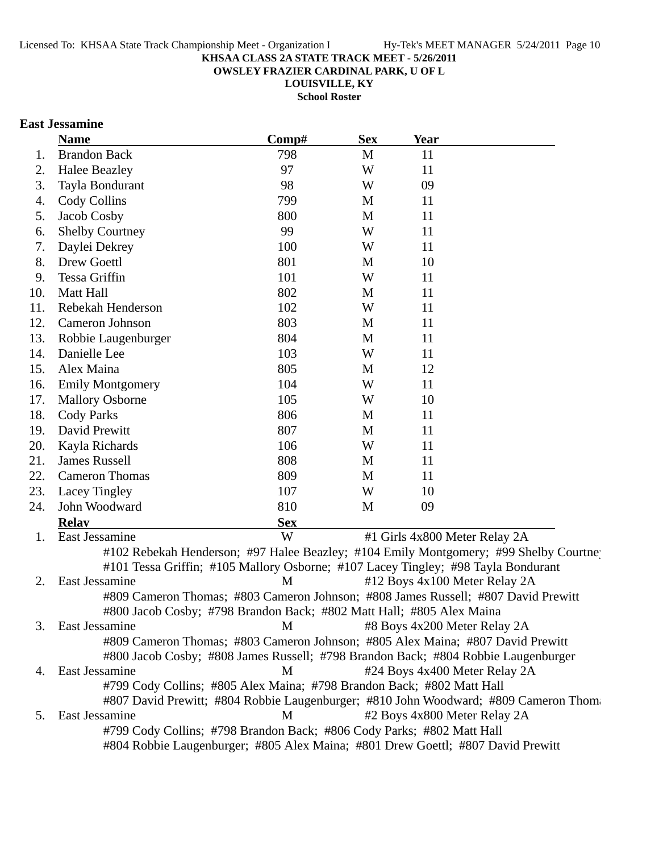**OWSLEY FRAZIER CARDINAL PARK, U OF L**

**LOUISVILLE, KY**

**School Roster**

## **East Jessamine**

|     | <b>Name</b>                                                           | Comp#      | <b>Sex</b> | Year                                                                                 |
|-----|-----------------------------------------------------------------------|------------|------------|--------------------------------------------------------------------------------------|
| 1.  | <b>Brandon Back</b>                                                   | 798        | M          | 11                                                                                   |
| 2.  | <b>Halee Beazley</b>                                                  | 97         | W          | 11                                                                                   |
| 3.  | Tayla Bondurant                                                       | 98         | W          | 09                                                                                   |
| 4.  | Cody Collins                                                          | 799        | M          | 11                                                                                   |
| 5.  | Jacob Cosby                                                           | 800        | M          | 11                                                                                   |
| 6.  | <b>Shelby Courtney</b>                                                | 99         | W          | 11                                                                                   |
| 7.  | Daylei Dekrey                                                         | 100        | W          | 11                                                                                   |
| 8.  | Drew Goettl                                                           | 801        | M          | 10                                                                                   |
| 9.  | Tessa Griffin                                                         | 101        | W          | 11                                                                                   |
| 10. | Matt Hall                                                             | 802        | M          | 11                                                                                   |
| 11. | Rebekah Henderson                                                     | 102        | W          | 11                                                                                   |
| 12. | Cameron Johnson                                                       | 803        | M          | 11                                                                                   |
| 13. | Robbie Laugenburger                                                   | 804        | M          | 11                                                                                   |
| 14. | Danielle Lee                                                          | 103        | W          | 11                                                                                   |
| 15. | Alex Maina                                                            | 805        | M          | 12                                                                                   |
| 16. | <b>Emily Montgomery</b>                                               | 104        | W          | 11                                                                                   |
| 17. | <b>Mallory Osborne</b>                                                | 105        | W          | 10                                                                                   |
| 18. | <b>Cody Parks</b>                                                     | 806        | M          | 11                                                                                   |
| 19. | David Prewitt                                                         | 807        | M          | 11                                                                                   |
| 20. | Kayla Richards                                                        | 106        | W          | 11                                                                                   |
| 21. | <b>James Russell</b>                                                  | 808        | M          | 11                                                                                   |
| 22. | <b>Cameron Thomas</b>                                                 | 809        | M          | 11                                                                                   |
| 23. | Lacey Tingley                                                         | 107        | W          | 10                                                                                   |
| 24. | John Woodward                                                         | 810        | M          | 09                                                                                   |
|     | <b>Relav</b>                                                          | <b>Sex</b> |            |                                                                                      |
| 1.  | East Jessamine                                                        | W          |            | #1 Girls 4x800 Meter Relay 2A                                                        |
|     |                                                                       |            |            | #102 Rebekah Henderson; #97 Halee Beazley; #104 Emily Montgomery; #99 Shelby Courtne |
|     |                                                                       |            |            | #101 Tessa Griffin; #105 Mallory Osborne; #107 Lacey Tingley; #98 Tayla Bondurant    |
| 2.  | East Jessamine                                                        | M          |            | #12 Boys 4x100 Meter Relay 2A                                                        |
|     |                                                                       |            |            | #809 Cameron Thomas; #803 Cameron Johnson; #808 James Russell; #807 David Prewitt    |
|     | #800 Jacob Cosby; #798 Brandon Back; #802 Matt Hall; #805 Alex Maina  |            |            |                                                                                      |
| 3.  | East Jessamine                                                        | M          |            | #8 Boys 4x200 Meter Relay 2A                                                         |
|     |                                                                       |            |            | #809 Cameron Thomas; #803 Cameron Johnson; #805 Alex Maina; #807 David Prewitt       |
|     |                                                                       |            |            | #800 Jacob Cosby; #808 James Russell; #798 Brandon Back; #804 Robbie Laugenburger    |
| 4.  | East Jessamine                                                        | M          |            | #24 Boys 4x400 Meter Relay 2A                                                        |
|     | #799 Cody Collins; #805 Alex Maina; #798 Brandon Back; #802 Matt Hall |            |            |                                                                                      |
|     |                                                                       |            |            | #807 David Prewitt; #804 Robbie Laugenburger; #810 John Woodward; #809 Cameron Thom  |
| 5.  | East Jessamine                                                        | M          |            | #2 Boys 4x800 Meter Relay 2A                                                         |
|     | #799 Cody Collins; #798 Brandon Back; #806 Cody Parks; #802 Matt Hall |            |            |                                                                                      |
|     |                                                                       |            |            | #804 Robbie Laugenburger; #805 Alex Maina; #801 Drew Goettl; #807 David Prewitt      |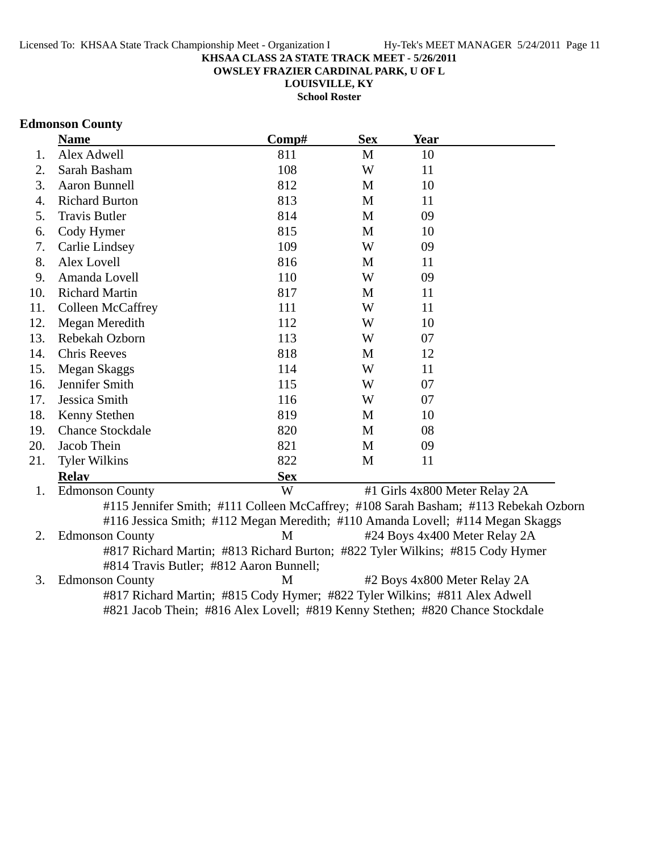**OWSLEY FRAZIER CARDINAL PARK, U OF L**

**LOUISVILLE, KY**

**School Roster**

## **Edmonson County**

|     | <b>Name</b>              | Comp#                                                                          | <b>Sex</b> | <b>Year</b> |                                                                                     |
|-----|--------------------------|--------------------------------------------------------------------------------|------------|-------------|-------------------------------------------------------------------------------------|
| 1.  | Alex Adwell              | 811                                                                            | M          | 10          |                                                                                     |
| 2.  | Sarah Basham             | 108                                                                            | W          | 11          |                                                                                     |
| 3.  | <b>Aaron Bunnell</b>     | 812                                                                            | M          | 10          |                                                                                     |
| 4.  | <b>Richard Burton</b>    | 813                                                                            | M          | 11          |                                                                                     |
| 5.  | <b>Travis Butler</b>     | 814                                                                            | M          | 09          |                                                                                     |
| 6.  | Cody Hymer               | 815                                                                            | M          | 10          |                                                                                     |
| 7.  | Carlie Lindsey           | 109                                                                            | W          | 09          |                                                                                     |
| 8.  | Alex Lovell              | 816                                                                            | M          | 11          |                                                                                     |
| 9.  | Amanda Lovell            | 110                                                                            | W          | 09          |                                                                                     |
| 10. | <b>Richard Martin</b>    | 817                                                                            | M          | 11          |                                                                                     |
| 11. | <b>Colleen McCaffrey</b> | 111                                                                            | W          | 11          |                                                                                     |
| 12. | Megan Meredith           | 112                                                                            | W          | 10          |                                                                                     |
| 13. | Rebekah Ozborn           | 113                                                                            | W          | 07          |                                                                                     |
| 14. | <b>Chris Reeves</b>      | 818                                                                            | M          | 12          |                                                                                     |
| 15. | Megan Skaggs             | 114                                                                            | W          | 11          |                                                                                     |
| 16. | Jennifer Smith           | 115                                                                            | W          | 07          |                                                                                     |
| 17. | Jessica Smith            | 116                                                                            | W          | 07          |                                                                                     |
| 18. | Kenny Stethen            | 819                                                                            | M          | 10          |                                                                                     |
| 19. | <b>Chance Stockdale</b>  | 820                                                                            | M          | 08          |                                                                                     |
| 20. | Jacob Thein              | 821                                                                            | M          | 09          |                                                                                     |
| 21. | <b>Tyler Wilkins</b>     | 822                                                                            | M          | 11          |                                                                                     |
|     | <b>Relav</b>             | <b>Sex</b>                                                                     |            |             |                                                                                     |
| 1.  | <b>Edmonson County</b>   | W                                                                              |            |             | #1 Girls 4x800 Meter Relay 2A                                                       |
|     |                          | #116 Jessica Smith; #112 Megan Meredith; #110 Amanda Lovell; #114 Megan Skaggs |            |             | #115 Jennifer Smith; #111 Colleen McCaffrey; #108 Sarah Basham; #113 Rebekah Ozborn |
| 2.  | <b>Edmonson County</b>   | M                                                                              |            |             | #24 Boys 4x400 Meter Relay 2A                                                       |
|     |                          | #817 Richard Martin; #813 Richard Burton; #822 Tyler Wilkins; #815 Cody Hymer  |            |             |                                                                                     |

#814 Travis Butler; #812 Aaron Bunnell; 3. Edmonson County M #2 Boys 4x800 Meter Relay 2A #817 Richard Martin; #815 Cody Hymer; #822 Tyler Wilkins; #811 Alex Adwell #821 Jacob Thein; #816 Alex Lovell; #819 Kenny Stethen; #820 Chance Stockdale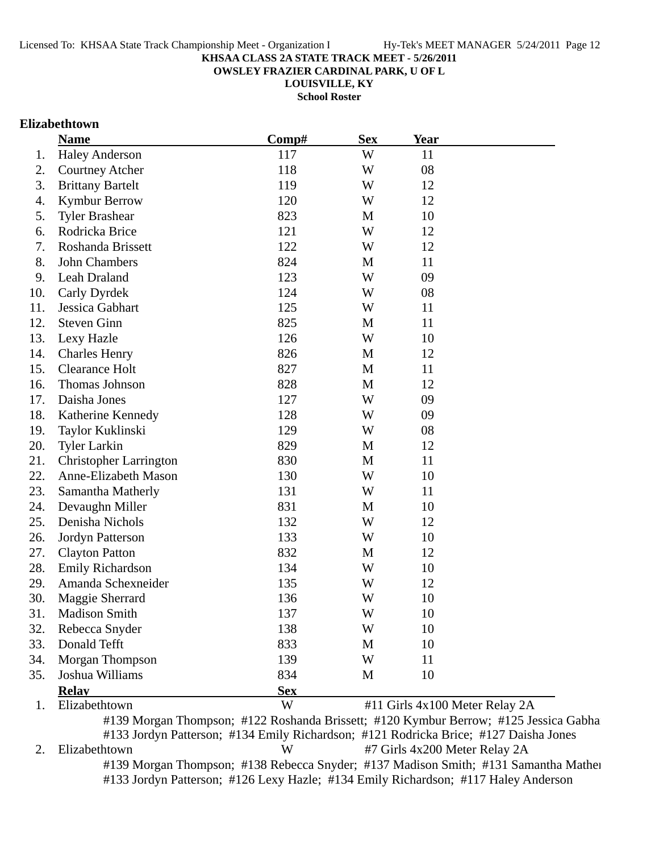**OWSLEY FRAZIER CARDINAL PARK, U OF L**

**LOUISVILLE, KY**

**School Roster**

### **Elizabethtown**

|     | <b>Name</b>                   | Comp#      | <b>Sex</b> | Year                                                                          |
|-----|-------------------------------|------------|------------|-------------------------------------------------------------------------------|
| 1.  | <b>Haley Anderson</b>         | 117        | W          | 11                                                                            |
| 2.  | <b>Courtney Atcher</b>        | 118        | W          | 08                                                                            |
| 3.  | <b>Brittany Bartelt</b>       | 119        | W          | 12                                                                            |
| 4.  | <b>Kymbur Berrow</b>          | 120        | W          | 12                                                                            |
| 5.  | <b>Tyler Brashear</b>         | 823        | M          | 10                                                                            |
| 6.  | Rodricka Brice                | 121        | W          | 12                                                                            |
| 7.  | Roshanda Brissett             | 122        | W          | 12                                                                            |
| 8.  | John Chambers                 | 824        | M          | 11                                                                            |
| 9.  | Leah Draland                  | 123        | W          | 09                                                                            |
| 10. | Carly Dyrdek                  | 124        | W          | 08                                                                            |
| 11. | Jessica Gabhart               | 125        | W          | 11                                                                            |
| 12. | <b>Steven Ginn</b>            | 825        | M          | 11                                                                            |
| 13. | Lexy Hazle                    | 126        | W          | 10                                                                            |
| 14. | <b>Charles Henry</b>          | 826        | M          | 12                                                                            |
| 15. | <b>Clearance Holt</b>         | 827        | M          | 11                                                                            |
| 16. | Thomas Johnson                | 828        | M          | 12                                                                            |
| 17. | Daisha Jones                  | 127        | W          | 09                                                                            |
| 18. | Katherine Kennedy             | 128        | W          | 09                                                                            |
| 19. | Taylor Kuklinski              | 129        | W          | 08                                                                            |
| 20. | <b>Tyler Larkin</b>           | 829        | M          | 12                                                                            |
| 21. | <b>Christopher Larrington</b> | 830        | M          | 11                                                                            |
| 22. | Anne-Elizabeth Mason          | 130        | W          | 10                                                                            |
| 23. | Samantha Matherly             | 131        | W          | 11                                                                            |
| 24. | Devaughn Miller               | 831        | M          | 10                                                                            |
| 25. | Denisha Nichols               | 132        | W          | 12                                                                            |
| 26. | Jordyn Patterson              | 133        | W          | 10                                                                            |
| 27. | <b>Clayton Patton</b>         | 832        | M          | 12                                                                            |
| 28. | Emily Richardson              | 134        | W          | 10                                                                            |
| 29. | Amanda Schexneider            | 135        | W          | 12                                                                            |
| 30. | Maggie Sherrard               | 136        | W          | 10                                                                            |
| 31. | <b>Madison Smith</b>          | 137        | W          | 10                                                                            |
| 32. | Rebecca Snyder                | 138        | W          | 10                                                                            |
| 33. | Donald Tefft                  | 833        | M          | 10                                                                            |
| 34. | Morgan Thompson               | 139        | W          | 11                                                                            |
| 35. | Joshua Williams               | 834        | M          | 10                                                                            |
|     | <b>Relay</b>                  | <b>Sex</b> |            |                                                                               |
| 1.  | Elizabethtown                 | W          |            | #11 Girls 4x100 Meter Relay 2A                                                |
|     |                               |            |            | #130 Morgan Thompson: #122 Roshanda Brissett: #120 Kymbur Berrow: #125 Jessic |

#139 Morgan Thompson; #122 Roshanda Brissett; #120 Kymbur Berrow; #125 Jessica Gabhar #133 Jordyn Patterson; #134 Emily Richardson; #121 Rodricka Brice; #127 Daisha Jones 2. Elizabethtown W #7 Girls 4x200 Meter Relay 2A #139 Morgan Thompson; #138 Rebecca Snyder; #137 Madison Smith; #131 Samantha Mather #133 Jordyn Patterson; #126 Lexy Hazle; #134 Emily Richardson; #117 Haley Anderson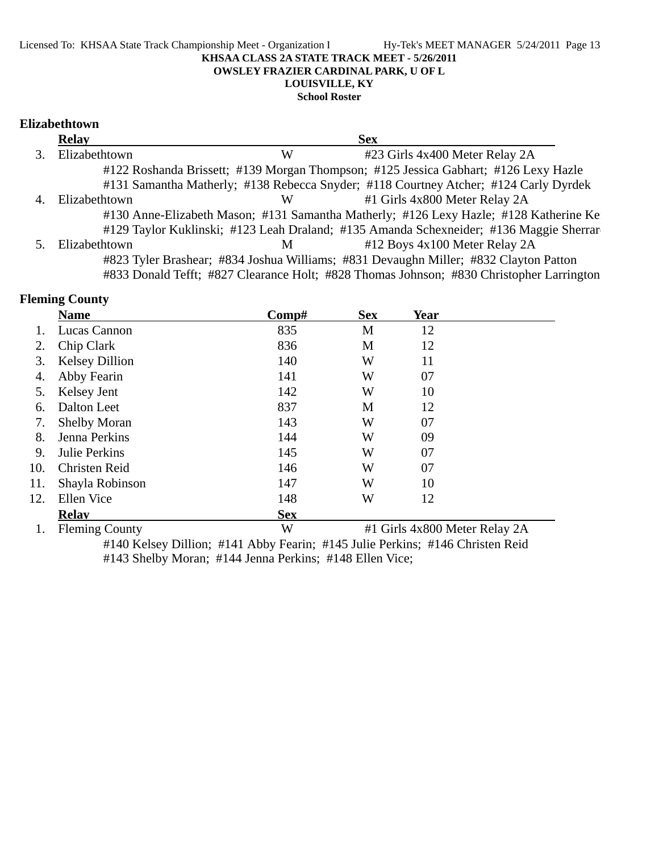#### **OWSLEY FRAZIER CARDINAL PARK, U OF L**

## **LOUISVILLE, KY**

**School Roster**

### **Elizabethtown**

| <b>Relay</b>  |   | <b>Sex</b>                                                                               |
|---------------|---|------------------------------------------------------------------------------------------|
| Elizabethtown | W | #23 Girls 4x400 Meter Relay 2A                                                           |
|               |   | #122 Roshanda Brissett; #139 Morgan Thompson; #125 Jessica Gabhart; #126 Lexy Hazle      |
|               |   | #131 Samantha Matherly; #138 Rebecca Snyder; #118 Courtney Atcher; #124 Carly Dyrdek     |
| Elizabethtown | W | #1 Girls 4x800 Meter Relay 2A                                                            |
|               |   | #130 Anne-Elizabeth Mason; #131 Samantha Matherly; #126 Lexy Hazle; #128 Katherine Ke    |
|               |   | #129 Taylor Kuklinski; #123 Leah Draland; #135 Amanda Schexneider; #136 Maggie Sherrar   |
| Elizabethtown | M | #12 Boys 4x100 Meter Relay 2A                                                            |
|               |   | #823 Tyler Brashear; #834 Joshua Williams; #831 Devaughn Miller; #832 Clayton Patton     |
|               |   | #833 Donald Tefft; #827 Clearance Holt; #828 Thomas Johnson; #830 Christopher Larrington |

## **Fleming County**

|     | <b>Name</b>           | Comp#      | <b>Sex</b> | Year                          |  |
|-----|-----------------------|------------|------------|-------------------------------|--|
|     | Lucas Cannon          | 835        | M          | 12                            |  |
| 2.  | Chip Clark            | 836        | M          | 12                            |  |
| 3.  | <b>Kelsey Dillion</b> | 140        | W          | 11                            |  |
| 4.  | Abby Fearin           | 141        | W          | 07                            |  |
| 5.  | Kelsey Jent           | 142        | W          | 10                            |  |
| 6.  | Dalton Leet           | 837        | M          | 12                            |  |
| 7.  | <b>Shelby Moran</b>   | 143        | W          | 07                            |  |
| 8.  | Jenna Perkins         | 144        | W          | 09                            |  |
| 9.  | Julie Perkins         | 145        | W          | 07                            |  |
| 10. | <b>Christen Reid</b>  | 146        | W          | 07                            |  |
| 11. | Shayla Robinson       | 147        | W          | 10                            |  |
| 12. | Ellen Vice            | 148        | W          | 12                            |  |
|     | <b>Relav</b>          | <b>Sex</b> |            |                               |  |
| 1.  | <b>Fleming County</b> | W          |            | #1 Girls 4x800 Meter Relay 2A |  |

#140 Kelsey Dillion; #141 Abby Fearin; #145 Julie Perkins; #146 Christen Reid #143 Shelby Moran; #144 Jenna Perkins; #148 Ellen Vice;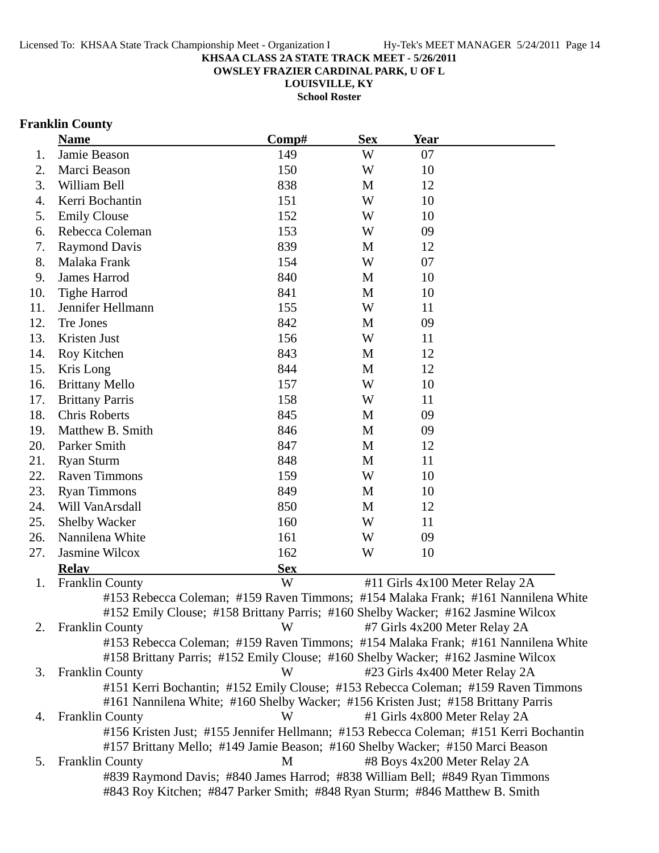**OWSLEY FRAZIER CARDINAL PARK, U OF L**

**LOUISVILLE, KY**

**School Roster**

## **Franklin County**

|     | <b>Name</b>                                                                                                                                                            | Comp#      | <b>Sex</b> | <b>Year</b>                   |                                |
|-----|------------------------------------------------------------------------------------------------------------------------------------------------------------------------|------------|------------|-------------------------------|--------------------------------|
| 1.  | Jamie Beason                                                                                                                                                           | 149        | W          | 07                            |                                |
| 2.  | Marci Beason                                                                                                                                                           | 150        | W          | 10                            |                                |
| 3.  | William Bell                                                                                                                                                           | 838        | M          | 12                            |                                |
| 4.  | Kerri Bochantin                                                                                                                                                        | 151        | W          | 10                            |                                |
| 5.  | <b>Emily Clouse</b>                                                                                                                                                    | 152        | W          | 10                            |                                |
| 6.  | Rebecca Coleman                                                                                                                                                        | 153        | W          | 09                            |                                |
| 7.  | <b>Raymond Davis</b>                                                                                                                                                   | 839        | M          | 12                            |                                |
| 8.  | Malaka Frank                                                                                                                                                           | 154        | W          | 07                            |                                |
| 9.  | James Harrod                                                                                                                                                           | 840        | M          | 10                            |                                |
| 10. | <b>Tighe Harrod</b>                                                                                                                                                    | 841        | M          | 10                            |                                |
| 11. | Jennifer Hellmann                                                                                                                                                      | 155        | W          | 11                            |                                |
| 12. | Tre Jones                                                                                                                                                              | 842        | M          | 09                            |                                |
| 13. | Kristen Just                                                                                                                                                           | 156        | W          | 11                            |                                |
| 14. | Roy Kitchen                                                                                                                                                            | 843        | M          | 12                            |                                |
| 15. | Kris Long                                                                                                                                                              | 844        | M          | 12                            |                                |
| 16. | <b>Brittany Mello</b>                                                                                                                                                  | 157        | W          | 10                            |                                |
| 17. | <b>Brittany Parris</b>                                                                                                                                                 | 158        | W          | 11                            |                                |
| 18. | <b>Chris Roberts</b>                                                                                                                                                   | 845        | M          | 09                            |                                |
| 19. | Matthew B. Smith                                                                                                                                                       | 846        | M          | 09                            |                                |
| 20. | Parker Smith                                                                                                                                                           | 847        | M          | 12                            |                                |
| 21. | <b>Ryan Sturm</b>                                                                                                                                                      | 848        | M          | 11                            |                                |
| 22. | <b>Raven Timmons</b>                                                                                                                                                   | 159        | W          | 10                            |                                |
| 23. | <b>Ryan Timmons</b>                                                                                                                                                    | 849        | M          | 10                            |                                |
| 24. | Will VanArsdall                                                                                                                                                        | 850        | M          | 12                            |                                |
| 25. | <b>Shelby Wacker</b>                                                                                                                                                   | 160        | W          | 11                            |                                |
| 26. | Nannilena White                                                                                                                                                        | 161        | W          | 09                            |                                |
| 27. | Jasmine Wilcox                                                                                                                                                         | 162        | W          | 10                            |                                |
|     | <b>Relay</b>                                                                                                                                                           | <b>Sex</b> |            |                               |                                |
| 1.  | <b>Franklin County</b>                                                                                                                                                 | W          |            |                               | #11 Girls 4x100 Meter Relay 2A |
|     | #153 Rebecca Coleman; #159 Raven Timmons; #154 Malaka Frank; #161 Nannilena White                                                                                      |            |            |                               |                                |
|     | #152 Emily Clouse; #158 Brittany Parris; #160 Shelby Wacker; #162 Jasmine Wilcox                                                                                       |            |            |                               |                                |
| 2.  | <b>Franklin County</b>                                                                                                                                                 | W          |            | #7 Girls 4x200 Meter Relay 2A |                                |
|     | #153 Rebecca Coleman; #159 Raven Timmons; #154 Malaka Frank; #161 Nannilena White                                                                                      |            |            |                               |                                |
|     | #158 Brittany Parris; #152 Emily Clouse; #160 Shelby Wacker; #162 Jasmine Wilcox                                                                                       |            |            |                               |                                |
| 3.  | <b>Franklin County</b>                                                                                                                                                 | W          |            |                               | #23 Girls 4x400 Meter Relay 2A |
|     | #151 Kerri Bochantin; #152 Emily Clouse; #153 Rebecca Coleman; #159 Raven Timmons                                                                                      |            |            |                               |                                |
|     | #161 Nannilena White; #160 Shelby Wacker; #156 Kristen Just; #158 Brittany Parris                                                                                      |            |            |                               |                                |
| 4.  | <b>Franklin County</b>                                                                                                                                                 | W          |            | #1 Girls 4x800 Meter Relay 2A |                                |
|     | #156 Kristen Just; #155 Jennifer Hellmann; #153 Rebecca Coleman; #151 Kerri Bochantin<br>#157 Brittany Mello; #149 Jamie Beason; #160 Shelby Wacker; #150 Marci Beason |            |            |                               |                                |
| 5.  | <b>Franklin County</b>                                                                                                                                                 | M          |            | #8 Boys 4x200 Meter Relay 2A  |                                |
|     | #839 Raymond Davis; #840 James Harrod; #838 William Bell; #849 Ryan Timmons                                                                                            |            |            |                               |                                |
|     | #843 Roy Kitchen; #847 Parker Smith; #848 Ryan Sturm; #846 Matthew B. Smith                                                                                            |            |            |                               |                                |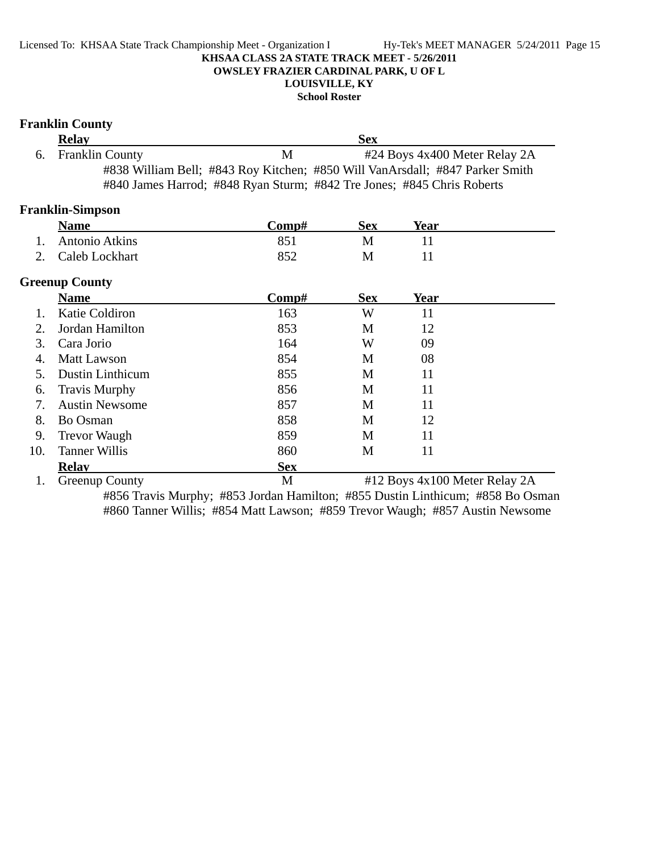## **LOUISVILLE, KY**

**School Roster**

|     | <b>Franklin County</b>  |                                                                        |            |                                                                              |
|-----|-------------------------|------------------------------------------------------------------------|------------|------------------------------------------------------------------------------|
|     | <b>Relay</b>            |                                                                        | <b>Sex</b> |                                                                              |
| 6.  | <b>Franklin County</b>  | M                                                                      |            | #24 Boys 4x400 Meter Relay 2A                                                |
|     |                         |                                                                        |            | #838 William Bell; #843 Roy Kitchen; #850 Will VanArsdall; #847 Parker Smith |
|     |                         | #840 James Harrod; #848 Ryan Sturm; #842 Tre Jones; #845 Chris Roberts |            |                                                                              |
|     | <b>Franklin-Simpson</b> |                                                                        |            |                                                                              |
|     | <b>Name</b>             | Comp#                                                                  | <b>Sex</b> | Year                                                                         |
| 1.  | <b>Antonio Atkins</b>   | 851                                                                    | M          | 11                                                                           |
| 2.  | Caleb Lockhart          | 852                                                                    | M          | 11                                                                           |
|     | <b>Greenup County</b>   |                                                                        |            |                                                                              |
|     | <b>Name</b>             | Comp#                                                                  | <b>Sex</b> | <b>Year</b>                                                                  |
| 1.  | Katie Coldiron          | 163                                                                    | W          | 11                                                                           |
| 2.  | Jordan Hamilton         | 853                                                                    | M          | 12                                                                           |
| 3.  | Cara Jorio              | 164                                                                    | W          | 09                                                                           |
| 4.  | <b>Matt Lawson</b>      | 854                                                                    | M          | 08                                                                           |
| 5.  | <b>Dustin Linthicum</b> | 855                                                                    | M          | 11                                                                           |
| 6.  | <b>Travis Murphy</b>    | 856                                                                    | M          | 11                                                                           |
| 7.  | <b>Austin Newsome</b>   | 857                                                                    | M          | 11                                                                           |
| 8.  | Bo Osman                | 858                                                                    | M          | 12                                                                           |
| 9.  | <b>Trevor Waugh</b>     | 859                                                                    | M          | 11                                                                           |
| 10. | <b>Tanner Willis</b>    | 860                                                                    | M          | 11                                                                           |
|     | <b>Relay</b>            | <b>Sex</b>                                                             |            |                                                                              |
| 1.  | <b>Greenup County</b>   | M                                                                      |            | #12 Boys 4x100 Meter Relay 2A                                                |

#856 Travis Murphy; #853 Jordan Hamilton; #855 Dustin Linthicum; #858 Bo Osman #860 Tanner Willis; #854 Matt Lawson; #859 Trevor Waugh; #857 Austin Newsome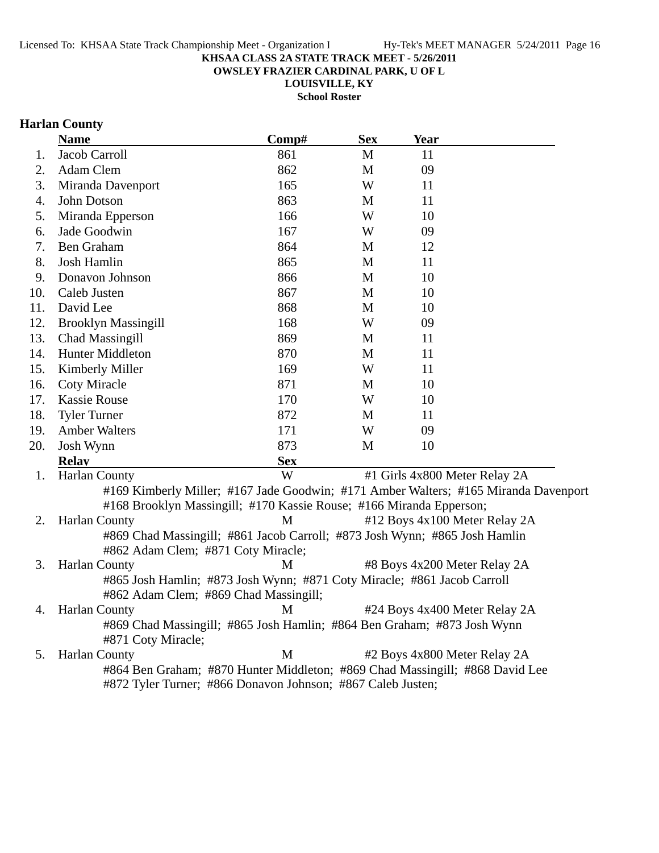**OWSLEY FRAZIER CARDINAL PARK, U OF L**

**LOUISVILLE, KY**

**School Roster**

## **Harlan County**

|     | <b>Name</b>                                                                         | Comp#      | <b>Sex</b>   | Year                          |  |
|-----|-------------------------------------------------------------------------------------|------------|--------------|-------------------------------|--|
| 1.  | Jacob Carroll                                                                       | 861        | $\mathbf{M}$ | 11                            |  |
| 2.  | Adam Clem                                                                           | 862        | $\mathbf M$  | 09                            |  |
| 3.  | Miranda Davenport                                                                   | 165        | W            | 11                            |  |
| 4.  | John Dotson                                                                         | 863        | M            | 11                            |  |
| 5.  | Miranda Epperson                                                                    | 166        | W            | 10                            |  |
| 6.  | Jade Goodwin                                                                        | 167        | W            | 09                            |  |
| 7.  | Ben Graham                                                                          | 864        | M            | 12                            |  |
| 8.  | Josh Hamlin                                                                         | 865        | M            | 11                            |  |
| 9.  | Donavon Johnson                                                                     | 866        | M            | 10                            |  |
| 10. | Caleb Justen                                                                        | 867        | M            | 10                            |  |
| 11. | David Lee                                                                           | 868        | M            | 10                            |  |
| 12. | <b>Brooklyn Massingill</b>                                                          | 168        | W            | 09                            |  |
| 13. | Chad Massingill                                                                     | 869        | M            | 11                            |  |
| 14. | Hunter Middleton                                                                    | 870        | M            | 11                            |  |
| 15. | Kimberly Miller                                                                     | 169        | W            | 11                            |  |
| 16. | <b>Coty Miracle</b>                                                                 | 871        | M            | 10                            |  |
| 17. | <b>Kassie Rouse</b>                                                                 | 170        | W            | 10                            |  |
| 18. | <b>Tyler Turner</b>                                                                 | 872        | M            | 11                            |  |
| 19. | <b>Amber Walters</b>                                                                | 171        | W            | 09                            |  |
| 20. | Josh Wynn                                                                           | 873        | M            | 10                            |  |
|     | <b>Relay</b>                                                                        | <b>Sex</b> |              |                               |  |
| 1.  | Harlan County                                                                       | W          |              | #1 Girls 4x800 Meter Relay 2A |  |
|     | #169 Kimberly Miller; #167 Jade Goodwin; #171 Amber Walters; #165 Miranda Davenport |            |              |                               |  |
|     | #168 Brooklyn Massingill; #170 Kassie Rouse; #166 Miranda Epperson;                 |            |              |                               |  |
| 2.  | Harlan County                                                                       | M          |              | #12 Boys 4x100 Meter Relay 2A |  |
|     | #869 Chad Massingill; #861 Jacob Carroll; #873 Josh Wynn; #865 Josh Hamlin          |            |              |                               |  |
|     | #862 Adam Clem; #871 Coty Miracle;                                                  |            |              |                               |  |
| 3.  | Harlan County                                                                       | M          |              | #8 Boys 4x200 Meter Relay 2A  |  |
|     | #865 Josh Hamlin; #873 Josh Wynn; #871 Coty Miracle; #861 Jacob Carroll             |            |              |                               |  |
|     | #862 Adam Clem; #869 Chad Massingill;                                               |            |              |                               |  |
| 4.  | <b>Harlan County</b>                                                                | M          |              | #24 Boys 4x400 Meter Relay 2A |  |
|     | #869 Chad Massingill; #865 Josh Hamlin; #864 Ben Graham; #873 Josh Wynn             |            |              |                               |  |
|     | #871 Coty Miracle;                                                                  |            |              |                               |  |
| 5.  | <b>Harlan County</b>                                                                | M          |              | #2 Boys 4x800 Meter Relay 2A  |  |
|     | #864 Ben Graham; #870 Hunter Middleton; #869 Chad Massingill; #868 David Lee        |            |              |                               |  |
|     | #872 Tyler Turner; #866 Donavon Johnson; #867 Caleb Justen;                         |            |              |                               |  |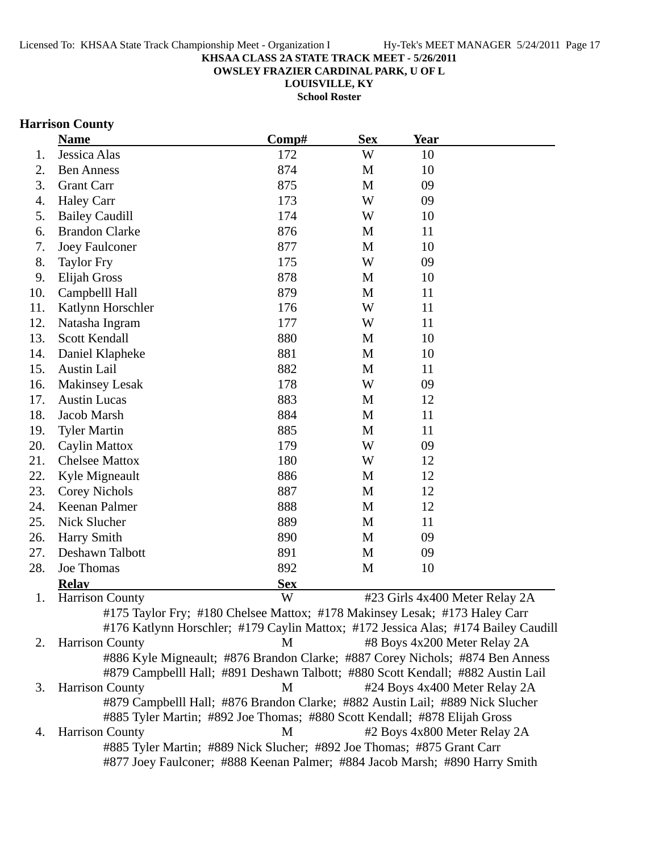**OWSLEY FRAZIER CARDINAL PARK, U OF L**

**LOUISVILLE, KY School Roster**

# **Harrison County**

|     | <b>Name</b>                                                                        | Comp#      | <b>Sex</b> | <b>Year</b> |                                |
|-----|------------------------------------------------------------------------------------|------------|------------|-------------|--------------------------------|
| 1.  | Jessica Alas                                                                       | 172        | W          | 10          |                                |
| 2.  | <b>Ben Anness</b>                                                                  | 874        | M          | 10          |                                |
| 3.  | <b>Grant Carr</b>                                                                  | 875        | M          | 09          |                                |
| 4.  | <b>Haley Carr</b>                                                                  | 173        | W          | 09          |                                |
| 5.  | <b>Bailey Caudill</b>                                                              | 174        | W          | 10          |                                |
| 6.  | <b>Brandon Clarke</b>                                                              | 876        | M          | 11          |                                |
| 7.  | <b>Joey Faulconer</b>                                                              | 877        | M          | 10          |                                |
| 8.  | <b>Taylor Fry</b>                                                                  | 175        | W          | 09          |                                |
| 9.  | <b>Elijah Gross</b>                                                                | 878        | M          | 10          |                                |
| 10. | Campbelll Hall                                                                     | 879        | M          | 11          |                                |
| 11. | Katlynn Horschler                                                                  | 176        | W          | 11          |                                |
| 12. | Natasha Ingram                                                                     | 177        | W          | 11          |                                |
| 13. | Scott Kendall                                                                      | 880        | M          | 10          |                                |
| 14. | Daniel Klapheke                                                                    | 881        | M          | 10          |                                |
| 15. | <b>Austin Lail</b>                                                                 | 882        | M          | 11          |                                |
| 16. | <b>Makinsey Lesak</b>                                                              | 178        | W          | 09          |                                |
| 17. | <b>Austin Lucas</b>                                                                | 883        | M          | 12          |                                |
| 18. | Jacob Marsh                                                                        | 884        | M          | 11          |                                |
| 19. | <b>Tyler Martin</b>                                                                | 885        | M          | 11          |                                |
| 20. | Caylin Mattox                                                                      | 179        | W          | 09          |                                |
| 21. | <b>Chelsee Mattox</b>                                                              | 180        | W          | 12          |                                |
| 22. | Kyle Migneault                                                                     | 886        | M          | 12          |                                |
| 23. | Corey Nichols                                                                      | 887        | M          | 12          |                                |
| 24. | Keenan Palmer                                                                      | 888        | M          | 12          |                                |
| 25. | Nick Slucher                                                                       | 889        | M          | 11          |                                |
| 26. | <b>Harry Smith</b>                                                                 | 890        | M          | 09          |                                |
| 27. | Deshawn Talbott                                                                    | 891        | M          | 09          |                                |
| 28. | Joe Thomas                                                                         | 892        | M          | 10          |                                |
|     | <b>Relay</b>                                                                       | <b>Sex</b> |            |             |                                |
| 1.  | <b>Harrison County</b>                                                             | W          |            |             | #23 Girls 4x400 Meter Relay 2A |
|     | #175 Taylor Fry; #180 Chelsee Mattox; #178 Makinsey Lesak; #173 Haley Carr         |            |            |             |                                |
|     | #176 Katlynn Horschler; #179 Caylin Mattox; #172 Jessica Alas; #174 Bailey Caudill |            |            |             |                                |
| 2.  | <b>Harrison County</b>                                                             | M          |            |             | #8 Boys 4x200 Meter Relay 2A   |
|     | #886 Kyle Migneault; #876 Brandon Clarke; #887 Corey Nichols; #874 Ben Anness      |            |            |             |                                |
|     | #879 Campbelll Hall; #891 Deshawn Talbott; #880 Scott Kendall; #882 Austin Lail    |            |            |             |                                |
| 3.  | <b>Harrison County</b>                                                             | M          |            |             | #24 Boys 4x400 Meter Relay 2A  |
|     | #879 Campbelll Hall; #876 Brandon Clarke; #882 Austin Lail; #889 Nick Slucher      |            |            |             |                                |
|     | #885 Tyler Martin; #892 Joe Thomas; #880 Scott Kendall; #878 Elijah Gross          |            |            |             |                                |
| 4.  | <b>Harrison County</b>                                                             | M          |            |             | #2 Boys 4x800 Meter Relay 2A   |
|     | #885 Tyler Martin; #889 Nick Slucher; #892 Joe Thomas; #875 Grant Carr             |            |            |             |                                |
|     | #877 Joey Faulconer; #888 Keenan Palmer; #884 Jacob Marsh; #890 Harry Smith        |            |            |             |                                |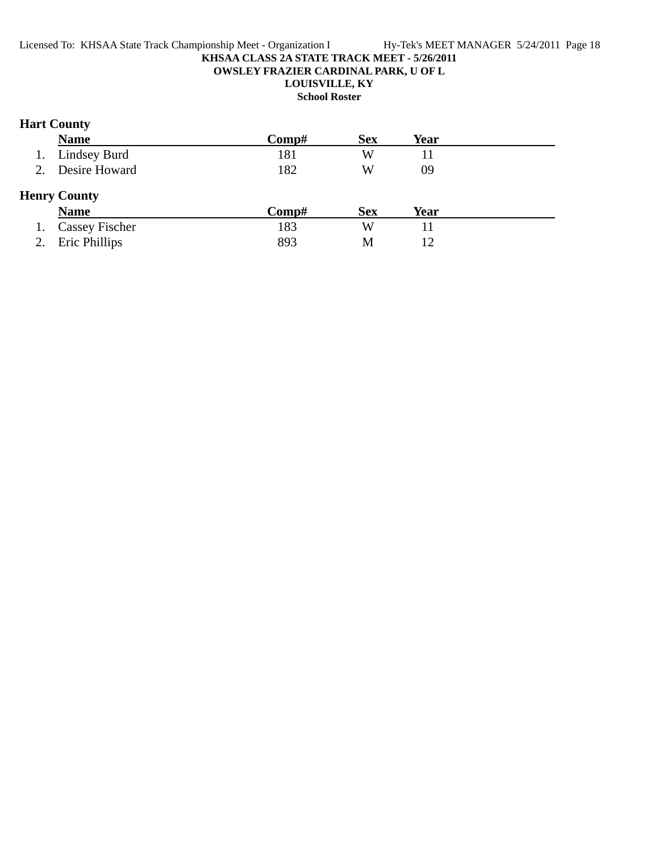## **Hart County**

| <b>Name</b>                        | Comp#        | <b>Sex</b> | Year |  |
|------------------------------------|--------------|------------|------|--|
| Lindsey Burd                       | 181          | W          |      |  |
| Desire Howard                      | 182          | W          | 09   |  |
| <b>Henry County</b><br><b>Name</b> | $\bf Comp\#$ | <b>Sex</b> | Year |  |
| <b>Cassey Fischer</b>              | 183          | W          |      |  |
| Eric Phillips                      | 893          | M          | 12   |  |
|                                    |              |            |      |  |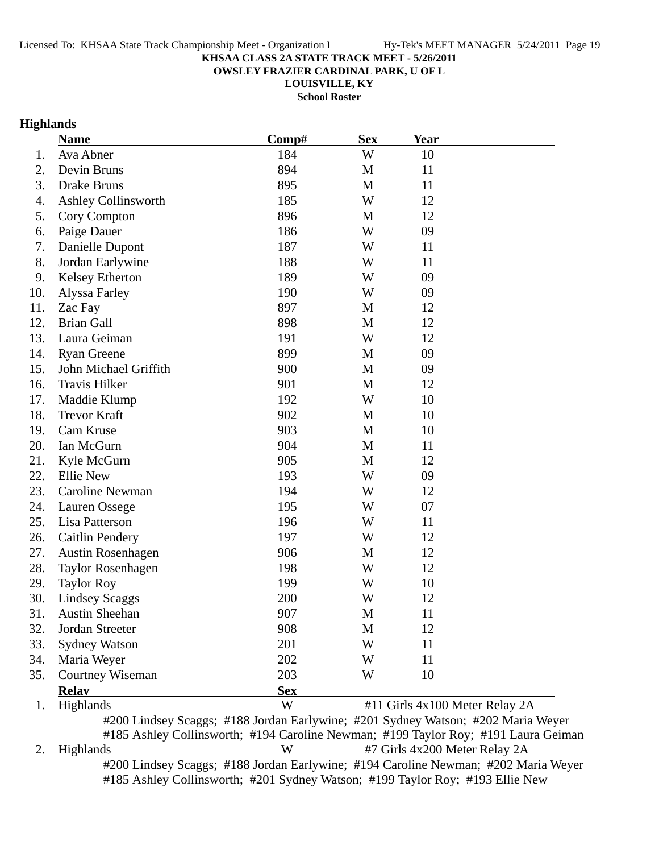**OWSLEY FRAZIER CARDINAL PARK, U OF L**

**LOUISVILLE, KY**

**School Roster**

## **Highlands**

|     | <b>Name</b>                                                                      | Comp#      | <b>Sex</b> | <b>Year</b> |                                |
|-----|----------------------------------------------------------------------------------|------------|------------|-------------|--------------------------------|
| 1.  | Ava Abner                                                                        | 184        | W          | 10          |                                |
| 2.  | Devin Bruns                                                                      | 894        | M          | 11          |                                |
| 3.  | Drake Bruns                                                                      | 895        | M          | 11          |                                |
| 4.  | Ashley Collinsworth                                                              | 185        | W          | 12          |                                |
| 5.  | Cory Compton                                                                     | 896        | M          | 12          |                                |
| 6.  | Paige Dauer                                                                      | 186        | W          | 09          |                                |
| 7.  | Danielle Dupont                                                                  | 187        | W          | 11          |                                |
| 8.  | Jordan Earlywine                                                                 | 188        | W          | 11          |                                |
| 9.  | Kelsey Etherton                                                                  | 189        | W          | 09          |                                |
| 10. | Alyssa Farley                                                                    | 190        | W          | 09          |                                |
| 11. | Zac Fay                                                                          | 897        | M          | 12          |                                |
| 12. | <b>Brian Gall</b>                                                                | 898        | M          | 12          |                                |
| 13. | Laura Geiman                                                                     | 191        | W          | 12          |                                |
| 14. | <b>Ryan Greene</b>                                                               | 899        | M          | 09          |                                |
| 15. | John Michael Griffith                                                            | 900        | M          | 09          |                                |
| 16. | <b>Travis Hilker</b>                                                             | 901        | M          | 12          |                                |
| 17. | Maddie Klump                                                                     | 192        | W          | 10          |                                |
| 18. | <b>Trevor Kraft</b>                                                              | 902        | M          | 10          |                                |
| 19. | Cam Kruse                                                                        | 903        | M          | 10          |                                |
| 20. | Ian McGurn                                                                       | 904        | M          | 11          |                                |
| 21. | Kyle McGurn                                                                      | 905        | M          | 12          |                                |
| 22. | <b>Ellie New</b>                                                                 | 193        | W          | 09          |                                |
| 23. | Caroline Newman                                                                  | 194        | W          | 12          |                                |
| 24. | Lauren Ossege                                                                    | 195        | W          | 07          |                                |
| 25. | Lisa Patterson                                                                   | 196        | W          | 11          |                                |
| 26. | <b>Caitlin Pendery</b>                                                           | 197        | W          | 12          |                                |
| 27. | <b>Austin Rosenhagen</b>                                                         | 906        | M          | 12          |                                |
| 28. | <b>Taylor Rosenhagen</b>                                                         | 198        | W          | 12          |                                |
| 29. | <b>Taylor Roy</b>                                                                | 199        | W          | 10          |                                |
| 30. | <b>Lindsey Scaggs</b>                                                            | 200        | W          | 12          |                                |
| 31. | Austin Sheehan                                                                   | 907        | M          | 11          |                                |
| 32. | Jordan Streeter                                                                  | 908        | M          | 12          |                                |
| 33. | <b>Sydney Watson</b>                                                             | 201        | W          | 11          |                                |
| 34. | Maria Weyer                                                                      | 202        | W          | 11          |                                |
| 35. | Courtney Wiseman                                                                 | 203        | W          | 10          |                                |
|     | <b>Relay</b>                                                                     | <b>Sex</b> |            |             |                                |
| 1.  | Highlands                                                                        | W          |            |             | #11 Girls 4x100 Meter Relay 2A |
|     | #200 Lindsey Scaggs; #188 Jordan Earlywine; #201 Sydney Watson; #202 Maria Weyer |            |            |             |                                |

#185 Ashley Collinsworth; #194 Caroline Newman; #199 Taylor Roy; #191 Laura Geiman 2. Highlands W #7 Girls 4x200 Meter Relay 2A #200 Lindsey Scaggs; #188 Jordan Earlywine; #194 Caroline Newman; #202 Maria Weyer #185 Ashley Collinsworth; #201 Sydney Watson; #199 Taylor Roy; #193 Ellie New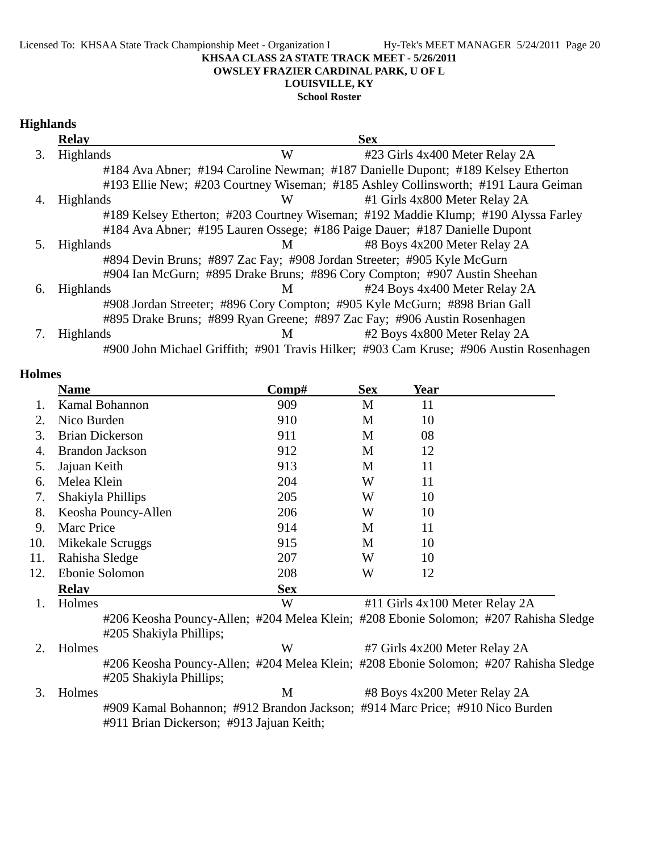Licensed To: KHSAA State Track Championship Meet - Organization I Hy-Tek's MEET MANAGER 5/24/2011 Page 20

## **KHSAA CLASS 2A STATE TRACK MEET - 5/26/2011**

## **OWSLEY FRAZIER CARDINAL PARK, U OF L**

**LOUISVILLE, KY**

## **School Roster**

|    | <b>Relay</b>     |   | <b>Sex</b>                                                                             |
|----|------------------|---|----------------------------------------------------------------------------------------|
| 3. | Highlands        | W | #23 Girls 4x400 Meter Relay 2A                                                         |
|    |                  |   | #184 Ava Abner; #194 Caroline Newman; #187 Danielle Dupont; #189 Kelsey Etherton       |
|    |                  |   | #193 Ellie New; #203 Courtney Wiseman; #185 Ashley Collinsworth; #191 Laura Geiman     |
| 4. | <b>Highlands</b> | W | #1 Girls 4x800 Meter Relay 2A                                                          |
|    |                  |   | #189 Kelsey Etherton; #203 Courtney Wiseman; #192 Maddie Klump; #190 Alyssa Farley     |
|    |                  |   | #184 Ava Abner; #195 Lauren Ossege; #186 Paige Dauer; #187 Danielle Dupont             |
|    | <b>Highlands</b> | M | #8 Boys 4x200 Meter Relay 2A                                                           |
|    |                  |   | #894 Devin Bruns; #897 Zac Fay; #908 Jordan Streeter; #905 Kyle McGurn                 |
|    |                  |   | #904 Ian McGurn; #895 Drake Bruns; #896 Cory Compton; #907 Austin Sheehan              |
| 6. | <b>Highlands</b> | M | #24 Boys 4x400 Meter Relay 2A                                                          |
|    |                  |   | #908 Jordan Streeter; #896 Cory Compton; #905 Kyle McGurn; #898 Brian Gall             |
|    |                  |   | #895 Drake Bruns; #899 Ryan Greene; #897 Zac Fay; #906 Austin Rosenhagen               |
|    | <b>Highlands</b> | M | #2 Boys 4x800 Meter Relay 2A                                                           |
|    |                  |   | #900 John Michael Griffith; #901 Travis Hilker; #903 Cam Kruse; #906 Austin Rosenhagen |

#### **Holmes**

|             | <b>Name</b>            | Comp#      | <b>Sex</b> | Year                           |  |
|-------------|------------------------|------------|------------|--------------------------------|--|
|             | Kamal Bohannon         | 909        | M          | 11                             |  |
| $2_{\cdot}$ | Nico Burden            | 910        | M          | 10                             |  |
| 3.          | <b>Brian Dickerson</b> | 911        | M          | 08                             |  |
| 4.          | <b>Brandon Jackson</b> | 912        | M          | 12                             |  |
| 5.          | Jajuan Keith           | 913        | М          | 11                             |  |
| 6.          | Melea Klein            | 204        | W          | 11                             |  |
| 7.          | Shakiyla Phillips      | 205        | W          | 10                             |  |
| 8.          | Keosha Pouncy-Allen    | 206        | W          | 10                             |  |
| 9.          | <b>Marc Price</b>      | 914        | M          | 11                             |  |
| 10.         | Mikekale Scruggs       | 915        | M          | 10                             |  |
| 11.         | Rahisha Sledge         | 207        | W          | 10                             |  |
| 12.         | Ebonie Solomon         | 208        | W          | 12                             |  |
|             | <b>Relav</b>           | <b>Sex</b> |            |                                |  |
|             | Holmes                 | W          |            | #11 Girls 4x100 Meter Relay 2A |  |

#206 Keosha Pouncy-Allen; #204 Melea Klein; #208 Ebonie Solomon; #207 Rahisha Sledge #205 Shakiyla Phillips;

2. Holmes W #7 Girls 4x200 Meter Relay 2A #206 Keosha Pouncy-Allen; #204 Melea Klein; #208 Ebonie Solomon; #207 Rahisha Sledge #205 Shakiyla Phillips; 3. Holmes M #8 Boys 4x200 Meter Relay 2A

#909 Kamal Bohannon; #912 Brandon Jackson; #914 Marc Price; #910 Nico Burden #911 Brian Dickerson; #913 Jajuan Keith;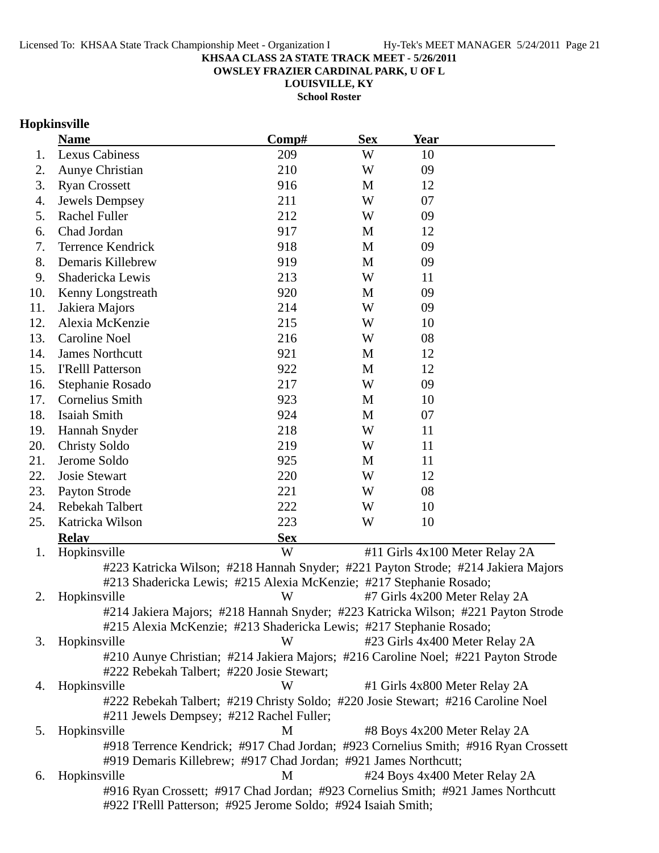**OWSLEY FRAZIER CARDINAL PARK, U OF L**

**LOUISVILLE, KY School Roster**

## **Hopkinsville**

|     | <b>Name</b>                                                                        | Comp#      | <b>Sex</b> | <b>Year</b>                   |                                |
|-----|------------------------------------------------------------------------------------|------------|------------|-------------------------------|--------------------------------|
| 1.  | Lexus Cabiness                                                                     | 209        | W          | 10                            |                                |
| 2.  | Aunye Christian                                                                    | 210        | W          | 09                            |                                |
| 3.  | <b>Ryan Crossett</b>                                                               | 916        | M          | 12                            |                                |
| 4.  | Jewels Dempsey                                                                     | 211        | W          | 07                            |                                |
| 5.  | Rachel Fuller                                                                      | 212        | W          | 09                            |                                |
| 6.  | Chad Jordan                                                                        | 917        | M          | 12                            |                                |
| 7.  | <b>Terrence Kendrick</b>                                                           | 918        | M          | 09                            |                                |
| 8.  | Demaris Killebrew                                                                  | 919        | M          | 09                            |                                |
| 9.  | Shadericka Lewis                                                                   | 213        | W          | 11                            |                                |
| 10. | Kenny Longstreath                                                                  | 920        | M          | 09                            |                                |
| 11. | Jakiera Majors                                                                     | 214        | W          | 09                            |                                |
| 12. | Alexia McKenzie                                                                    | 215        | W          | 10                            |                                |
| 13. | <b>Caroline Noel</b>                                                               | 216        | W          | 08                            |                                |
| 14. | <b>James Northcutt</b>                                                             | 921        | M          | 12                            |                                |
| 15. | <b>I'Relll Patterson</b>                                                           | 922        | M          | 12                            |                                |
| 16. | Stephanie Rosado                                                                   | 217        | W          | 09                            |                                |
| 17. | Cornelius Smith                                                                    | 923        | M          | 10                            |                                |
| 18. | <b>Isaiah Smith</b>                                                                | 924        | M          | 07                            |                                |
| 19. | Hannah Snyder                                                                      | 218        | W          | 11                            |                                |
| 20. | <b>Christy Soldo</b>                                                               | 219        | W          | 11                            |                                |
| 21. | Jerome Soldo                                                                       | 925        | M          | 11                            |                                |
| 22. | <b>Josie Stewart</b>                                                               | 220        | W          | 12                            |                                |
| 23. | Payton Strode                                                                      | 221        | W          | 08                            |                                |
| 24. | Rebekah Talbert                                                                    | 222        | W          | 10                            |                                |
| 25. | Katricka Wilson                                                                    | 223        | W          | 10                            |                                |
|     | <b>Relav</b>                                                                       | <b>Sex</b> |            |                               |                                |
| 1.  | Hopkinsville                                                                       | W          |            |                               | #11 Girls 4x100 Meter Relay 2A |
|     | #223 Katricka Wilson; #218 Hannah Snyder; #221 Payton Strode; #214 Jakiera Majors  |            |            |                               |                                |
|     | #213 Shadericka Lewis; #215 Alexia McKenzie; #217 Stephanie Rosado;                |            |            |                               |                                |
| 2.  | Hopkinsville                                                                       | W          |            | #7 Girls 4x200 Meter Relay 2A |                                |
|     | #214 Jakiera Majors; #218 Hannah Snyder; #223 Katricka Wilson; #221 Payton Strode  |            |            |                               |                                |
|     | #215 Alexia McKenzie; #213 Shadericka Lewis; #217 Stephanie Rosado;                |            |            |                               |                                |
| 3.  | Hopkinsville                                                                       | W          |            |                               | #23 Girls 4x400 Meter Relay 2A |
|     | #210 Aunye Christian; #214 Jakiera Majors; #216 Caroline Noel; #221 Payton Strode  |            |            |                               |                                |
|     | #222 Rebekah Talbert; #220 Josie Stewart;                                          |            |            |                               |                                |
| 4.  | Hopkinsville                                                                       | W          |            | #1 Girls 4x800 Meter Relay 2A |                                |
|     | #222 Rebekah Talbert; #219 Christy Soldo; #220 Josie Stewart; #216 Caroline Noel   |            |            |                               |                                |
|     | #211 Jewels Dempsey; #212 Rachel Fuller;                                           |            |            |                               |                                |
| 5.  | Hopkinsville                                                                       | M          |            | #8 Boys 4x200 Meter Relay 2A  |                                |
|     | #918 Terrence Kendrick; #917 Chad Jordan; #923 Cornelius Smith; #916 Ryan Crossett |            |            |                               |                                |
|     | #919 Demaris Killebrew; #917 Chad Jordan; #921 James Northcutt;                    |            |            |                               |                                |
| 6.  | Hopkinsville                                                                       | M          |            |                               | #24 Boys 4x400 Meter Relay 2A  |
|     | #916 Ryan Crossett; #917 Chad Jordan; #923 Cornelius Smith; #921 James Northcutt   |            |            |                               |                                |
|     | #922 I'Relll Patterson; #925 Jerome Soldo; #924 Isaiah Smith;                      |            |            |                               |                                |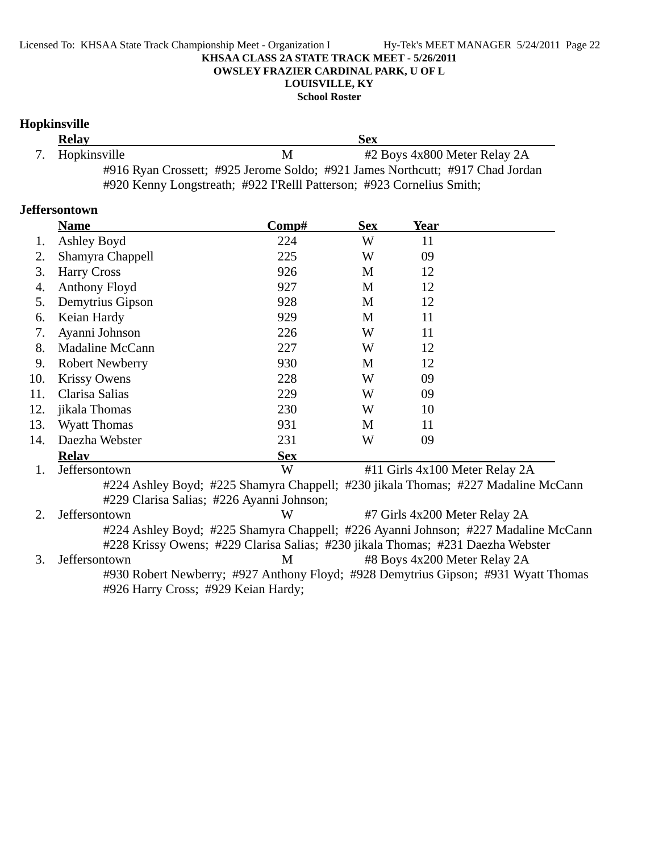**School Roster**

## **Hopkinsville**

| <b>Relay</b>    |   | <b>Sex</b>                                                                    |
|-----------------|---|-------------------------------------------------------------------------------|
| 7. Hopkinsville | М | #2 Boys 4x800 Meter Relay 2A                                                  |
|                 |   | #916 Ryan Crossett; #925 Jerome Soldo; #921 James Northcutt; #917 Chad Jordan |
|                 |   | #920 Kenny Longstreath; #922 I'Relll Patterson; #923 Cornelius Smith;         |

### **Jeffersontown**

|     | <b>Name</b>                               | Comp#                                                                           | <b>Sex</b> | <u>Year</u> |                                                                                    |
|-----|-------------------------------------------|---------------------------------------------------------------------------------|------------|-------------|------------------------------------------------------------------------------------|
| 1.  | Ashley Boyd                               | 224                                                                             | W          | 11          |                                                                                    |
| 2.  | Shamyra Chappell                          | 225                                                                             | W          | 09          |                                                                                    |
| 3.  | <b>Harry Cross</b>                        | 926                                                                             | M          | 12          |                                                                                    |
| 4.  | Anthony Floyd                             | 927                                                                             | M          | 12          |                                                                                    |
| 5.  | Demytrius Gipson                          | 928                                                                             | M          | 12          |                                                                                    |
| 6.  | Keian Hardy                               | 929                                                                             | M          | 11          |                                                                                    |
| 7.  | Ayanni Johnson                            | 226                                                                             | W          | 11          |                                                                                    |
| 8.  | Madaline McCann                           | 227                                                                             | W          | 12          |                                                                                    |
| 9.  | <b>Robert Newberry</b>                    | 930                                                                             | M          | 12          |                                                                                    |
| 10. | <b>Krissy Owens</b>                       | 228                                                                             | W          | 09          |                                                                                    |
| 11. | Clarisa Salias                            | 229                                                                             | W          | 09          |                                                                                    |
| 12. | jikala Thomas                             | 230                                                                             | W          | 10          |                                                                                    |
| 13. | <b>Wyatt Thomas</b>                       | 931                                                                             | M          | 11          |                                                                                    |
| 14. | Daezha Webster                            | 231                                                                             | W          | 09          |                                                                                    |
|     | <b>Relay</b>                              | <b>Sex</b>                                                                      |            |             |                                                                                    |
| 1.  | Jeffersontown                             | W                                                                               |            |             | #11 Girls 4x100 Meter Relay 2A                                                     |
|     |                                           |                                                                                 |            |             | #224 Ashley Boyd; #225 Shamyra Chappell; #230 jikala Thomas; #227 Madaline McCann  |
|     | #229 Clarisa Salias; #226 Ayanni Johnson; |                                                                                 |            |             |                                                                                    |
| 2.  | Jeffersontown                             | W                                                                               |            |             | #7 Girls 4x200 Meter Relay 2A                                                      |
|     |                                           |                                                                                 |            |             | #224 Ashley Boyd; #225 Shamyra Chappell; #226 Ayanni Johnson; #227 Madaline McCann |
|     |                                           | #228 Krissy Owens; #229 Clarisa Salias; #230 jikala Thomas; #231 Daezha Webster |            |             |                                                                                    |
| 3.  | Jeffersontown                             | М                                                                               |            |             | #8 Boys 4x200 Meter Relay 2A                                                       |
|     |                                           |                                                                                 |            |             | #930 Robert Newberry; #927 Anthony Floyd; #928 Demytrius Gipson; #931 Wyatt Thomas |
|     | #926 Harry Cross; #929 Keian Hardy;       |                                                                                 |            |             |                                                                                    |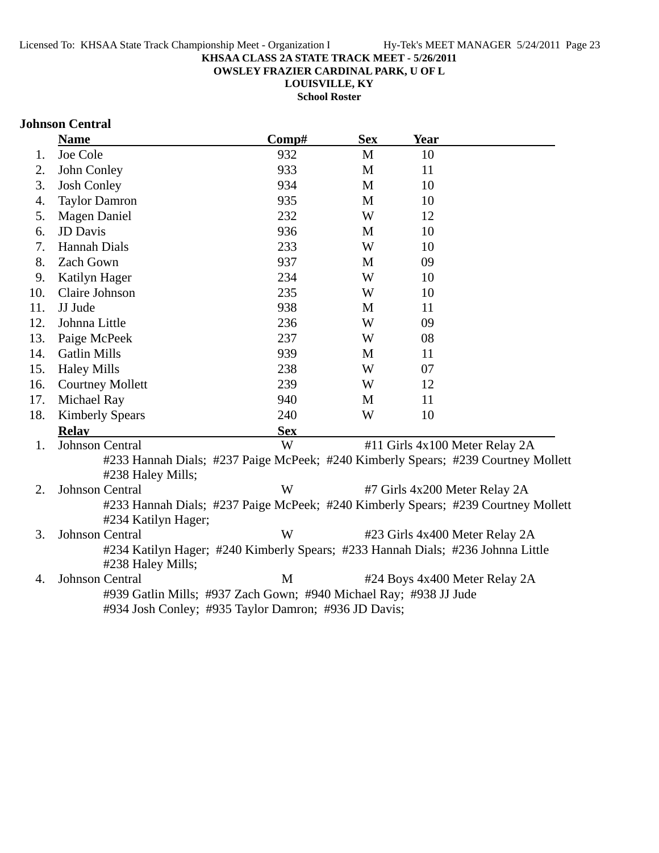**OWSLEY FRAZIER CARDINAL PARK, U OF L**

**LOUISVILLE, KY**

**School Roster**

### **Johnson Central**

|     | <b>Name</b>             | Comp#                                                                           | <b>Sex</b> | <b>Year</b> |                                                                                   |
|-----|-------------------------|---------------------------------------------------------------------------------|------------|-------------|-----------------------------------------------------------------------------------|
| 1.  | Joe Cole                | 932                                                                             | M          | 10          |                                                                                   |
| 2.  | John Conley             | 933                                                                             | M          | 11          |                                                                                   |
| 3.  | <b>Josh Conley</b>      | 934                                                                             | M          | 10          |                                                                                   |
| 4.  | <b>Taylor Damron</b>    | 935                                                                             | M          | 10          |                                                                                   |
| 5.  | <b>Magen Daniel</b>     | 232                                                                             | W          | 12          |                                                                                   |
| 6.  | <b>JD</b> Davis         | 936                                                                             | M          | 10          |                                                                                   |
| 7.  | Hannah Dials            | 233                                                                             | W          | 10          |                                                                                   |
| 8.  | <b>Zach Gown</b>        | 937                                                                             | M          | 09          |                                                                                   |
| 9.  | Katilyn Hager           | 234                                                                             | W          | 10          |                                                                                   |
| 10. | Claire Johnson          | 235                                                                             | W          | 10          |                                                                                   |
| 11. | JJ Jude                 | 938                                                                             | M          | 11          |                                                                                   |
| 12. | Johnna Little           | 236                                                                             | W          | 09          |                                                                                   |
| 13. | Paige McPeek            | 237                                                                             | W          | 08          |                                                                                   |
| 14. | <b>Gatlin Mills</b>     | 939                                                                             | M          | 11          |                                                                                   |
| 15. | <b>Haley Mills</b>      | 238                                                                             | W          | 07          |                                                                                   |
| 16. | <b>Courtney Mollett</b> | 239                                                                             | W          | 12          |                                                                                   |
| 17. | Michael Ray             | 940                                                                             | M          | 11          |                                                                                   |
| 18. | <b>Kimberly Spears</b>  | 240                                                                             | W          | 10          |                                                                                   |
|     | <b>Relay</b>            | <b>Sex</b>                                                                      |            |             |                                                                                   |
| 1.  | <b>Johnson Central</b>  | W                                                                               |            |             | #11 Girls 4x100 Meter Relay 2A                                                    |
|     | #238 Haley Mills;       |                                                                                 |            |             | #233 Hannah Dials; #237 Paige McPeek; #240 Kimberly Spears; #239 Courtney Mollett |
| 2.  | Johnson Central         | W                                                                               |            |             | #7 Girls 4x200 Meter Relay 2A                                                     |
|     | #234 Katilyn Hager;     |                                                                                 |            |             | #233 Hannah Dials; #237 Paige McPeek; #240 Kimberly Spears; #239 Courtney Mollett |
| 3.  | Johnson Central         | W                                                                               |            |             | #23 Girls 4x400 Meter Relay 2A                                                    |
|     | #238 Haley Mills;       | #234 Katilyn Hager; #240 Kimberly Spears; #233 Hannah Dials; #236 Johnna Little |            |             |                                                                                   |
| 4.  | <b>Johnson Central</b>  | M                                                                               |            |             | #24 Boys 4x400 Meter Relay 2A                                                     |
|     |                         | #939 Gatlin Mills; #937 Zach Gown; #940 Michael Ray; #938 JJ Jude               |            |             |                                                                                   |
|     |                         | #934 Josh Conley; #935 Taylor Damron; #936 JD Davis;                            |            |             |                                                                                   |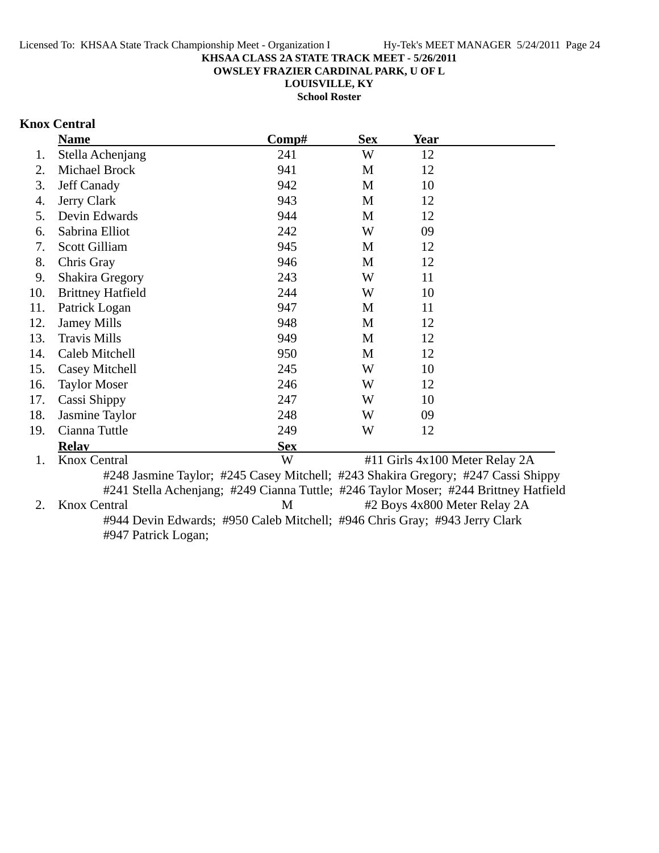**OWSLEY FRAZIER CARDINAL PARK, U OF L**

**LOUISVILLE, KY School Roster**

## **Knox Central**

|     | <b>Name</b>              | Comp#                                                                                | <b>Sex</b> | <u>Year</u> |                                |
|-----|--------------------------|--------------------------------------------------------------------------------------|------------|-------------|--------------------------------|
| 1.  | Stella Achenjang         | 241                                                                                  | W          | 12          |                                |
| 2.  | Michael Brock            | 941                                                                                  | M          | 12          |                                |
| 3.  | Jeff Canady              | 942                                                                                  | M          | 10          |                                |
| 4.  | Jerry Clark              | 943                                                                                  | M          | 12          |                                |
| 5.  | Devin Edwards            | 944                                                                                  | M          | 12          |                                |
| 6.  | Sabrina Elliot           | 242                                                                                  | W          | 09          |                                |
| 7.  | <b>Scott Gilliam</b>     | 945                                                                                  | M          | 12          |                                |
| 8.  | Chris Gray               | 946                                                                                  | M          | 12          |                                |
| 9.  | <b>Shakira Gregory</b>   | 243                                                                                  | W          | 11          |                                |
| 10. | <b>Brittney Hatfield</b> | 244                                                                                  | W          | 10          |                                |
| 11. | Patrick Logan            | 947                                                                                  | M          | 11          |                                |
| 12. | <b>Jamey Mills</b>       | 948                                                                                  | M          | 12          |                                |
| 13. | <b>Travis Mills</b>      | 949                                                                                  | M          | 12          |                                |
| 14. | Caleb Mitchell           | 950                                                                                  | M          | 12          |                                |
| 15. | Casey Mitchell           | 245                                                                                  | W          | 10          |                                |
| 16. | <b>Taylor Moser</b>      | 246                                                                                  | W          | 12          |                                |
| 17. | Cassi Shippy             | 247                                                                                  | W          | 10          |                                |
| 18. | Jasmine Taylor           | 248                                                                                  | W          | 09          |                                |
| 19. | Cianna Tuttle            | 249                                                                                  | W          | 12          |                                |
|     | <b>Relay</b>             | <b>Sex</b>                                                                           |            |             |                                |
| 1.  | <b>Knox Central</b>      | W                                                                                    |            |             | #11 Girls 4x100 Meter Relay 2A |
|     |                          | #248 Jasmine Taylor; #245 Casey Mitchell; #243 Shakira Gregory; #247 Cassi Shippy    |            |             |                                |
|     |                          | #241 Stella Achenjang; #249 Cianna Tuttle; #246 Taylor Moser; #244 Brittney Hatfield |            |             |                                |
| 2.  | <b>Knox Central</b>      | M                                                                                    |            |             | #2 Boys 4x800 Meter Relay 2A   |
|     |                          | #944 Devin Edwards; #950 Caleb Mitchell; #946 Chris Gray; #943 Jerry Clark           |            |             |                                |

#947 Patrick Logan;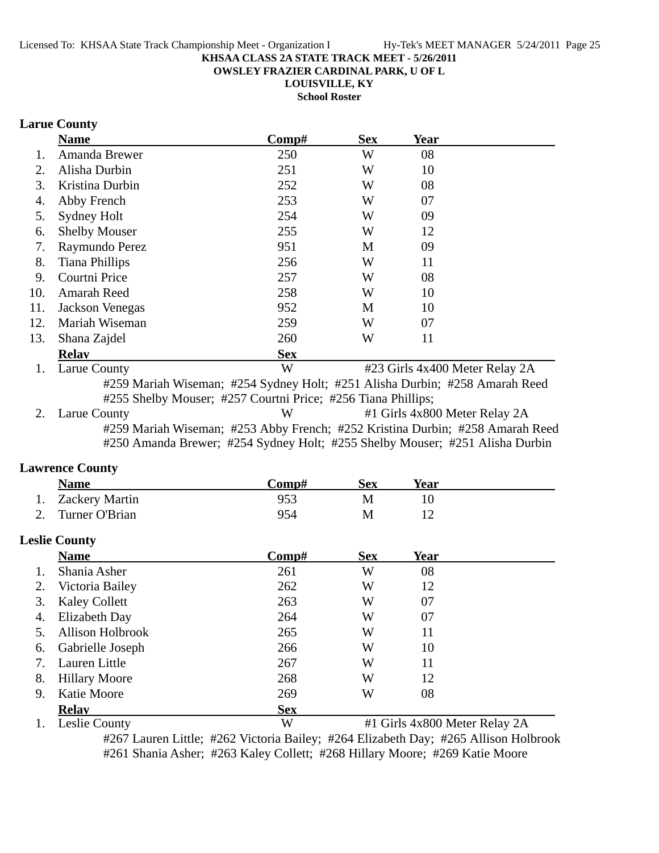**OWSLEY FRAZIER CARDINAL PARK, U OF L**

**LOUISVILLE, KY**

**School Roster**

## **Larue County**

|     | <b>Name</b>          | Comp#      | <b>Sex</b> | <b>Year</b>                    |  |
|-----|----------------------|------------|------------|--------------------------------|--|
|     | Amanda Brewer        | 250        | W          | 08                             |  |
| 2.  | Alisha Durbin        | 251        | W          | 10                             |  |
| 3.  | Kristina Durbin      | 252        | W          | 08                             |  |
| 4.  | Abby French          | 253        | W          | 07                             |  |
| 5.  | Sydney Holt          | 254        | W          | 09                             |  |
| 6.  | <b>Shelby Mouser</b> | 255        | W          | 12                             |  |
| 7.  | Raymundo Perez       | 951        | M          | 09                             |  |
| 8.  | Tiana Phillips       | 256        | W          | 11                             |  |
| 9.  | Courtni Price        | 257        | W          | 08                             |  |
| 10. | Amarah Reed          | 258        | W          | 10                             |  |
| 11. | Jackson Venegas      | 952        | M          | 10                             |  |
| 12. | Mariah Wiseman       | 259        | W          | 07                             |  |
| 13. | Shana Zajdel         | 260        | W          | 11                             |  |
|     | <b>Relav</b>         | <b>Sex</b> |            |                                |  |
|     | Larue County         | W          |            | #23 Girls 4x400 Meter Relay 2A |  |

#259 Mariah Wiseman; #254 Sydney Holt; #251 Alisha Durbin; #258 Amarah Reed #255 Shelby Mouser; #257 Courtni Price; #256 Tiana Phillips;

2. Larue County W #1 Girls 4x800 Meter Relay 2A #259 Mariah Wiseman; #253 Abby French; #252 Kristina Durbin; #258 Amarah Reed #250 Amanda Brewer; #254 Sydney Holt; #255 Shelby Mouser; #251 Alisha Durbin

#### **Lawrence County**

|    | <b>Name</b>           | Comp# | <b>Sex</b> | Year |  |
|----|-----------------------|-------|------------|------|--|
| 1. | <b>Zackery Martin</b> | 953   | М          | 10   |  |
| 2. | Turner O'Brian        | 954   | М          | 12   |  |
|    | <b>Leslie County</b>  |       |            |      |  |
|    | <b>Name</b>           | Comp# | <b>Sex</b> | Year |  |
|    | Shania Asher          | 261   | W          | 08   |  |
|    | Victoria Bailey       | 262   | W          | 12   |  |
| 3. | <b>Kaley Collett</b>  | 263   | W          | 07   |  |

| 4. | Elizabeth Day       | 264        | W |                               |  |
|----|---------------------|------------|---|-------------------------------|--|
|    | 5. Allison Holbrook | 265        | W |                               |  |
|    | 6. Gabrielle Joseph | 266        | W | 10                            |  |
|    | 7. Lauren Little    | 267        | W | 11                            |  |
|    | 8. Hillary Moore    | 268        | W | 12                            |  |
| 9. | Katie Moore         | 269        | W | 08                            |  |
|    | <b>Relay</b>        | <b>Sex</b> |   |                               |  |
|    | 1. Leslie County    | W          |   | #1 Girls 4x800 Meter Relay 2A |  |

#267 Lauren Little; #262 Victoria Bailey; #264 Elizabeth Day; #265 Allison Holbrook #261 Shania Asher; #263 Kaley Collett; #268 Hillary Moore; #269 Katie Moore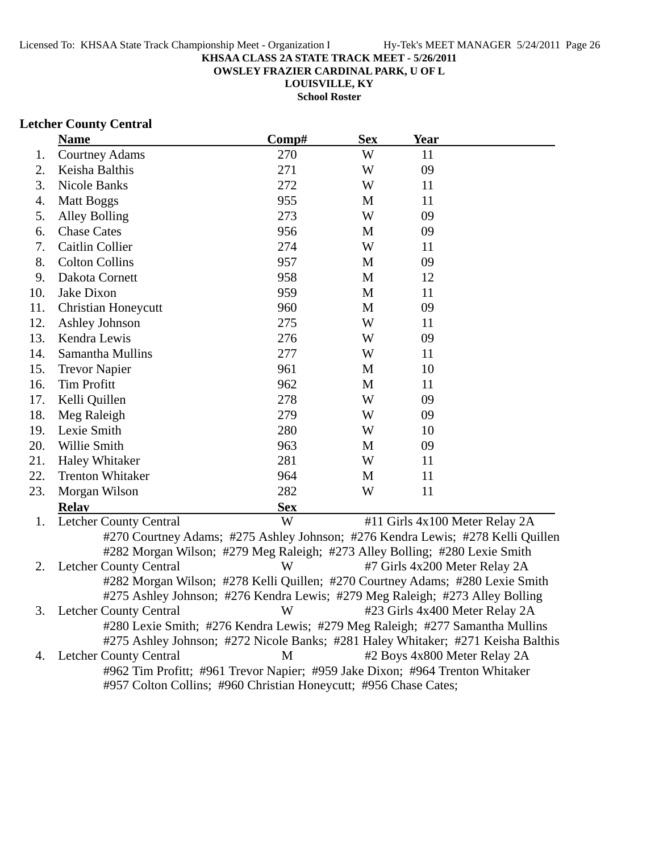**OWSLEY FRAZIER CARDINAL PARK, U OF L**

**LOUISVILLE, KY School Roster**

### **Letcher County Central**

|     | <b>Name</b>                                                                      | Comp#      | <b>Sex</b>  | <b>Year</b>                   |                                |
|-----|----------------------------------------------------------------------------------|------------|-------------|-------------------------------|--------------------------------|
| 1.  | <b>Courtney Adams</b>                                                            | 270        | W           | 11                            |                                |
| 2.  | Keisha Balthis                                                                   | 271        | W           | 09                            |                                |
| 3.  | <b>Nicole Banks</b>                                                              | 272        | W           | 11                            |                                |
| 4.  | <b>Matt Boggs</b>                                                                | 955        | M           | 11                            |                                |
| 5.  | Alley Bolling                                                                    | 273        | W           | 09                            |                                |
| 6.  | <b>Chase Cates</b>                                                               | 956        | M           | 09                            |                                |
| 7.  | Caitlin Collier                                                                  | 274        | W           | 11                            |                                |
| 8.  | <b>Colton Collins</b>                                                            | 957        | M           | 09                            |                                |
| 9.  | Dakota Cornett                                                                   | 958        | $\mathbf M$ | 12                            |                                |
| 10. | Jake Dixon                                                                       | 959        | M           | 11                            |                                |
| 11. | <b>Christian Honeycutt</b>                                                       | 960        | M           | 09                            |                                |
| 12. | Ashley Johnson                                                                   | 275        | W           | 11                            |                                |
| 13. | Kendra Lewis                                                                     | 276        | W           | 09                            |                                |
| 14. | Samantha Mullins                                                                 | 277        | W           | 11                            |                                |
| 15. | <b>Trevor Napier</b>                                                             | 961        | M           | 10                            |                                |
| 16. | <b>Tim Profitt</b>                                                               | 962        | M           | 11                            |                                |
| 17. | Kelli Quillen                                                                    | 278        | W           | 09                            |                                |
| 18. | Meg Raleigh                                                                      | 279        | W           | 09                            |                                |
| 19. | Lexie Smith                                                                      | 280        | W           | 10                            |                                |
| 20. | Willie Smith                                                                     | 963        | M           | 09                            |                                |
| 21. | Haley Whitaker                                                                   | 281        | W           | 11                            |                                |
| 22. | <b>Trenton Whitaker</b>                                                          | 964        | M           | 11                            |                                |
| 23. | Morgan Wilson                                                                    | 282        | W           | 11                            |                                |
|     | <b>Relav</b>                                                                     | <b>Sex</b> |             |                               |                                |
| 1.  | <b>Letcher County Central</b>                                                    | W          |             |                               | #11 Girls 4x100 Meter Relay 2A |
|     | #270 Courtney Adams; #275 Ashley Johnson; #276 Kendra Lewis; #278 Kelli Quillen  |            |             |                               |                                |
|     | #282 Morgan Wilson; #279 Meg Raleigh; #273 Alley Bolling; #280 Lexie Smith       |            |             |                               |                                |
| 2.  | Letcher County Central                                                           | W          |             | #7 Girls 4x200 Meter Relay 2A |                                |
|     | #282 Morgan Wilson; #278 Kelli Quillen; #270 Courtney Adams; #280 Lexie Smith    |            |             |                               |                                |
|     | #275 Ashley Johnson; #276 Kendra Lewis; #279 Meg Raleigh; #273 Alley Bolling     |            |             |                               |                                |
| 3.  | <b>Letcher County Central</b>                                                    | W          |             |                               | #23 Girls 4x400 Meter Relay 2A |
|     | #280 Lexie Smith; #276 Kendra Lewis; #279 Meg Raleigh; #277 Samantha Mullins     |            |             |                               |                                |
|     | #275 Ashley Johnson; #272 Nicole Banks; #281 Haley Whitaker; #271 Keisha Balthis |            |             |                               |                                |

4. Letcher County Central M #2 Boys 4x800 Meter Relay 2A #962 Tim Profitt; #961 Trevor Napier; #959 Jake Dixon; #964 Trenton Whitaker #957 Colton Collins; #960 Christian Honeycutt; #956 Chase Cates;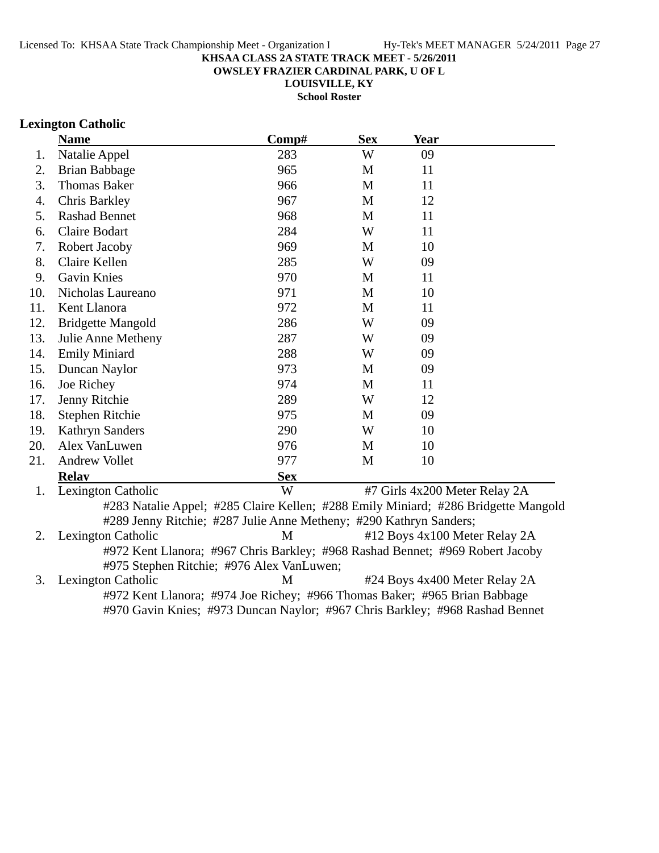**OWSLEY FRAZIER CARDINAL PARK, U OF L**

**LOUISVILLE, KY**

**School Roster**

#### **Lexington Catholic**

|     | <b>Name</b>                                                                                                                                              | Comp#      | <b>Sex</b> | <b>Year</b>                   |  |
|-----|----------------------------------------------------------------------------------------------------------------------------------------------------------|------------|------------|-------------------------------|--|
| 1.  | Natalie Appel                                                                                                                                            | 283        | W          | 09                            |  |
| 2.  | Brian Babbage                                                                                                                                            | 965        | M          | 11                            |  |
| 3.  | <b>Thomas Baker</b>                                                                                                                                      | 966        | M          | 11                            |  |
| 4.  | Chris Barkley                                                                                                                                            | 967        | M          | 12                            |  |
| 5.  | <b>Rashad Bennet</b>                                                                                                                                     | 968        | M          | 11                            |  |
| 6.  | Claire Bodart                                                                                                                                            | 284        | W          | 11                            |  |
| 7.  | Robert Jacoby                                                                                                                                            | 969        | M          | 10                            |  |
| 8.  | Claire Kellen                                                                                                                                            | 285        | W          | 09                            |  |
| 9.  | <b>Gavin Knies</b>                                                                                                                                       | 970        | M          | 11                            |  |
| 10. | Nicholas Laureano                                                                                                                                        | 971        | M          | 10                            |  |
| 11. | Kent Llanora                                                                                                                                             | 972        | M          | 11                            |  |
| 12. | <b>Bridgette Mangold</b>                                                                                                                                 | 286        | W          | 09                            |  |
| 13. | Julie Anne Metheny                                                                                                                                       | 287        | W          | 09                            |  |
| 14. | <b>Emily Miniard</b>                                                                                                                                     | 288        | W          | 09                            |  |
| 15. | Duncan Naylor                                                                                                                                            | 973        | M          | 09                            |  |
| 16. | Joe Richey                                                                                                                                               | 974        | M          | 11                            |  |
| 17. | Jenny Ritchie                                                                                                                                            | 289        | W          | 12                            |  |
| 18. | Stephen Ritchie                                                                                                                                          | 975        | M          | 09                            |  |
| 19. | <b>Kathryn Sanders</b>                                                                                                                                   | 290        | W          | 10                            |  |
| 20. | Alex VanLuwen                                                                                                                                            | 976        | M          | 10                            |  |
| 21. | <b>Andrew Vollet</b>                                                                                                                                     | 977        | M          | 10                            |  |
|     | <b>Relav</b>                                                                                                                                             | <b>Sex</b> |            |                               |  |
| 1.  | Lexington Catholic                                                                                                                                       | W          |            | #7 Girls 4x200 Meter Relay 2A |  |
|     | #283 Natalie Appel; #285 Claire Kellen; #288 Emily Miniard; #286 Bridgette Mangold<br>#289 Jenny Ritchie; #287 Julie Anne Metheny; #290 Kathryn Sanders; |            |            |                               |  |
| 2.  | Lexington Catholic                                                                                                                                       | M          |            | #12 Boys 4x100 Meter Relay 2A |  |
|     | #972 Kent Llanora; #967 Chris Barkley; #968 Rashad Bennet; #969 Robert Jacoby                                                                            |            |            |                               |  |
|     | #975 Stephen Ritchie; #976 Alex VanLuwen;                                                                                                                |            |            |                               |  |

3. Lexington Catholic M #24 Boys 4x400 Meter Relay 2A #972 Kent Llanora; #974 Joe Richey; #966 Thomas Baker; #965 Brian Babbage #970 Gavin Knies; #973 Duncan Naylor; #967 Chris Barkley; #968 Rashad Bennet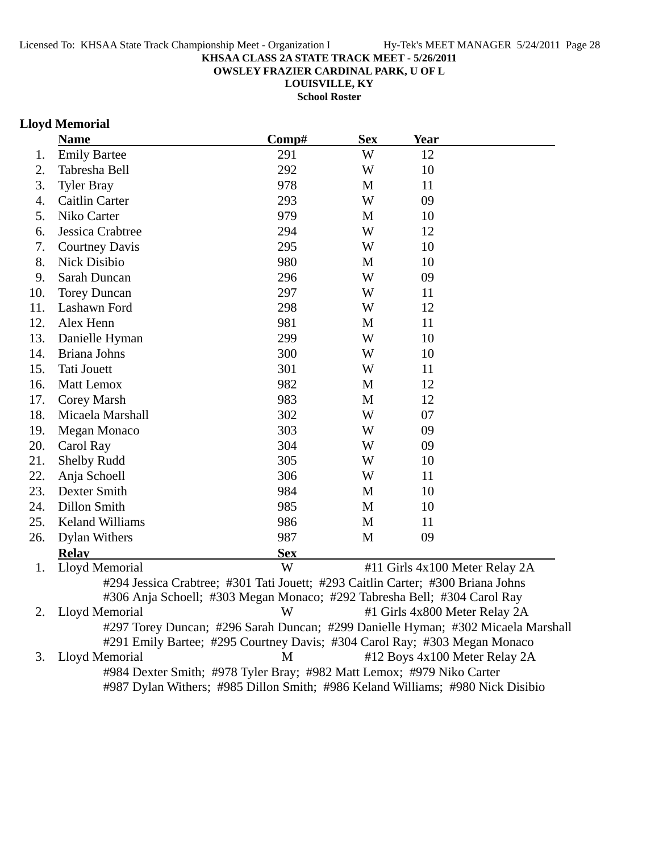**OWSLEY FRAZIER CARDINAL PARK, U OF L**

**LOUISVILLE, KY**

**School Roster**

## **Lloyd Memorial**

|     | <b>Name</b>                                                                      | $\bf Comp\#$ | <b>Sex</b> | <b>Year</b>                   |                                |
|-----|----------------------------------------------------------------------------------|--------------|------------|-------------------------------|--------------------------------|
| 1.  | <b>Emily Bartee</b>                                                              | 291          | W          | 12                            |                                |
| 2.  | Tabresha Bell                                                                    | 292          | W          | 10                            |                                |
| 3.  | <b>Tyler Bray</b>                                                                | 978          | M          | 11                            |                                |
| 4.  | Caitlin Carter                                                                   | 293          | W          | 09                            |                                |
| 5.  | Niko Carter                                                                      | 979          | M          | 10                            |                                |
| 6.  | Jessica Crabtree                                                                 | 294          | W          | 12                            |                                |
| 7.  | <b>Courtney Davis</b>                                                            | 295          | W          | 10                            |                                |
| 8.  | <b>Nick Disibio</b>                                                              | 980          | M          | 10                            |                                |
| 9.  | Sarah Duncan                                                                     | 296          | W          | 09                            |                                |
| 10. | <b>Torey Duncan</b>                                                              | 297          | W          | 11                            |                                |
| 11. | Lashawn Ford                                                                     | 298          | W          | 12                            |                                |
| 12. | Alex Henn                                                                        | 981          | M          | 11                            |                                |
| 13. | Danielle Hyman                                                                   | 299          | W          | 10                            |                                |
| 14. | Briana Johns                                                                     | 300          | W          | 10                            |                                |
| 15. | Tati Jouett                                                                      | 301          | W          | 11                            |                                |
| 16. | Matt Lemox                                                                       | 982          | M          | 12                            |                                |
| 17. | Corey Marsh                                                                      | 983          | M          | 12                            |                                |
| 18. | Micaela Marshall                                                                 | 302          | W          | 07                            |                                |
| 19. | <b>Megan Monaco</b>                                                              | 303          | W          | 09                            |                                |
| 20. | Carol Ray                                                                        | 304          | W          | 09                            |                                |
| 21. | <b>Shelby Rudd</b>                                                               | 305          | W          | 10                            |                                |
| 22. | Anja Schoell                                                                     | 306          | W          | 11                            |                                |
| 23. | Dexter Smith                                                                     | 984          | M          | 10                            |                                |
| 24. | Dillon Smith                                                                     | 985          | M          | 10                            |                                |
| 25. | <b>Keland Williams</b>                                                           | 986          | M          | 11                            |                                |
| 26. | Dylan Withers                                                                    | 987          | M          | 09                            |                                |
|     | <b>Relay</b>                                                                     | <b>Sex</b>   |            |                               |                                |
| 1.  | Lloyd Memorial                                                                   | W            |            |                               | #11 Girls 4x100 Meter Relay 2A |
|     | #294 Jessica Crabtree; #301 Tati Jouett; #293 Caitlin Carter; #300 Briana Johns  |              |            |                               |                                |
|     | #306 Anja Schoell; #303 Megan Monaco; #292 Tabresha Bell; #304 Carol Ray         |              |            |                               |                                |
| 2.  | Lloyd Memorial                                                                   | W            |            | #1 Girls 4x800 Meter Relay 2A |                                |
|     | #297 Torey Duncan; #296 Sarah Duncan; #299 Danielle Hyman; #302 Micaela Marshall |              |            |                               |                                |
|     | #291 Emily Bartee; #295 Courtney Davis; #304 Carol Ray; #303 Megan Monaco        |              |            |                               |                                |
| 3.  | Lloyd Memorial                                                                   | M            |            |                               | #12 Boys 4x100 Meter Relay 2A  |
|     | #984 Dexter Smith; #978 Tyler Bray; #982 Matt Lemox; #979 Niko Carter            |              |            |                               |                                |
|     | #987 Dylan Withers; #985 Dillon Smith; #986 Keland Williams; #980 Nick Disibio   |              |            |                               |                                |
|     |                                                                                  |              |            |                               |                                |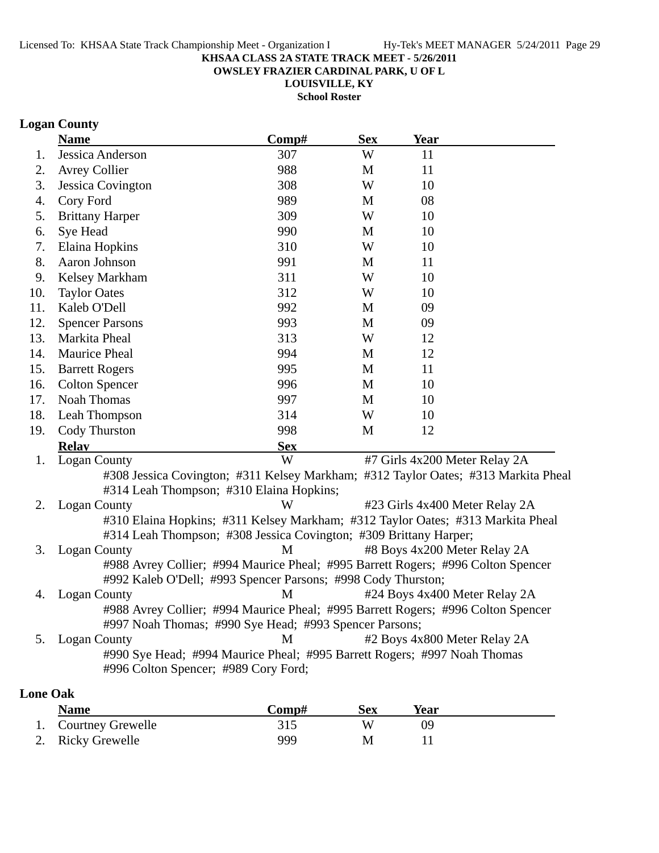**OWSLEY FRAZIER CARDINAL PARK, U OF L**

**LOUISVILLE, KY**

**School Roster**

## **Logan County**

|                 | <b>Name</b>                          | Comp#                                                                              | <b>Sex</b> | <b>Year</b>                    |  |
|-----------------|--------------------------------------|------------------------------------------------------------------------------------|------------|--------------------------------|--|
| 1.              | Jessica Anderson                     | 307                                                                                | W          | 11                             |  |
| 2.              | <b>Avrey Collier</b>                 | 988                                                                                | M          | 11                             |  |
| 3.              | <b>Jessica Covington</b>             | 308                                                                                | W          | 10                             |  |
| 4.              | Cory Ford                            | 989                                                                                | M          | 08                             |  |
| 5.              | <b>Brittany Harper</b>               | 309                                                                                | W          | 10                             |  |
| 6.              | Sye Head                             | 990                                                                                | M          | 10                             |  |
| 7.              | Elaina Hopkins                       | 310                                                                                | W          | 10                             |  |
| 8.              | Aaron Johnson                        | 991                                                                                | M          | 11                             |  |
| 9.              | Kelsey Markham                       | 311                                                                                | W          | 10                             |  |
| 10.             | <b>Taylor Oates</b>                  | 312                                                                                | W          | 10                             |  |
| 11.             | Kaleb O'Dell                         | 992                                                                                | M          | 09                             |  |
| 12.             | <b>Spencer Parsons</b>               | 993                                                                                | M          | 09                             |  |
| 13.             | Markita Pheal                        | 313                                                                                | W          | 12                             |  |
| 14.             | Maurice Pheal                        | 994                                                                                | M          | 12                             |  |
| 15.             | <b>Barrett Rogers</b>                | 995                                                                                | M          | 11                             |  |
| 16.             | <b>Colton Spencer</b>                | 996                                                                                | M          | 10                             |  |
| 17.             | <b>Noah Thomas</b>                   | 997                                                                                | M          | 10                             |  |
| 18.             | Leah Thompson                        | 314                                                                                | W          | 10                             |  |
| 19.             | Cody Thurston                        | 998                                                                                | M          | 12                             |  |
|                 | <b>Relay</b>                         | <b>Sex</b>                                                                         |            |                                |  |
| 1.              | <b>Logan County</b>                  | W                                                                                  |            | #7 Girls 4x200 Meter Relay 2A  |  |
|                 |                                      | #308 Jessica Covington; #311 Kelsey Markham; #312 Taylor Oates; #313 Markita Pheal |            |                                |  |
|                 |                                      | #314 Leah Thompson; #310 Elaina Hopkins;                                           |            |                                |  |
| 2.              | <b>Logan County</b>                  | W                                                                                  |            | #23 Girls 4x400 Meter Relay 2A |  |
|                 |                                      | #310 Elaina Hopkins; #311 Kelsey Markham; #312 Taylor Oates; #313 Markita Pheal    |            |                                |  |
|                 |                                      | #314 Leah Thompson; #308 Jessica Covington; #309 Brittany Harper;                  |            |                                |  |
| 3.              | <b>Logan County</b>                  | M                                                                                  |            | #8 Boys 4x200 Meter Relay 2A   |  |
|                 |                                      | #988 Avrey Collier; #994 Maurice Pheal; #995 Barrett Rogers; #996 Colton Spencer   |            |                                |  |
|                 |                                      | #992 Kaleb O'Dell; #993 Spencer Parsons; #998 Cody Thurston;                       |            |                                |  |
| 4.              | <b>Logan County</b>                  | M                                                                                  |            | #24 Boys 4x400 Meter Relay 2A  |  |
|                 |                                      | #988 Avrey Collier; #994 Maurice Pheal; #995 Barrett Rogers; #996 Colton Spencer   |            |                                |  |
|                 |                                      | #997 Noah Thomas; #990 Sye Head; #993 Spencer Parsons;                             |            |                                |  |
| 5.              | <b>Logan County</b>                  | М                                                                                  |            | #2 Boys 4x800 Meter Relay 2A   |  |
|                 |                                      | #990 Sye Head; #994 Maurice Pheal; #995 Barrett Rogers; #997 Noah Thomas           |            |                                |  |
|                 | #996 Colton Spencer; #989 Cory Ford; |                                                                                    |            |                                |  |
| <b>Lone Oak</b> |                                      |                                                                                    |            |                                |  |

| <b>Name</b>          | Comp# | <b>Sex</b> | Year |  |
|----------------------|-------|------------|------|--|
| 1. Courtney Grewelle |       |            | 09   |  |
| 2. Ricky Grewelle    | 999   | M          |      |  |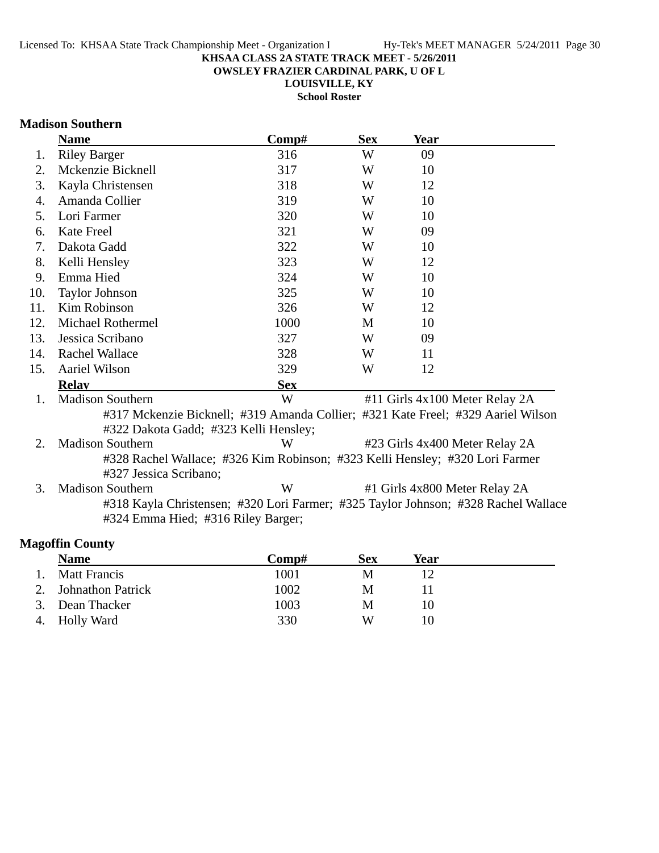**OWSLEY FRAZIER CARDINAL PARK, U OF L**

**LOUISVILLE, KY**

**School Roster**

### **Madison Southern**

|                      | <b>Name</b>                                                                        | Comp#      | <b>Sex</b> | <b>Year</b>                    |  |
|----------------------|------------------------------------------------------------------------------------|------------|------------|--------------------------------|--|
| 1.                   | <b>Riley Barger</b>                                                                | 316        | W          | 09                             |  |
| 2.                   | Mckenzie Bicknell                                                                  | 317        | W          | 10                             |  |
| 3.                   | Kayla Christensen                                                                  | 318        | W          | 12                             |  |
| 4.                   | Amanda Collier                                                                     | 319        | W          | 10                             |  |
| 5.                   | Lori Farmer                                                                        | 320        | W          | 10                             |  |
| 6.                   | Kate Freel                                                                         | 321        | W          | 09                             |  |
| 7.                   | Dakota Gadd                                                                        | 322        | W          | 10                             |  |
| 8.                   | Kelli Hensley                                                                      | 323        | W          | 12                             |  |
| 9.                   | Emma Hied                                                                          | 324        | W          | 10                             |  |
| 10.                  | <b>Taylor Johnson</b>                                                              | 325        | W          | 10                             |  |
| 11.                  | Kim Robinson                                                                       | 326        | W          | 12                             |  |
| 12.                  | Michael Rothermel                                                                  | 1000       | M          | 10                             |  |
| 13.                  | Jessica Scribano                                                                   | 327        | W          | 09                             |  |
| 14.                  | <b>Rachel Wallace</b>                                                              | 328        | W          | 11                             |  |
| 15.                  | Aariel Wilson                                                                      | 329        | W          | 12                             |  |
|                      | <b>Relay</b>                                                                       | <b>Sex</b> |            |                                |  |
| $\mathbf{1}_{\cdot}$ | Madison Southern                                                                   | W          |            | #11 Girls 4x100 Meter Relay 2A |  |
|                      | #317 Mckenzie Bicknell; #319 Amanda Collier; #321 Kate Freel; #329 Aariel Wilson   |            |            |                                |  |
|                      | #322 Dakota Gadd; #323 Kelli Hensley;                                              |            |            |                                |  |
| 2.                   | <b>Madison Southern</b>                                                            | W          |            | #23 Girls 4x400 Meter Relay 2A |  |
|                      | #328 Rachel Wallace; #326 Kim Robinson; #323 Kelli Hensley; #320 Lori Farmer       |            |            |                                |  |
|                      | #327 Jessica Scribano;                                                             |            |            |                                |  |
| 3.                   | <b>Madison Southern</b>                                                            | W          |            | #1 Girls 4x800 Meter Relay 2A  |  |
|                      | #318 Kayla Christensen; #320 Lori Farmer; #325 Taylor Johnson; #328 Rachel Wallace |            |            |                                |  |
|                      | #324 Emma Hied; #316 Riley Barger;                                                 |            |            |                                |  |
|                      |                                                                                    |            |            |                                |  |

## **Magoffin County**

| <b>Name</b>          | Comp# | <b>Sex</b> | Year |  |
|----------------------|-------|------------|------|--|
| <b>Matt Francis</b>  | 1001  | M          |      |  |
| 2. Johnathon Patrick | 1002  | M          |      |  |
| 3. Dean Thacker      | 1003  | M          |      |  |
| 4. Holly Ward        | 330   | W          |      |  |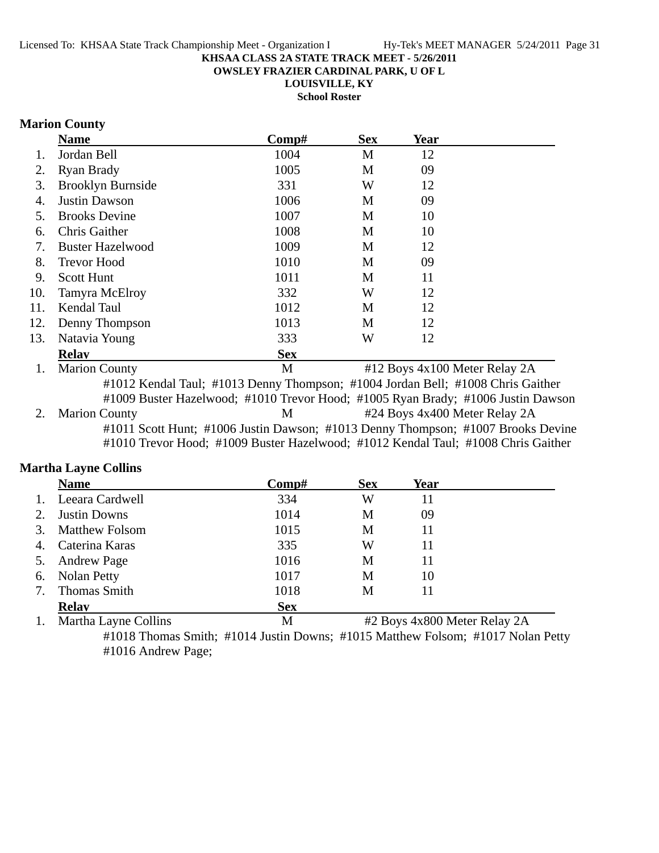**OWSLEY FRAZIER CARDINAL PARK, U OF L**

**LOUISVILLE, KY**

**School Roster**

### **Marion County**

|     | <b>Name</b>              | Comp#      | <b>Sex</b> | <b>Year</b>                   |  |
|-----|--------------------------|------------|------------|-------------------------------|--|
|     | Jordan Bell              | 1004       | M          | 12                            |  |
| 2.  | Ryan Brady               | 1005       | M          | 09                            |  |
| 3.  | <b>Brooklyn Burnside</b> | 331        | W          | 12                            |  |
| 4.  | <b>Justin Dawson</b>     | 1006       | M          | 09                            |  |
| 5.  | <b>Brooks Devine</b>     | 1007       | M          | 10                            |  |
| 6.  | <b>Chris Gaither</b>     | 1008       | M          | 10                            |  |
| 7.  | <b>Buster Hazelwood</b>  | 1009       | M          | 12                            |  |
| 8.  | <b>Trevor Hood</b>       | 1010       | M          | 09                            |  |
| 9.  | <b>Scott Hunt</b>        | 1011       | M          | 11                            |  |
| 10. | Tamyra McElroy           | 332        | W          | 12                            |  |
| 11. | <b>Kendal Taul</b>       | 1012       | M          | 12                            |  |
| 12. | Denny Thompson           | 1013       | M          | 12                            |  |
| 13. | Natavia Young            | 333        | W          | 12                            |  |
|     | <b>Relav</b>             | <b>Sex</b> |            |                               |  |
|     | <b>Marion County</b>     | M          |            | #12 Boys 4x100 Meter Relay 2A |  |

#1012 Kendal Taul; #1013 Denny Thompson; #1004 Jordan Bell; #1008 Chris Gaither #1009 Buster Hazelwood; #1010 Trevor Hood; #1005 Ryan Brady; #1006 Justin Dawson 2. Marion County 124 Boys 4x400 Meter Relay 2A #1011 Scott Hunt; #1006 Justin Dawson; #1013 Denny Thompson; #1007 Brooks Devine #1010 Trevor Hood; #1009 Buster Hazelwood; #1012 Kendal Taul; #1008 Chris Gaither

### **Martha Layne Collins**

|    | <b>Name</b>           | Comp#      | <b>Sex</b> | Year |  |
|----|-----------------------|------------|------------|------|--|
|    | 1. Leeara Cardwell    | 334        | W          | 11   |  |
| 2. | <b>Justin Downs</b>   | 1014       | M          | 09   |  |
| 3. | <b>Matthew Folsom</b> | 1015       | M          | 11   |  |
| 4. | Caterina Karas        | 335        | W          | 11   |  |
|    | 5. Andrew Page        | 1016       | M          | 11   |  |
|    | 6. Nolan Petty        | 1017       | M          | 10   |  |
|    | <b>Thomas Smith</b>   | 1018       | М          | 11   |  |
|    | <b>Relay</b>          | <b>Sex</b> |            |      |  |

1. Martha Layne Collins M #2 Boys 4x800 Meter Relay 2A #1018 Thomas Smith; #1014 Justin Downs; #1015 Matthew Folsom; #1017 Nolan Petty #1016 Andrew Page;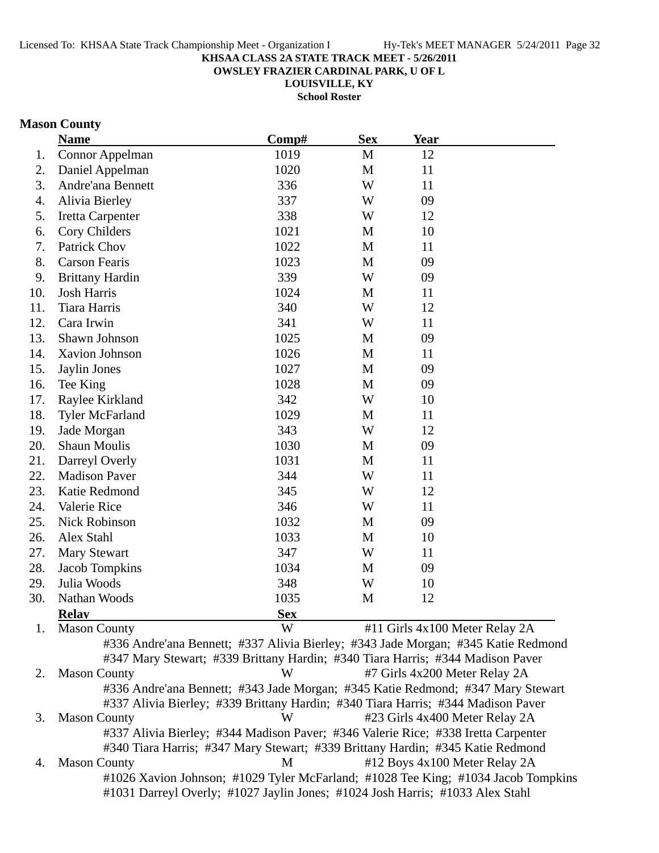**OWSLEY FRAZIER CARDINAL PARK, U OF L**

**LOUISVILLE, KY**

**School Roster**

### **Mason County**

|     | <b>Name</b>            | Comp#      | <b>Sex</b>   | <b>Year</b>                    |  |
|-----|------------------------|------------|--------------|--------------------------------|--|
| 1.  | Connor Appelman        | 1019       | $\mathbf M$  | 12                             |  |
| 2.  | Daniel Appelman        | 1020       | M            | 11                             |  |
| 3.  | Andre'ana Bennett      | 336        | W            | 11                             |  |
| 4.  | Alivia Bierley         | 337        | W            | 09                             |  |
| 5.  | Iretta Carpenter       | 338        | W            | 12                             |  |
| 6.  | Cory Childers          | 1021       | M            | 10                             |  |
| 7.  | Patrick Chov           | 1022       | M            | 11                             |  |
| 8.  | <b>Carson Fearis</b>   | 1023       | $\mathbf{M}$ | 09                             |  |
| 9.  | <b>Brittany Hardin</b> | 339        | W            | 09                             |  |
| 10. | <b>Josh Harris</b>     | 1024       | M            | 11                             |  |
| 11. | Tiara Harris           | 340        | W            | 12                             |  |
| 12. | Cara Irwin             | 341        | W            | 11                             |  |
| 13. | Shawn Johnson          | 1025       | M            | 09                             |  |
| 14. | Xavion Johnson         | 1026       | $\mathbf{M}$ | 11                             |  |
| 15. | Jaylin Jones           | 1027       | M            | 09                             |  |
| 16. | Tee King               | 1028       | $\mathbf{M}$ | 09                             |  |
| 17. | Raylee Kirkland        | 342        | W            | 10                             |  |
| 18. | <b>Tyler McFarland</b> | 1029       | M            | 11                             |  |
| 19. | Jade Morgan            | 343        | W            | 12                             |  |
| 20. | <b>Shaun Moulis</b>    | 1030       | M            | 09                             |  |
| 21. | Darreyl Overly         | 1031       | M            | 11                             |  |
| 22. | <b>Madison Paver</b>   | 344        | W            | 11                             |  |
| 23. | Katie Redmond          | 345        | W            | 12                             |  |
| 24. | Valerie Rice           | 346        | W            | 11                             |  |
| 25. | <b>Nick Robinson</b>   | 1032       | M            | 09                             |  |
| 26. | Alex Stahl             | 1033       | $\mathbf{M}$ | 10                             |  |
| 27. | <b>Mary Stewart</b>    | 347        | W            | 11                             |  |
| 28. | Jacob Tompkins         | 1034       | M            | 09                             |  |
| 29. | Julia Woods            | 348        | W            | 10                             |  |
| 30. | Nathan Woods           | 1035       | M            | 12                             |  |
|     | <b>Relay</b>           | <b>Sex</b> |              |                                |  |
| 1.  | <b>Mason County</b>    | W          |              | #11 Girls 4x100 Meter Relay 2A |  |

2. Mason County **W** #7 Girls 4x200 Meter Relay 2A #336 Andre'ana Bennett; #343 Jade Morgan; #345 Katie Redmond; #347 Mary Stewart #337 Alivia Bierley; #339 Brittany Hardin; #340 Tiara Harris; #344 Madison Paver 3. Mason County W #23 Girls 4x400 Meter Relay 2A #337 Alivia Bierley; #344 Madison Paver; #346 Valerie Rice; #338 Iretta Carpenter #340 Tiara Harris; #347 Mary Stewart; #339 Brittany Hardin; #345 Katie Redmond 4. Mason County M #12 Boys 4x100 Meter Relay 2A #1026 Xavion Johnson; #1029 Tyler McFarland; #1028 Tee King; #1034 Jacob Tompkins #1031 Darreyl Overly; #1027 Jaylin Jones; #1024 Josh Harris; #1033 Alex Stahl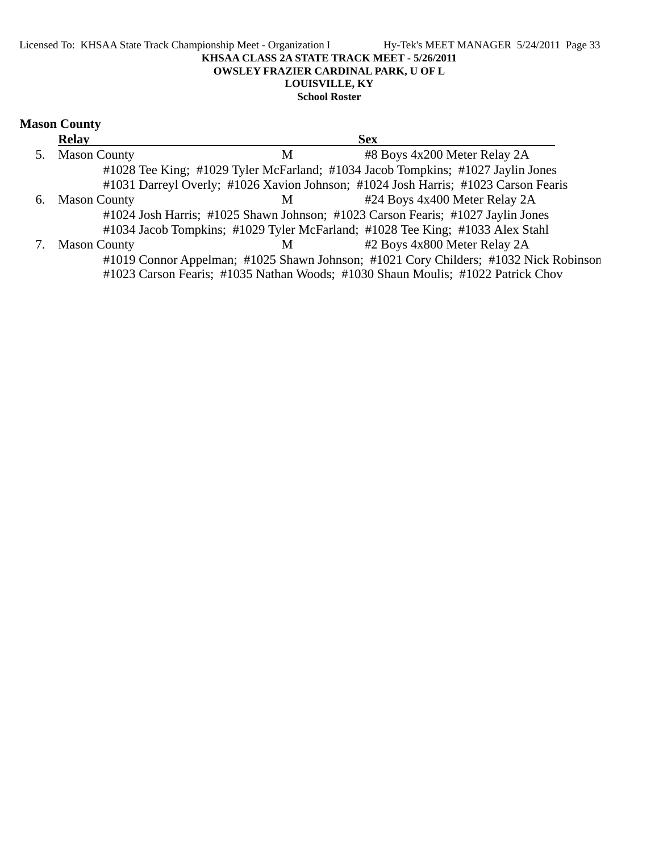#### Licensed To: KHSAA State Track Championship Meet - Organization I Hy-Tek's MEET MANAGER 5/24/2011 Page 33 **KHSAA CLASS 2A STATE TRACK MEET - 5/26/2011 OWSLEY FRAZIER CARDINAL PARK, U OF L LOUISVILLE, KY School Roster**

### **Mason County**

|    | <b>Relay</b>        | <b>Sex</b>                                                                           |
|----|---------------------|--------------------------------------------------------------------------------------|
| 5. | <b>Mason County</b> | #8 Boys 4x200 Meter Relay 2A<br>М                                                    |
|    |                     | #1028 Tee King; #1029 Tyler McFarland; #1034 Jacob Tompkins; #1027 Jaylin Jones      |
|    |                     | #1031 Darreyl Overly; #1026 Xavion Johnson; #1024 Josh Harris; #1023 Carson Fearis   |
| 6. | <b>Mason County</b> | #24 Boys 4x400 Meter Relay 2A<br>M                                                   |
|    |                     | #1024 Josh Harris; #1025 Shawn Johnson; #1023 Carson Fearis; #1027 Jaylin Jones      |
|    |                     | #1034 Jacob Tompkins; #1029 Tyler McFarland; #1028 Tee King; #1033 Alex Stahl        |
|    | <b>Mason County</b> | #2 Boys 4x800 Meter Relay 2A<br>M                                                    |
|    |                     | #1019 Connor Appelman; #1025 Shawn Johnson; #1021 Cory Childers; #1032 Nick Robinson |
|    |                     | #1023 Carson Fearis; #1035 Nathan Woods; #1030 Shaun Moulis; #1022 Patrick Chov      |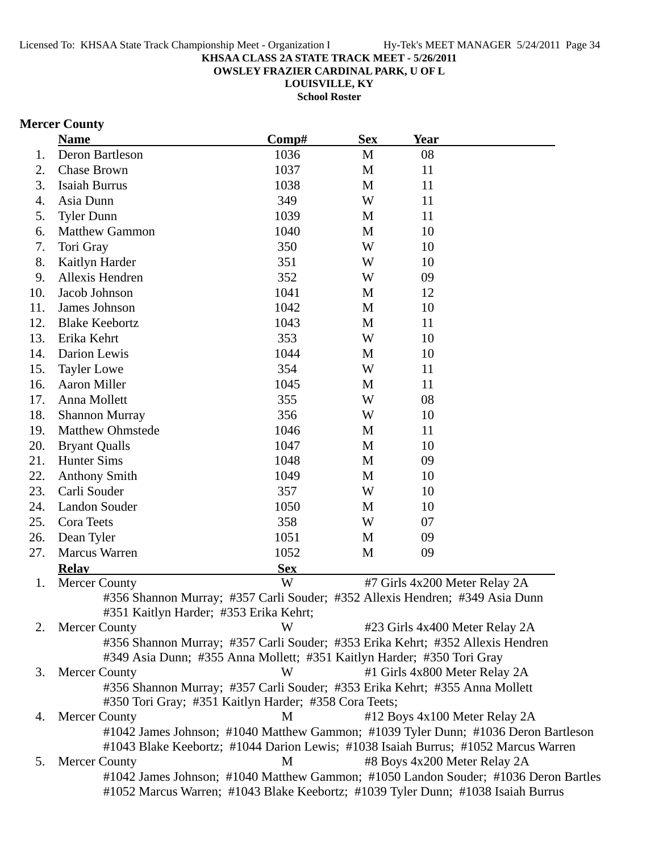**OWSLEY FRAZIER CARDINAL PARK, U OF L**

**LOUISVILLE, KY**

**School Roster**

## **Mercer County**

|     | <b>Name</b>                                                                         | Comp#      | <b>Sex</b> | <b>Year</b> |                                |  |
|-----|-------------------------------------------------------------------------------------|------------|------------|-------------|--------------------------------|--|
| 1.  | Deron Bartleson                                                                     | 1036       | M          | 08          |                                |  |
| 2.  | Chase Brown                                                                         | 1037       | M          | 11          |                                |  |
| 3.  | <b>Isaiah Burrus</b>                                                                | 1038       | M          | 11          |                                |  |
| 4.  | Asia Dunn                                                                           | 349        | W          | 11          |                                |  |
| 5.  | <b>Tyler Dunn</b>                                                                   | 1039       | M          | 11          |                                |  |
| 6.  | <b>Matthew Gammon</b>                                                               | 1040       | M          | 10          |                                |  |
| 7.  | Tori Gray                                                                           | 350        | W          | 10          |                                |  |
| 8.  | Kaitlyn Harder                                                                      | 351        | W          | 10          |                                |  |
| 9.  | Allexis Hendren                                                                     | 352        | W          | 09          |                                |  |
| 10. | Jacob Johnson                                                                       | 1041       | M          | 12          |                                |  |
| 11. | James Johnson                                                                       | 1042       | M          | 10          |                                |  |
| 12. | <b>Blake Keebortz</b>                                                               | 1043       | M          | 11          |                                |  |
| 13. | Erika Kehrt                                                                         | 353        | W          | 10          |                                |  |
| 14. | Darion Lewis                                                                        | 1044       | M          | 10          |                                |  |
| 15. | <b>Tayler Lowe</b>                                                                  | 354        | W          | 11          |                                |  |
| 16. | Aaron Miller                                                                        | 1045       | M          | 11          |                                |  |
| 17. | Anna Mollett                                                                        | 355        | W          | 08          |                                |  |
| 18. | <b>Shannon Murray</b>                                                               | 356        | W          | 10          |                                |  |
| 19. | <b>Matthew Ohmstede</b>                                                             | 1046       | M          | 11          |                                |  |
| 20. | <b>Bryant Qualls</b>                                                                | 1047       | M          | 10          |                                |  |
| 21. | <b>Hunter Sims</b>                                                                  | 1048       | M          | 09          |                                |  |
| 22. | <b>Anthony Smith</b>                                                                | 1049       | M          | 10          |                                |  |
| 23. | Carli Souder                                                                        | 357        | W          | 10          |                                |  |
| 24. | Landon Souder                                                                       | 1050       | M          | 10          |                                |  |
| 25. | Cora Teets                                                                          | 358        | W          | 07          |                                |  |
| 26. | Dean Tyler                                                                          | 1051       | M          | 09          |                                |  |
| 27. | <b>Marcus Warren</b>                                                                | 1052       | M          | 09          |                                |  |
|     | <b>Relay</b>                                                                        | <b>Sex</b> |            |             |                                |  |
| 1.  | <b>Mercer County</b>                                                                | W          |            |             | #7 Girls 4x200 Meter Relay 2A  |  |
|     | #356 Shannon Murray; #357 Carli Souder; #352 Allexis Hendren; #349 Asia Dunn        |            |            |             |                                |  |
|     | #351 Kaitlyn Harder; #353 Erika Kehrt;                                              |            |            |             |                                |  |
| 2.  | <b>Mercer County</b>                                                                | W          |            |             | #23 Girls 4x400 Meter Relay 2A |  |
|     | #356 Shannon Murray; #357 Carli Souder; #353 Erika Kehrt; #352 Allexis Hendren      |            |            |             |                                |  |
|     | #349 Asia Dunn; #355 Anna Mollett; #351 Kaitlyn Harder; #350 Tori Gray              |            |            |             |                                |  |
| 3.  | <b>Mercer County</b>                                                                | W          |            |             | #1 Girls 4x800 Meter Relay 2A  |  |
|     | #356 Shannon Murray; #357 Carli Souder; #353 Erika Kehrt; #355 Anna Mollett         |            |            |             |                                |  |
|     | #350 Tori Gray; #351 Kaitlyn Harder; #358 Cora Teets;                               |            |            |             |                                |  |
| 4.  | <b>Mercer County</b>                                                                | M          |            |             | #12 Boys 4x100 Meter Relay 2A  |  |
|     | #1042 James Johnson; #1040 Matthew Gammon; #1039 Tyler Dunn; #1036 Deron Bartleson  |            |            |             |                                |  |
|     | #1043 Blake Keebortz; #1044 Darion Lewis; #1038 Isaiah Burrus; #1052 Marcus Warren  |            |            |             |                                |  |
| 5.  | <b>Mercer County</b>                                                                | M          |            |             | #8 Boys 4x200 Meter Relay 2A   |  |
|     | #1042 James Johnson; #1040 Matthew Gammon; #1050 Landon Souder; #1036 Deron Bartles |            |            |             |                                |  |
|     | #1052 Marcus Warren; #1043 Blake Keebortz; #1039 Tyler Dunn; #1038 Isaiah Burrus    |            |            |             |                                |  |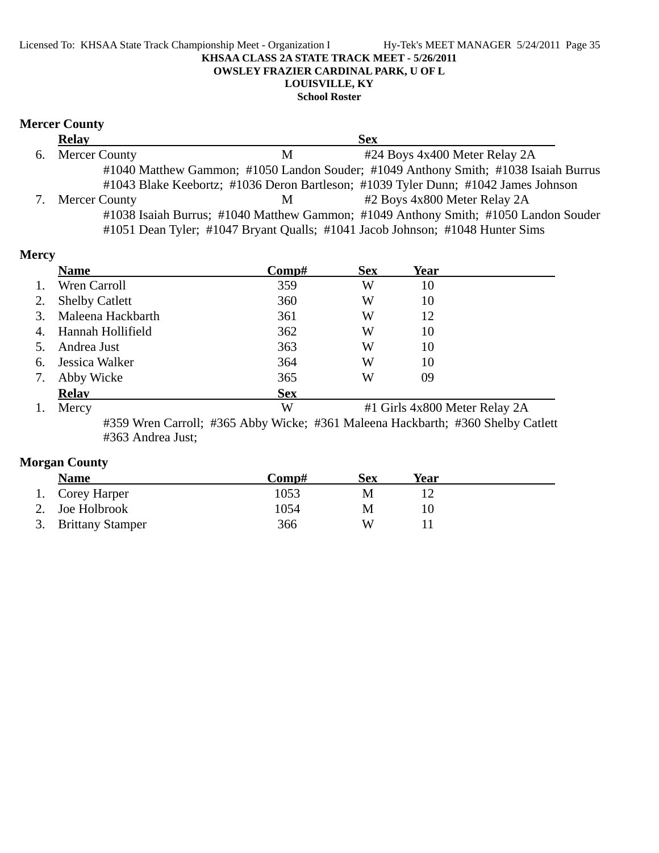#### Licensed To: KHSAA State Track Championship Meet - Organization I Hy-Tek's MEET MANAGER 5/24/2011 Page 35 **KHSAA CLASS 2A STATE TRACK MEET - 5/26/2011 OWSLEY FRAZIER CARDINAL PARK, U OF L LOUISVILLE, KY**

**School Roster**

## **Mercer County**

| <b>Relay</b>     |   | <b>Sex</b>                                                                          |
|------------------|---|-------------------------------------------------------------------------------------|
| 6. Mercer County | M | #24 Boys 4x400 Meter Relay 2A                                                       |
|                  |   | #1040 Matthew Gammon; #1050 Landon Souder; #1049 Anthony Smith; #1038 Isaiah Burrus |
|                  |   | #1043 Blake Keebortz; #1036 Deron Bartleson; #1039 Tyler Dunn; #1042 James Johnson  |
| 7. Mercer County | M | #2 Boys 4x800 Meter Relay 2A                                                        |
|                  |   | #1038 Isaiah Burrus; #1040 Matthew Gammon; #1049 Anthony Smith; #1050 Landon Souder |
|                  |   | #1051 Dean Tyler; #1047 Bryant Qualls; #1041 Jacob Johnson; #1048 Hunter Sims       |

### **Mercy**

|    | <b>Name</b>           | Comp#      | <b>Sex</b> | Year                          |  |
|----|-----------------------|------------|------------|-------------------------------|--|
| 1. | Wren Carroll          | 359        | W          | 10                            |  |
| 2. | <b>Shelby Catlett</b> | 360        | W          | 10                            |  |
| 3. | Maleena Hackbarth     | 361        | W          | 12                            |  |
| 4. | Hannah Hollifield     | 362        | W          | 10                            |  |
| 5. | Andrea Just           | 363        | W          | 10                            |  |
| 6. | Jessica Walker        | 364        | W          | 10                            |  |
| 7. | Abby Wicke            | 365        | W          | 09                            |  |
|    | <b>Relay</b>          | <b>Sex</b> |            |                               |  |
| 1. | Mercy                 | W          |            | #1 Girls 4x800 Meter Relay 2A |  |

#359 Wren Carroll; #365 Abby Wicke; #361 Maleena Hackbarth; #360 Shelby Catlett #363 Andrea Just;

### **Morgan County**

| <b>Name</b>         | Comp# | Sex | Year |  |
|---------------------|-------|-----|------|--|
| 1. Corey Harper     | 1053  | M   |      |  |
| 2. Joe Holbrook     | 1054  | M   |      |  |
| 3. Brittany Stamper | 366   | W   |      |  |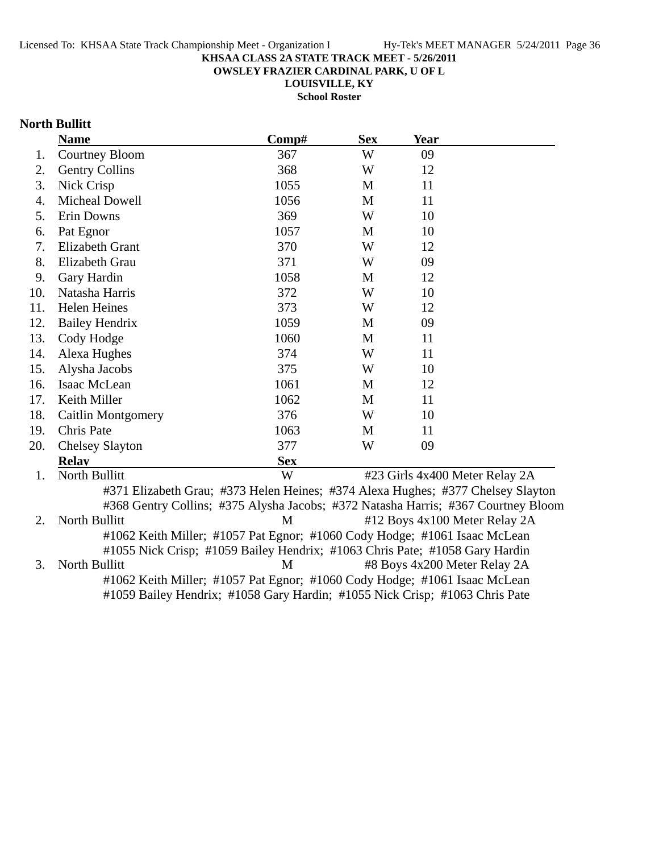**OWSLEY FRAZIER CARDINAL PARK, U OF L**

**LOUISVILLE, KY**

**School Roster**

## **North Bullitt**

|     | <b>Name</b>                 | Comp#                                                                             | <b>Sex</b> | <b>Year</b>                                 |  |
|-----|-----------------------------|-----------------------------------------------------------------------------------|------------|---------------------------------------------|--|
| 1.  | <b>Courtney Bloom</b>       | 367                                                                               | W          | 09                                          |  |
| 2.  | <b>Gentry Collins</b>       | 368                                                                               | W          | 12                                          |  |
| 3.  | Nick Crisp                  | 1055                                                                              | M          | 11                                          |  |
| 4.  | Micheal Dowell              | 1056                                                                              | M          | 11                                          |  |
| 5.  | Erin Downs                  | 369                                                                               | W          | 10                                          |  |
| 6.  | Pat Egnor                   | 1057                                                                              | M          | 10                                          |  |
| 7.  | <b>Elizabeth Grant</b>      | 370                                                                               | W          | 12                                          |  |
| 8.  | Elizabeth Grau              | 371                                                                               | W          | 09                                          |  |
| 9.  | Gary Hardin                 | 1058                                                                              | M          | 12                                          |  |
| 10. | Natasha Harris              | 372                                                                               | W          | 10                                          |  |
| 11. | <b>Helen Heines</b>         | 373                                                                               | W          | 12                                          |  |
| 12. | <b>Bailey Hendrix</b>       | 1059                                                                              | M          | 09                                          |  |
| 13. | Cody Hodge                  | 1060                                                                              | M          | 11                                          |  |
| 14. | Alexa Hughes                | 374                                                                               | W          | 11                                          |  |
| 15. | Alysha Jacobs               | 375                                                                               | W          | 10                                          |  |
| 16. | Isaac McLean                | 1061                                                                              | M          | 12                                          |  |
| 17. | Keith Miller                | 1062                                                                              | M          | 11                                          |  |
| 18. | Caitlin Montgomery          | 376                                                                               | W          | 10                                          |  |
| 19. | Chris Pate                  | 1063                                                                              | M          | 11                                          |  |
| 20. | <b>Chelsey Slayton</b>      | 377                                                                               | W          | 09                                          |  |
|     | <b>Relay</b>                | <b>Sex</b>                                                                        |            |                                             |  |
| 1.  | North Bullitt               | W                                                                                 |            | #23 Girls 4x400 Meter Relay 2A              |  |
|     |                             | #371 Elizabeth Grau; #373 Helen Heines; #374 Alexa Hughes; #377 Chelsey Slayton   |            |                                             |  |
|     |                             | #368 Gentry Collins; #375 Alysha Jacobs; #372 Natasha Harris; #367 Courtney Bloom |            |                                             |  |
| 2.  | North Bullitt               | M                                                                                 |            | #12 Boys 4x100 Meter Relay 2A               |  |
|     |                             | #1062 Keith Miller; #1057 Pat Egnor; #1060 Cody Hodge; #1061 Isaac McLean         |            |                                             |  |
|     |                             | #1055 Nick Crisp; #1059 Bailey Hendrix; #1063 Chris Pate; #1058 Gary Hardin       |            |                                             |  |
| 3   | $N$ <sub>orth</sub> Rullitt |                                                                                   |            | $M = #R$ Roys $Ax200$ Meter Relay $2\Delta$ |  |

3. North Bullitt **1988** M **M**  $\#8$  Boys 4x200 Meter Relay 2A #1062 Keith Miller; #1057 Pat Egnor; #1060 Cody Hodge; #1061 Isaac McLean #1059 Bailey Hendrix; #1058 Gary Hardin; #1055 Nick Crisp; #1063 Chris Pate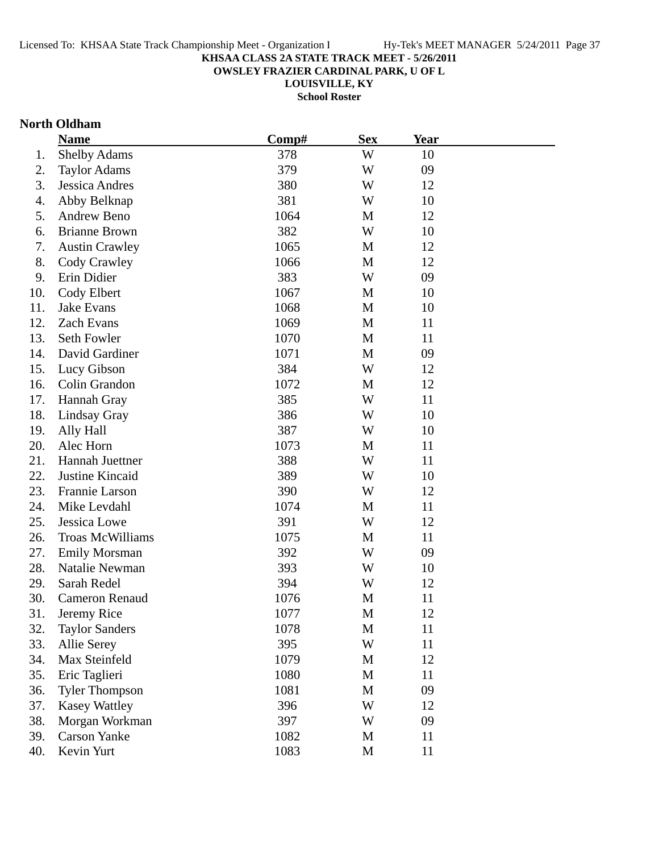**OWSLEY FRAZIER CARDINAL PARK, U OF L**

**LOUISVILLE, KY**

**School Roster**

### **North Oldham**

|     | <b>Name</b>             | Comp# | <b>Sex</b> | Year |  |
|-----|-------------------------|-------|------------|------|--|
| 1.  | <b>Shelby Adams</b>     | 378   | W          | 10   |  |
| 2.  | <b>Taylor Adams</b>     | 379   | W          | 09   |  |
| 3.  | <b>Jessica Andres</b>   | 380   | W          | 12   |  |
| 4.  | Abby Belknap            | 381   | W          | 10   |  |
| 5.  | Andrew Beno             | 1064  | M          | 12   |  |
| 6.  | <b>Brianne Brown</b>    | 382   | W          | 10   |  |
| 7.  | <b>Austin Crawley</b>   | 1065  | M          | 12   |  |
| 8.  | Cody Crawley            | 1066  | M          | 12   |  |
| 9.  | Erin Didier             | 383   | W          | 09   |  |
| 10. | Cody Elbert             | 1067  | M          | 10   |  |
| 11. | Jake Evans              | 1068  | M          | 10   |  |
| 12. | Zach Evans              | 1069  | M          | 11   |  |
| 13. | Seth Fowler             | 1070  | M          | 11   |  |
| 14. | David Gardiner          | 1071  | M          | 09   |  |
| 15. | Lucy Gibson             | 384   | W          | 12   |  |
| 16. | Colin Grandon           | 1072  | M          | 12   |  |
| 17. | Hannah Gray             | 385   | W          | 11   |  |
| 18. | Lindsay Gray            | 386   | W          | 10   |  |
| 19. | Ally Hall               | 387   | W          | 10   |  |
| 20. | Alec Horn               | 1073  | M          | 11   |  |
| 21. | Hannah Juettner         | 388   | W          | 11   |  |
| 22. | Justine Kincaid         | 389   | W          | 10   |  |
| 23. | Frannie Larson          | 390   | W          | 12   |  |
| 24. | Mike Levdahl            | 1074  | M          | 11   |  |
| 25. | Jessica Lowe            | 391   | W          | 12   |  |
| 26. | <b>Troas McWilliams</b> | 1075  | M          | 11   |  |
| 27. | <b>Emily Morsman</b>    | 392   | W          | 09   |  |
| 28. | Natalie Newman          | 393   | W          | 10   |  |
| 29. | Sarah Redel             | 394   | W          | 12   |  |
| 30. | <b>Cameron Renaud</b>   | 1076  | M          | 11   |  |
| 31. | Jeremy Rice             | 1077  | M          | 12   |  |
| 32. | <b>Taylor Sanders</b>   | 1078  | M          | 11   |  |
| 33. | Allie Serey             | 395   | W          | 11   |  |
| 34. | Max Steinfeld           | 1079  | M          | 12   |  |
| 35. | Eric Taglieri           | 1080  | M          | 11   |  |
| 36. | <b>Tyler Thompson</b>   | 1081  | M          | 09   |  |
| 37. | <b>Kasey Wattley</b>    | 396   | W          | 12   |  |
| 38. | Morgan Workman          | 397   | W          | 09   |  |
| 39. | <b>Carson Yanke</b>     | 1082  | M          | 11   |  |
| 40. | Kevin Yurt              | 1083  | M          | 11   |  |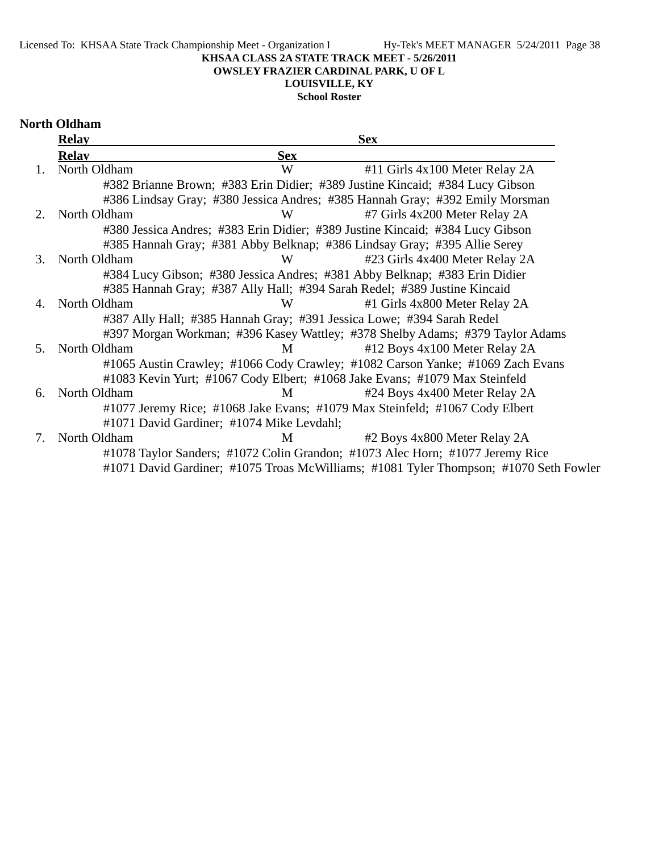### **OWSLEY FRAZIER CARDINAL PARK, U OF L**

## **LOUISVILLE, KY**

### **School Roster**

#### **North Oldham**

|             | <b>Relay</b> |                                           | <b>Sex</b>                                                                            |
|-------------|--------------|-------------------------------------------|---------------------------------------------------------------------------------------|
|             | <b>Relav</b> | <b>Sex</b>                                |                                                                                       |
|             | North Oldham | W                                         | #11 Girls 4x100 Meter Relay 2A                                                        |
|             |              |                                           | #382 Brianne Brown; #383 Erin Didier; #389 Justine Kincaid; #384 Lucy Gibson          |
|             |              |                                           | #386 Lindsay Gray; #380 Jessica Andres; #385 Hannah Gray; #392 Emily Morsman          |
| $2^{\circ}$ | North Oldham | W                                         | #7 Girls 4x200 Meter Relay 2A                                                         |
|             |              |                                           | #380 Jessica Andres; #383 Erin Didier; #389 Justine Kincaid; #384 Lucy Gibson         |
|             |              |                                           | #385 Hannah Gray; #381 Abby Belknap; #386 Lindsay Gray; #395 Allie Serey              |
| 3.          | North Oldham | W                                         | #23 Girls 4x400 Meter Relay 2A                                                        |
|             |              |                                           | #384 Lucy Gibson; #380 Jessica Andres; #381 Abby Belknap; #383 Erin Didier            |
|             |              |                                           | #385 Hannah Gray; #387 Ally Hall; #394 Sarah Redel; #389 Justine Kincaid              |
| 4.          | North Oldham | W                                         | #1 Girls 4x800 Meter Relay 2A                                                         |
|             |              |                                           | #387 Ally Hall; #385 Hannah Gray; #391 Jessica Lowe; #394 Sarah Redel                 |
|             |              |                                           | #397 Morgan Workman; #396 Kasey Wattley; #378 Shelby Adams; #379 Taylor Adams         |
| .5          | North Oldham | M                                         | #12 Boys 4x100 Meter Relay 2A                                                         |
|             |              |                                           | #1065 Austin Crawley; #1066 Cody Crawley; #1082 Carson Yanke; #1069 Zach Evans        |
|             |              |                                           | #1083 Kevin Yurt; #1067 Cody Elbert; #1068 Jake Evans; #1079 Max Steinfeld            |
| 6.          | North Oldham | M                                         | #24 Boys 4x400 Meter Relay 2A                                                         |
|             |              |                                           | #1077 Jeremy Rice; #1068 Jake Evans; #1079 Max Steinfeld; #1067 Cody Elbert           |
|             |              | #1071 David Gardiner; #1074 Mike Levdahl; |                                                                                       |
| 7.          | North Oldham | M                                         | #2 Boys 4x800 Meter Relay 2A                                                          |
|             |              |                                           | #1078 Taylor Sanders; #1072 Colin Grandon; #1073 Alec Horn; #1077 Jeremy Rice         |
|             |              |                                           | #1071 David Gardiner; #1075 Troas McWilliams; #1081 Tyler Thompson; #1070 Seth Fowler |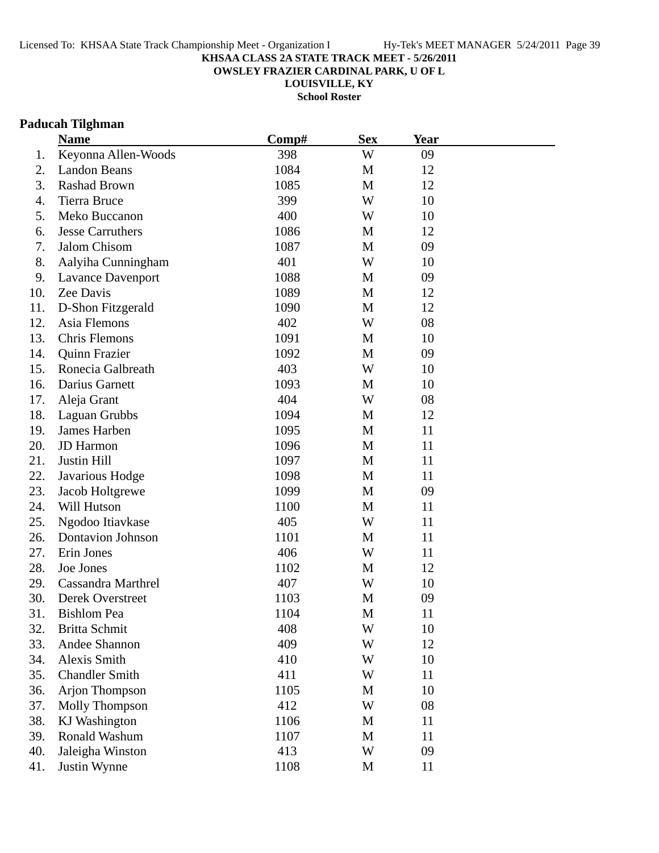**OWSLEY FRAZIER CARDINAL PARK, U OF L**

**LOUISVILLE, KY School Roster**

## **Paducah Tilghman**

|     | <b>Name</b>              | Comp# | <b>Sex</b>  | Year |  |
|-----|--------------------------|-------|-------------|------|--|
| 1.  | Keyonna Allen-Woods      | 398   | W           | 09   |  |
| 2.  | Landon Beans             | 1084  | M           | 12   |  |
| 3.  | <b>Rashad Brown</b>      | 1085  | M           | 12   |  |
| 4.  | <b>Tierra Bruce</b>      | 399   | W           | 10   |  |
| 5.  | Meko Buccanon            | 400   | W           | 10   |  |
| 6.  | <b>Jesse Carruthers</b>  | 1086  | M           | 12   |  |
| 7.  | Jalom Chisom             | 1087  | M           | 09   |  |
| 8.  | Aalyiha Cunningham       | 401   | W           | 10   |  |
| 9.  | <b>Lavance Davenport</b> | 1088  | M           | 09   |  |
| 10. | Zee Davis                | 1089  | M           | 12   |  |
| 11. | D-Shon Fitzgerald        | 1090  | M           | 12   |  |
| 12. | Asia Flemons             | 402   | W           | 08   |  |
| 13. | Chris Flemons            | 1091  | M           | 10   |  |
| 14. | <b>Quinn Frazier</b>     | 1092  | M           | 09   |  |
| 15. | Ronecia Galbreath        | 403   | W           | 10   |  |
| 16. | Darius Garnett           | 1093  | M           | 10   |  |
| 17. | Aleja Grant              | 404   | W           | 08   |  |
| 18. | Laguan Grubbs            | 1094  | M           | 12   |  |
| 19. | James Harben             | 1095  | M           | 11   |  |
| 20. | <b>JD</b> Harmon         | 1096  | M           | 11   |  |
| 21. | Justin Hill              | 1097  | M           | 11   |  |
| 22. | Javarious Hodge          | 1098  | M           | 11   |  |
| 23. | Jacob Holtgrewe          | 1099  | M           | 09   |  |
| 24. | Will Hutson              | 1100  | M           | 11   |  |
| 25. | Ngodoo Itiavkase         | 405   | W           | 11   |  |
| 26. | <b>Dontavion Johnson</b> | 1101  | M           | 11   |  |
| 27. | Erin Jones               | 406   | W           | 11   |  |
| 28. | Joe Jones                | 1102  | M           | 12   |  |
| 29. | Cassandra Marthrel       | 407   | W           | 10   |  |
| 30. | Derek Overstreet         | 1103  | M           | 09   |  |
| 31. | <b>Bishlom Pea</b>       | 1104  | M           | 11   |  |
| 32. | Britta Schmit            | 408   | W           | 10   |  |
| 33. | Andee Shannon            | 409   | W           | 12   |  |
| 34. | Alexis Smith             | 410   | W           | 10   |  |
| 35. | <b>Chandler Smith</b>    | 411   | W           | 11   |  |
| 36. | Arjon Thompson           | 1105  | M           | 10   |  |
| 37. | <b>Molly Thompson</b>    | 412   | W           | 08   |  |
| 38. | <b>KJ</b> Washington     | 1106  | M           | 11   |  |
| 39. | Ronald Washum            | 1107  | M           | 11   |  |
| 40. | Jaleigha Winston         | 413   | W           | 09   |  |
| 41. | Justin Wynne             | 1108  | $\mathbf M$ | 11   |  |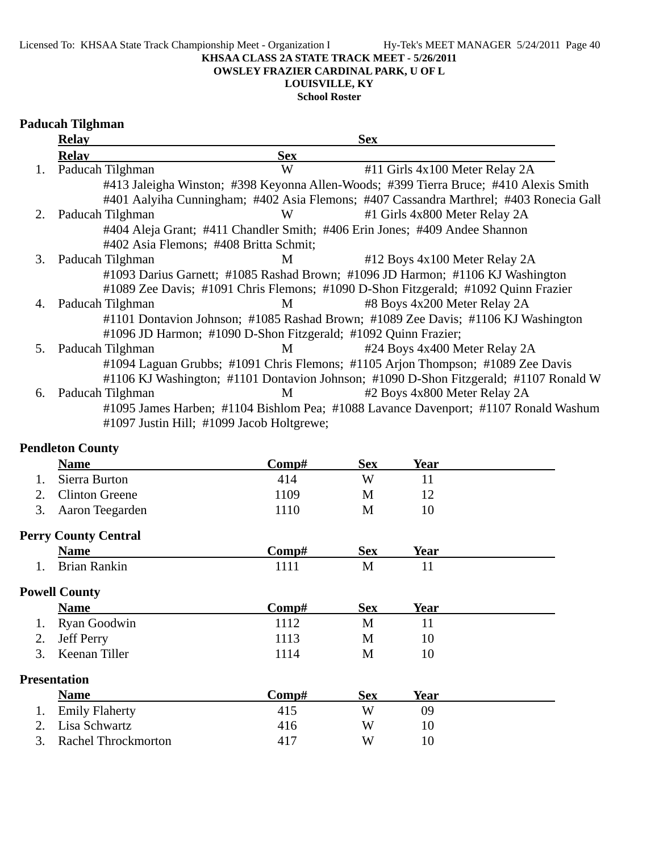**OWSLEY FRAZIER CARDINAL PARK, U OF L**

## **LOUISVILLE, KY**

**School Roster**

## **Paducah Tilghman**

|    | <b>Relay</b>     |                                                                | <b>Sex</b>                                                                             |
|----|------------------|----------------------------------------------------------------|----------------------------------------------------------------------------------------|
|    | <b>Relav</b>     | <b>Sex</b>                                                     |                                                                                        |
| 1. | Paducah Tilghman | W                                                              | #11 Girls 4x100 Meter Relay 2A                                                         |
|    |                  |                                                                | #413 Jaleigha Winston; #398 Keyonna Allen-Woods; #399 Tierra Bruce; #410 Alexis Smith  |
|    |                  |                                                                | #401 Aalyiha Cunningham; #402 Asia Flemons; #407 Cassandra Marthrel; #403 Ronecia Gall |
| 2. | Paducah Tilghman | W                                                              | #1 Girls 4x800 Meter Relay 2A                                                          |
|    |                  |                                                                | #404 Aleja Grant; #411 Chandler Smith; #406 Erin Jones; #409 Andee Shannon             |
|    |                  | #402 Asia Flemons; #408 Britta Schmit;                         |                                                                                        |
| 3. | Paducah Tilghman | M                                                              | #12 Boys 4x100 Meter Relay 2A                                                          |
|    |                  |                                                                | #1093 Darius Garnett; #1085 Rashad Brown; #1096 JD Harmon; #1106 KJ Washington         |
|    |                  |                                                                | #1089 Zee Davis; #1091 Chris Flemons; #1090 D-Shon Fitzgerald; #1092 Quinn Frazier     |
| 4. | Paducah Tilghman | M                                                              | #8 Boys 4x200 Meter Relay 2A                                                           |
|    |                  |                                                                | #1101 Dontavion Johnson; #1085 Rashad Brown; #1089 Zee Davis; #1106 KJ Washington      |
|    |                  | #1096 JD Harmon; #1090 D-Shon Fitzgerald; #1092 Quinn Frazier; |                                                                                        |
| 5. | Paducah Tilghman | M                                                              | #24 Boys 4x400 Meter Relay 2A                                                          |
|    |                  |                                                                | #1094 Laguan Grubbs; #1091 Chris Flemons; #1105 Arjon Thompson; #1089 Zee Davis        |
|    |                  |                                                                | #1106 KJ Washington; #1101 Dontavion Johnson; #1090 D-Shon Fitzgerald; #1107 Ronald W  |
| 6. | Paducah Tilghman | M                                                              | #2 Boys 4x800 Meter Relay 2A                                                           |
|    |                  |                                                                | #1095 James Harben; #1104 Bishlom Pea; #1088 Lavance Davenport; #1107 Ronald Washum    |
|    |                  | #1097 Justin Hill; #1099 Jacob Holtgrewe;                      |                                                                                        |

### **Pendleton County**

| <b>Name</b>           | $\bf Comp\#$ | <b>Sex</b> | Year |
|-----------------------|--------------|------------|------|
| Sierra Burton         | 414          | W          |      |
| <b>Clinton Greene</b> | 1109         | M          |      |
| 3. Aaron Teegarden    | 1110         | M          |      |
| $\sim$                |              |            |      |

## **Perry County Central**

| Name                | $\mathbf{Comp}$ # | Sex | Year |  |
|---------------------|-------------------|-----|------|--|
| <b>Brian Rankin</b> |                   | М   |      |  |

## **Powell County**

| <b>Name</b>      | Comp# | Sex | Year |
|------------------|-------|-----|------|
| 1. Ryan Goodwin  | 1112  | M   |      |
| 2. Jeff Perry    | 1113  | M   |      |
| 3. Keenan Tiller | 1114  | M   |      |

### **Presentation**

| <b>Name</b>            | Comp# | Sex | Year |  |
|------------------------|-------|-----|------|--|
| 1. Emily Flaherty      | 415   | W   | 09   |  |
| 2. Lisa Schwartz       | 416   | W   |      |  |
| 3. Rachel Throckmorton | 417   | W   |      |  |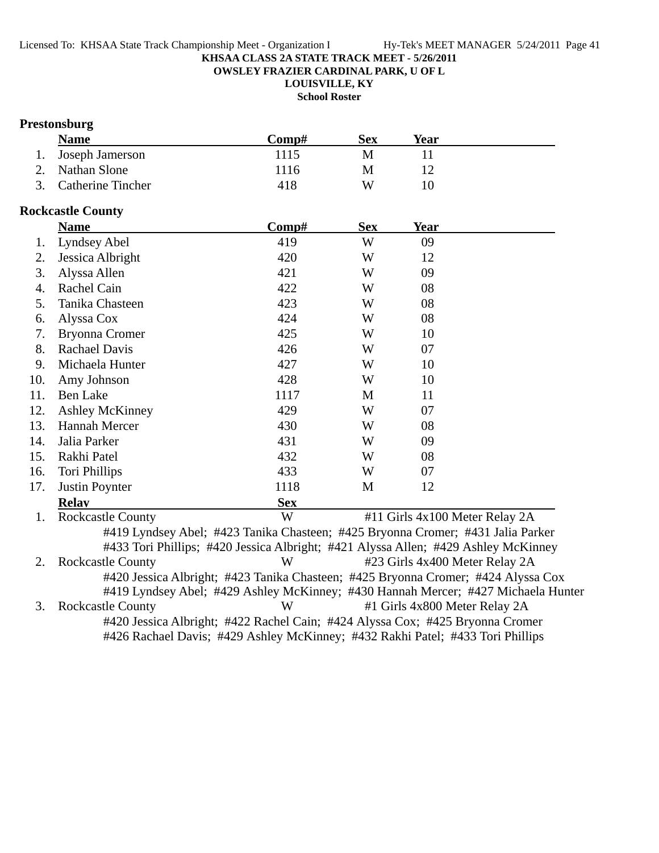**OWSLEY FRAZIER CARDINAL PARK, U OF L**

**LOUISVILLE, KY**

**School Roster**

## **Prestonsburg**

| <b>Name</b>          | Comp# | <b>Sex</b> | Year |  |
|----------------------|-------|------------|------|--|
| 1. Joseph Jamerson   | 1115  | M          |      |  |
| 2. Nathan Slone      | 1116  | М          |      |  |
| 3. Catherine Tincher | 418   | W          |      |  |

#### **Rockcastle County**

|     | <b>Name</b>                                                                                | Comp#      | <b>Sex</b> | <b>Year</b>                    |  |
|-----|--------------------------------------------------------------------------------------------|------------|------------|--------------------------------|--|
| 1.  | Lyndsey Abel                                                                               | 419        | W          | 09                             |  |
| 2.  | Jessica Albright                                                                           | 420        | W          | 12                             |  |
| 3.  | Alyssa Allen                                                                               | 421        | W          | 09                             |  |
| 4.  | Rachel Cain                                                                                | 422        | W          | 08                             |  |
| 5.  | Tanika Chasteen                                                                            | 423        | W          | 08                             |  |
| 6.  | Alyssa Cox                                                                                 | 424        | W          | 08                             |  |
| 7.  | <b>Bryonna Cromer</b>                                                                      | 425        | W          | 10                             |  |
| 8.  | <b>Rachael Davis</b>                                                                       | 426        | W          | 07                             |  |
| 9.  | Michaela Hunter                                                                            | 427        | W          | 10                             |  |
| 10. | Amy Johnson                                                                                | 428        | W          | 10                             |  |
| 11. | <b>Ben Lake</b>                                                                            | 1117       | M          | 11                             |  |
| 12. | <b>Ashley McKinney</b>                                                                     | 429        | W          | 07                             |  |
| 13. | <b>Hannah Mercer</b>                                                                       | 430        | W          | 08                             |  |
| 14. | Jalia Parker                                                                               | 431        | W          | 09                             |  |
| 15. | Rakhi Patel                                                                                | 432        | W          | 08                             |  |
| 16. | Tori Phillips                                                                              | 433        | W          | 07                             |  |
| 17. | Justin Poynter                                                                             | 1118       | M          | 12                             |  |
|     | <b>Relav</b>                                                                               | <b>Sex</b> |            |                                |  |
| 1.  | <b>Rockcastle County</b>                                                                   | W          |            | #11 Girls 4x100 Meter Relay 2A |  |
|     | #419 Lyndsey Abel; #423 Tanika Chasteen; #425 Bryonna Cromer; #431 Jalia Parker            |            |            |                                |  |
|     | #433 Tori Phillips; #420 Jessica Albright; #421 Alyssa Allen; #429 Ashley McKinney         |            |            |                                |  |
| 2.  | <b>Rockcastle County</b>                                                                   | W          |            | #23 Girls 4x400 Meter Relay 2A |  |
|     | #420 Jessica Albright; #423 Tanika Chasteen; #425 Bryonna Cromer; #424 Alyssa Cox          |            |            |                                |  |
|     | #419 Lyndsey Abel; #429 Ashley McKinney; #430 Hannah Mercer; #427 Michaela Hunter          |            |            |                                |  |
| 3.  | <b>Rockcastle County</b>                                                                   | W          |            | #1 Girls 4x800 Meter Relay 2A  |  |
|     | $\#420$ Legging Albright: $\#422$ Roghol Coin: $\#424$ Alveso Cove, $\#425$ Drugpno Cromor |            |            |                                |  |

#420 Jessica Albright; #422 Rachel Cain; #424 Alyssa Cox; #425 Bryonna Cromer #426 Rachael Davis; #429 Ashley McKinney; #432 Rakhi Patel; #433 Tori Phillips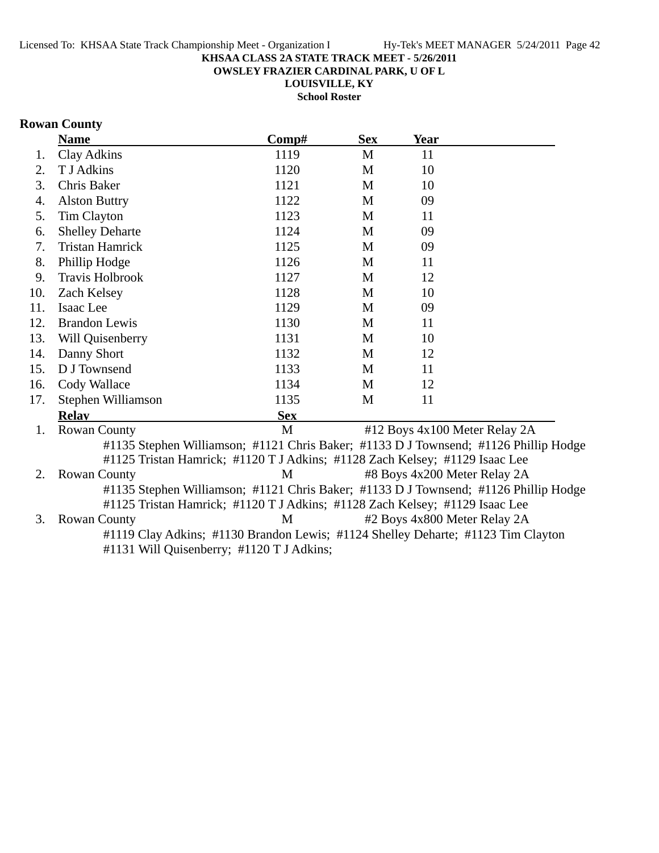**OWSLEY FRAZIER CARDINAL PARK, U OF L**

**LOUISVILLE, KY**

**School Roster**

## **Rowan County**

|     | <b>Name</b>                                                                          | Comp#      | <b>Sex</b> | <b>Year</b>                   |  |
|-----|--------------------------------------------------------------------------------------|------------|------------|-------------------------------|--|
| 1.  | <b>Clay Adkins</b>                                                                   | 1119       | M          | 11                            |  |
| 2.  | T J Adkins                                                                           | 1120       | M          | 10                            |  |
| 3.  | Chris Baker                                                                          | 1121       | M          | 10                            |  |
| 4.  | <b>Alston Buttry</b>                                                                 | 1122       | M          | 09                            |  |
| 5.  | <b>Tim Clayton</b>                                                                   | 1123       | M          | 11                            |  |
| 6.  | <b>Shelley Deharte</b>                                                               | 1124       | M          | 09                            |  |
| 7.  | <b>Tristan Hamrick</b>                                                               | 1125       | M          | 09                            |  |
| 8.  | Phillip Hodge                                                                        | 1126       | M          | 11                            |  |
| 9.  | Travis Holbrook                                                                      | 1127       | M          | 12                            |  |
| 10. | Zach Kelsey                                                                          | 1128       | M          | 10                            |  |
| 11. | Isaac Lee                                                                            | 1129       | M          | 09                            |  |
| 12. | <b>Brandon Lewis</b>                                                                 | 1130       | M          | 11                            |  |
| 13. | Will Quisenberry                                                                     | 1131       | M          | 10                            |  |
| 14. | Danny Short                                                                          | 1132       | M          | 12                            |  |
| 15. | D J Townsend                                                                         | 1133       | M          | 11                            |  |
| 16. | Cody Wallace                                                                         | 1134       | M          | 12                            |  |
| 17. | Stephen Williamson                                                                   | 1135       | M          | 11                            |  |
|     | <b>Relav</b>                                                                         | <b>Sex</b> |            |                               |  |
| 1.  | <b>Rowan County</b>                                                                  | M          |            | #12 Boys 4x100 Meter Relay 2A |  |
|     | #1135 Stephen Williamson; #1121 Chris Baker; #1133 D J Townsend; #1126 Phillip Hodge |            |            |                               |  |
|     | #1125 Tristan Hamrick; #1120 T J Adkins; #1128 Zach Kelsey; #1129 Isaac Lee          |            |            |                               |  |
| 2.  | <b>Rowan County</b>                                                                  | M          |            | #8 Boys 4x200 Meter Relay 2A  |  |
|     | #1135 Stephen Williamson; #1121 Chris Baker; #1133 D J Townsend; #1126 Phillip Hodge |            |            |                               |  |
|     | #1125 Tristan Hamrick; #1120 T J Adkins; #1128 Zach Kelsey; #1129 Isaac Lee          |            |            |                               |  |
| 3.  | <b>Rowan County</b>                                                                  | M          |            | #2 Boys 4x800 Meter Relay 2A  |  |
|     | #1119 Clay Adkins; #1130 Brandon Lewis; #1124 Shelley Deharte; #1123 Tim Clayton     |            |            |                               |  |
|     | #1131 Will Quisenberry; #1120 T J Adkins;                                            |            |            |                               |  |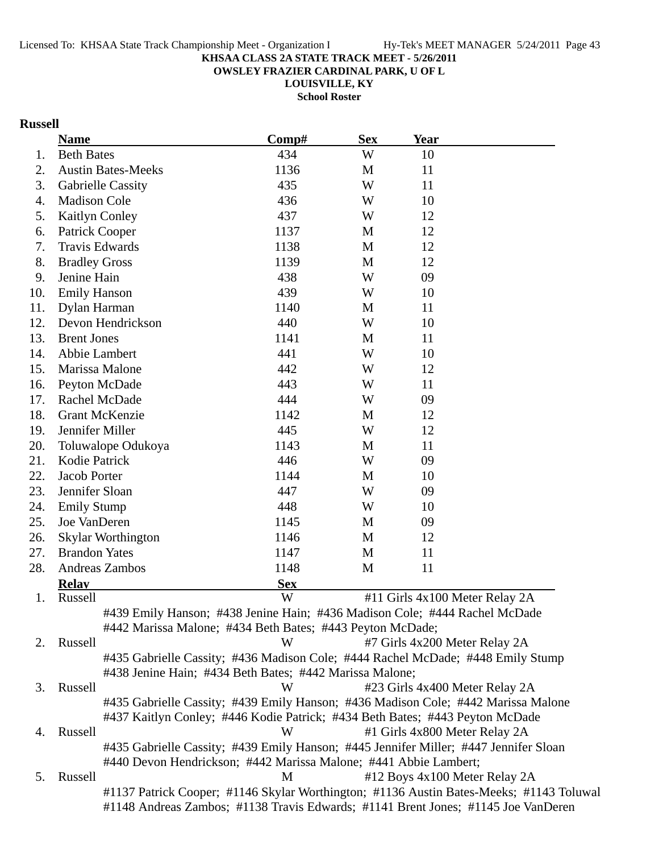**OWSLEY FRAZIER CARDINAL PARK, U OF L**

**LOUISVILLE, KY**

**School Roster**

## **Russell**

|     | <b>Name</b>                                                                             | Comp#      | <b>Sex</b> | <b>Year</b> |                                                                                         |
|-----|-----------------------------------------------------------------------------------------|------------|------------|-------------|-----------------------------------------------------------------------------------------|
| 1.  | <b>Beth Bates</b>                                                                       | 434        | W          | 10          |                                                                                         |
| 2.  | <b>Austin Bates-Meeks</b>                                                               | 1136       | M          | 11          |                                                                                         |
| 3.  | Gabrielle Cassity                                                                       | 435        | W          | 11          |                                                                                         |
| 4.  | Madison Cole                                                                            | 436        | W          | 10          |                                                                                         |
| 5.  | Kaitlyn Conley                                                                          | 437        | W          | 12          |                                                                                         |
| 6.  | Patrick Cooper                                                                          | 1137       | M          | 12          |                                                                                         |
| 7.  | Travis Edwards                                                                          | 1138       | M          | 12          |                                                                                         |
| 8.  | <b>Bradley Gross</b>                                                                    | 1139       | M          | 12          |                                                                                         |
| 9.  | Jenine Hain                                                                             | 438        | W          | 09          |                                                                                         |
| 10. | <b>Emily Hanson</b>                                                                     | 439        | W          | 10          |                                                                                         |
| 11. | Dylan Harman                                                                            | 1140       | M          | 11          |                                                                                         |
| 12. | Devon Hendrickson                                                                       | 440        | W          | 10          |                                                                                         |
| 13. | <b>Brent Jones</b>                                                                      | 1141       | M          | 11          |                                                                                         |
| 14. | Abbie Lambert                                                                           | 441        | W          | 10          |                                                                                         |
| 15. | Marissa Malone                                                                          | 442        | W          | 12          |                                                                                         |
| 16. | Peyton McDade                                                                           | 443        | W          | 11          |                                                                                         |
| 17. | Rachel McDade                                                                           | 444        | W          | 09          |                                                                                         |
| 18. | <b>Grant McKenzie</b>                                                                   | 1142       | M          | 12          |                                                                                         |
| 19. | Jennifer Miller                                                                         | 445        | W          | 12          |                                                                                         |
| 20. | Toluwalope Odukoya                                                                      | 1143       | M          | 11          |                                                                                         |
| 21. | Kodie Patrick                                                                           | 446        | W          | 09          |                                                                                         |
| 22. | Jacob Porter                                                                            | 1144       | M          | 10          |                                                                                         |
| 23. | Jennifer Sloan                                                                          | 447        | W          | 09          |                                                                                         |
| 24. | <b>Emily Stump</b>                                                                      | 448        | W          | 10          |                                                                                         |
| 25. | Joe VanDeren                                                                            | 1145       | M          | 09          |                                                                                         |
| 26. | Skylar Worthington                                                                      | 1146       | M          | 12          |                                                                                         |
| 27. | <b>Brandon Yates</b>                                                                    | 1147       | M          | 11          |                                                                                         |
| 28. | Andreas Zambos                                                                          | 1148       | M          | 11          |                                                                                         |
|     | <b>Relay</b>                                                                            | <b>Sex</b> |            |             |                                                                                         |
| 1.  | Russell                                                                                 | W          |            |             | #11 Girls 4x100 Meter Relay 2A                                                          |
|     | #439 Emily Hanson; #438 Jenine Hain; #436 Madison Cole; #444 Rachel McDade              |            |            |             |                                                                                         |
|     | #442 Marissa Malone; #434 Beth Bates; #443 Peyton McDade;                               |            |            |             |                                                                                         |
| 2.  | Russell                                                                                 | W          |            |             | #7 Girls 4x200 Meter Relay 2A                                                           |
|     | #435 Gabrielle Cassity; #436 Madison Cole; #444 Rachel McDade; #448 Emily Stump         |            |            |             |                                                                                         |
|     | #438 Jenine Hain; #434 Beth Bates; #442 Marissa Malone;                                 |            |            |             |                                                                                         |
| 3.  | Russell                                                                                 | W          |            |             | #23 Girls 4x400 Meter Relay 2A                                                          |
|     | #435 Gabrielle Cassity; #439 Emily Hanson; #436 Madison Cole; #442 Marissa Malone       |            |            |             |                                                                                         |
|     | #437 Kaitlyn Conley; #446 Kodie Patrick; #434 Beth Bates; #443 Peyton McDade<br>Russell | W          |            |             |                                                                                         |
| 4.  | #435 Gabrielle Cassity; #439 Emily Hanson; #445 Jennifer Miller; #447 Jennifer Sloan    |            |            |             | #1 Girls 4x800 Meter Relay 2A                                                           |
|     | #440 Devon Hendrickson; #442 Marissa Malone; #441 Abbie Lambert;                        |            |            |             |                                                                                         |
| 5.  | Russell                                                                                 | M          |            |             | #12 Boys 4x100 Meter Relay 2A                                                           |
|     |                                                                                         |            |            |             | #1137 Patrick Cooper; #1146 Skylar Worthington; #1136 Austin Bates-Meeks; #1143 Toluwal |
|     | #1148 Andreas Zambos; #1138 Travis Edwards; #1141 Brent Jones; #1145 Joe VanDeren       |            |            |             |                                                                                         |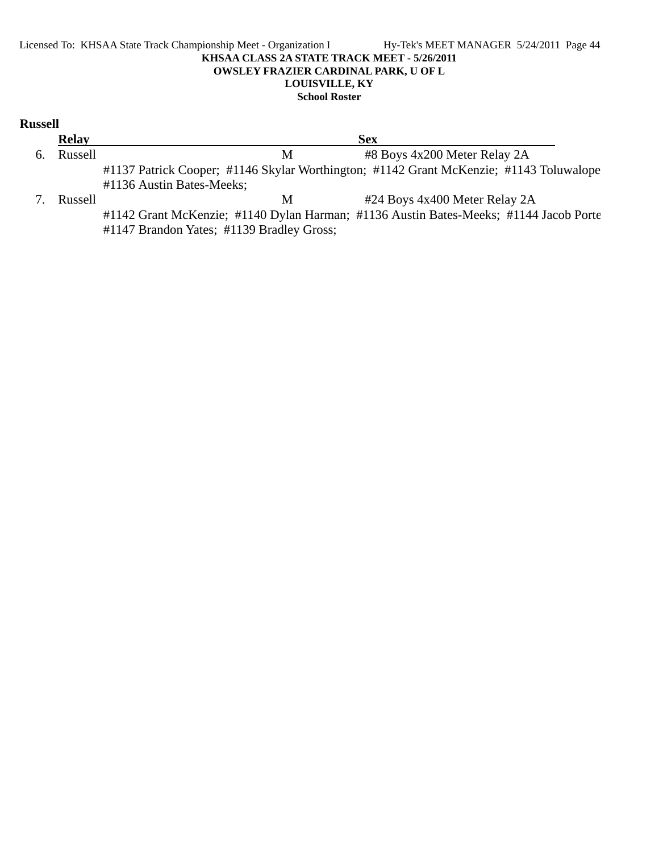#### Licensed To: KHSAA State Track Championship Meet - Organization I Hy-Tek's MEET MANAGER 5/24/2011 Page 44 **KHSAA CLASS 2A STATE TRACK MEET - 5/26/2011 OWSLEY FRAZIER CARDINAL PARK, U OF L LOUISVILLE, KY School Roster**

| <b>Russell</b> |              |                                                                                                                                    |
|----------------|--------------|------------------------------------------------------------------------------------------------------------------------------------|
|                | <b>Relay</b> | <b>Sex</b>                                                                                                                         |
| 6.             | Russell      | #8 Boys 4x200 Meter Relay 2A<br>M                                                                                                  |
|                |              | #1137 Patrick Cooper; #1146 Skylar Worthington; #1142 Grant McKenzie; #1143 Toluwalope                                             |
|                |              | #1136 Austin Bates-Meeks;                                                                                                          |
|                | Russell      | #24 Boys 4x400 Meter Relay 2A<br>M                                                                                                 |
|                |              | #1142 Grant McKenzie; #1140 Dylan Harman; #1136 Austin Bates-Meeks; #1144 Jacob Porte<br>#1147 Brandon Yates; #1139 Bradley Gross; |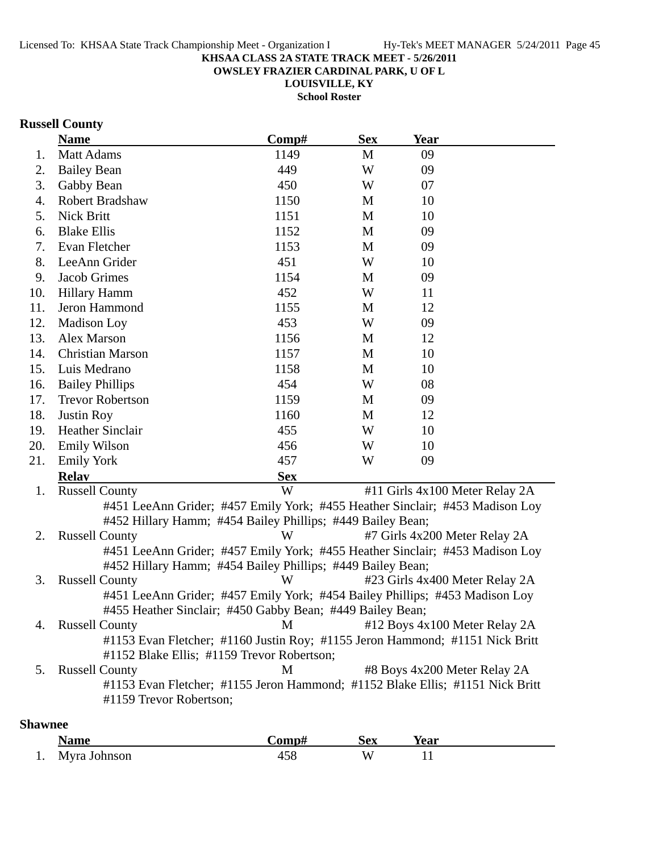**OWSLEY FRAZIER CARDINAL PARK, U OF L**

**LOUISVILLE, KY School Roster**

## **Russell County**

|     | <b>Name</b>                                                                   | Comp#      | <b>Sex</b> | <b>Year</b>                   |                                |
|-----|-------------------------------------------------------------------------------|------------|------------|-------------------------------|--------------------------------|
| 1.  | <b>Matt Adams</b>                                                             | 1149       | M          | 09                            |                                |
| 2.  | <b>Bailey Bean</b>                                                            | 449        | W          | 09                            |                                |
| 3.  | Gabby Bean                                                                    | 450        | W          | 07                            |                                |
| 4.  | Robert Bradshaw                                                               | 1150       | M          | 10                            |                                |
| 5.  | Nick Britt                                                                    | 1151       | M          | 10                            |                                |
| 6.  | <b>Blake Ellis</b>                                                            | 1152       | M          | 09                            |                                |
| 7.  | Evan Fletcher                                                                 | 1153       | M          | 09                            |                                |
| 8.  | LeeAnn Grider                                                                 | 451        | W          | 10                            |                                |
| 9.  | Jacob Grimes                                                                  | 1154       | M          | 09                            |                                |
| 10. | <b>Hillary Hamm</b>                                                           | 452        | W          | 11                            |                                |
| 11. | Jeron Hammond                                                                 | 1155       | M          | 12                            |                                |
| 12. | Madison Loy                                                                   | 453        | W          | 09                            |                                |
| 13. | Alex Marson                                                                   | 1156       | M          | 12                            |                                |
| 14. | <b>Christian Marson</b>                                                       | 1157       | M          | 10                            |                                |
| 15. | Luis Medrano                                                                  | 1158       | M          | 10                            |                                |
| 16. | <b>Bailey Phillips</b>                                                        | 454        | W          | 08                            |                                |
| 17. | <b>Trevor Robertson</b>                                                       | 1159       | M          | 09                            |                                |
| 18. | <b>Justin Roy</b>                                                             | 1160       | M          | 12                            |                                |
| 19. | <b>Heather Sinclair</b>                                                       | 455        | W          | 10                            |                                |
| 20. | <b>Emily Wilson</b>                                                           | 456        | W          | 10                            |                                |
| 21. | <b>Emily York</b>                                                             | 457        | W          | 09                            |                                |
|     | <b>Relav</b>                                                                  | <b>Sex</b> |            |                               |                                |
| 1.  | <b>Russell County</b>                                                         | W          |            |                               | #11 Girls 4x100 Meter Relay 2A |
|     | #451 LeeAnn Grider; #457 Emily York; #455 Heather Sinclair; #453 Madison Loy  |            |            |                               |                                |
|     | #452 Hillary Hamm; #454 Bailey Phillips; #449 Bailey Bean;                    |            |            |                               |                                |
| 2.  | <b>Russell County</b>                                                         | W          |            | #7 Girls 4x200 Meter Relay 2A |                                |
|     | #451 LeeAnn Grider; #457 Emily York; #455 Heather Sinclair; #453 Madison Loy  |            |            |                               |                                |
|     | #452 Hillary Hamm; #454 Bailey Phillips; #449 Bailey Bean;                    |            |            |                               |                                |
| 3.  | <b>Russell County</b>                                                         | W          |            |                               | #23 Girls 4x400 Meter Relay 2A |
|     | #451 LeeAnn Grider; #457 Emily York; #454 Bailey Phillips; #453 Madison Loy   |            |            |                               |                                |
|     | #455 Heather Sinclair; #450 Gabby Bean; #449 Bailey Bean;                     |            |            |                               |                                |
| 4.  | <b>Russell County</b>                                                         | M          |            |                               | #12 Boys 4x100 Meter Relay 2A  |
|     | #1153 Evan Fletcher; #1160 Justin Roy; #1155 Jeron Hammond; #1151 Nick Britt  |            |            |                               |                                |
|     | #1152 Blake Ellis; #1159 Trevor Robertson;                                    |            |            |                               |                                |
| 5.  | <b>Russell County</b>                                                         | М          |            | #8 Boys 4x200 Meter Relay 2A  |                                |
|     | #1153 Evan Fletcher; #1155 Jeron Hammond; #1152 Blake Ellis; #1151 Nick Britt |            |            |                               |                                |
|     | #1159 Trevor Robertson;                                                       |            |            |                               |                                |

## **Shawnee**

|    | ممصرا        | $'$ o waa wa t | Sex | rear |
|----|--------------|----------------|-----|------|
| 1. | Myra Johnson |                | w   |      |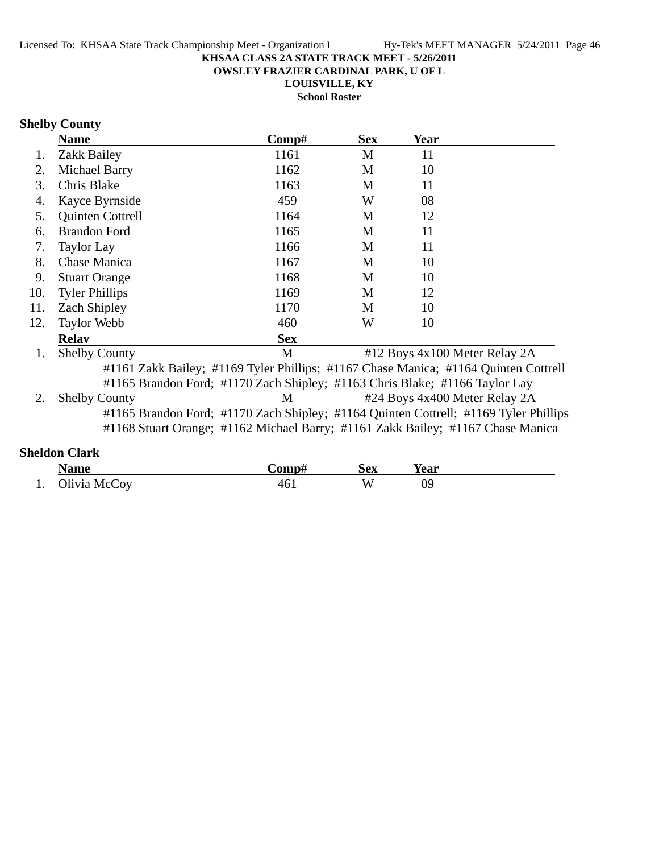**OWSLEY FRAZIER CARDINAL PARK, U OF L**

**LOUISVILLE, KY**

**School Roster**

### **Shelby County**

|     | <b>Name</b>           | Comp#        | <b>Sex</b>                | Year                                                                                                                                                                                                                                                                                                                                                                                                   |  |
|-----|-----------------------|--------------|---------------------------|--------------------------------------------------------------------------------------------------------------------------------------------------------------------------------------------------------------------------------------------------------------------------------------------------------------------------------------------------------------------------------------------------------|--|
|     | Zakk Bailey           | 1161         | M                         | 11                                                                                                                                                                                                                                                                                                                                                                                                     |  |
| 2.  | Michael Barry         | 1162         | M                         | 10                                                                                                                                                                                                                                                                                                                                                                                                     |  |
| 3.  | Chris Blake           | 1163         | M                         | 11                                                                                                                                                                                                                                                                                                                                                                                                     |  |
| 4.  | Kayce Byrnside        | 459          | W                         | 08                                                                                                                                                                                                                                                                                                                                                                                                     |  |
| 5.  | Quinten Cottrell      | 1164         | M                         | 12                                                                                                                                                                                                                                                                                                                                                                                                     |  |
| 6.  | <b>Brandon Ford</b>   | 1165         | M                         | 11                                                                                                                                                                                                                                                                                                                                                                                                     |  |
| 7.  | <b>Taylor Lay</b>     | 1166         | M                         | 11                                                                                                                                                                                                                                                                                                                                                                                                     |  |
| 8.  | Chase Manica          | 1167         | M                         | 10                                                                                                                                                                                                                                                                                                                                                                                                     |  |
| 9.  | <b>Stuart Orange</b>  | 1168         | M                         | 10                                                                                                                                                                                                                                                                                                                                                                                                     |  |
| 10. | <b>Tyler Phillips</b> | 1169         | M                         | 12                                                                                                                                                                                                                                                                                                                                                                                                     |  |
| 11. | <b>Zach Shipley</b>   | 1170         | M                         | 10                                                                                                                                                                                                                                                                                                                                                                                                     |  |
| 12. | <b>Taylor Webb</b>    | 460          | W                         | 10                                                                                                                                                                                                                                                                                                                                                                                                     |  |
|     | <b>Relav</b>          | <b>Sex</b>   |                           |                                                                                                                                                                                                                                                                                                                                                                                                        |  |
|     | $\sim$ 11<br>$\sim$   | $\mathbf{r}$ | $\mathbf{u}$ $\mathbf{v}$ | $\overline{1}$ $\overline{1}$ $\overline{0}$ $\overline{1}$ $\overline{5}$ $\overline{1}$ $\overline{1}$ $\overline{1}$ $\overline{1}$ $\overline{1}$ $\overline{1}$ $\overline{1}$ $\overline{1}$ $\overline{1}$ $\overline{1}$ $\overline{1}$ $\overline{1}$ $\overline{1}$ $\overline{1}$ $\overline{1}$ $\overline{1}$ $\overline{1}$ $\overline{1}$ $\overline{1}$ $\overline{$<br>$\sim$ $\cdot$ |  |

1. Shelby County M #12 Boys 4x100 Meter Relay 2A #1161 Zakk Bailey; #1169 Tyler Phillips; #1167 Chase Manica; #1164 Quinten Cottrell #1165 Brandon Ford; #1170 Zach Shipley; #1163 Chris Blake; #1166 Taylor Lay 2. Shelby County M #24 Boys 4x400 Meter Relay 2A #1165 Brandon Ford; #1170 Zach Shipley; #1164 Quinten Cottrell; #1169 Tyler Phillips #1168 Stuart Orange; #1162 Michael Barry; #1161 Zakk Bailey; #1167 Chase Manica

### **Sheldon Clark**

| <b>Name</b>     | `omn# | Sex | rear |
|-----------------|-------|-----|------|
| 1. Olivia McCoy |       | VY. |      |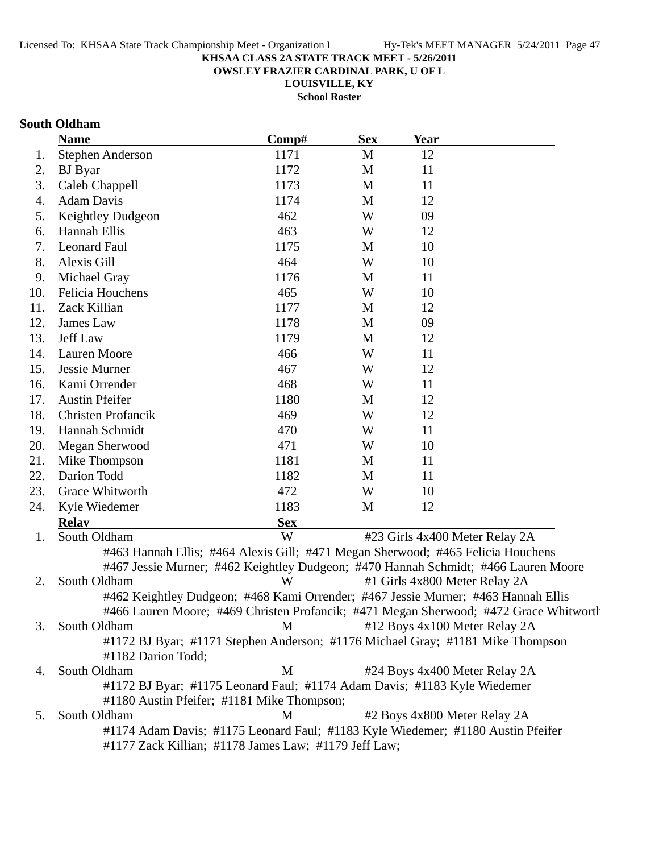**OWSLEY FRAZIER CARDINAL PARK, U OF L**

**LOUISVILLE, KY School Roster**

## **South Oldham**

| <b>Stephen Anderson</b><br>1171<br>M<br>12<br>1.<br>1172<br>M<br>11<br>2.<br><b>BJ</b> Byar<br>3.<br>Caleb Chappell<br>1173<br>М<br>11<br><b>Adam Davis</b><br>1174<br>12<br>M<br>4.<br>462<br>W<br>5.<br>Keightley Dudgeon<br>09<br>Hannah Ellis<br>463<br>W<br>12<br>6.<br><b>Leonard Faul</b><br>1175<br>7.<br>10<br>M<br>464<br>8.<br>Alexis Gill<br>W<br>10<br>1176<br>9.<br>Michael Gray<br>M<br>11<br>Felicia Houchens<br>465<br>W<br>10.<br>10<br>Zack Killian<br>1177<br>12<br>11.<br>M<br>1178<br>12.<br>James Law<br>M<br>09<br>13.<br>Jeff Law<br>1179<br>M<br>12<br>466<br>W<br>14.<br><b>Lauren Moore</b><br>11<br>Jessie Murner<br>467<br>W<br>12<br>15.<br>Kami Orrender<br>468<br>16.<br>W<br>11<br><b>Austin Pfeifer</b><br>1180<br>17.<br>12<br>M<br>18.<br><b>Christen Profancik</b><br>469<br>W<br>12<br>Hannah Schmidt<br>470<br>19.<br>W<br>11<br>471<br>20.<br>Megan Sherwood<br>W<br>10<br>21.<br>1181<br>11<br>Mike Thompson<br>M<br>Darion Todd<br>1182<br>22.<br>M<br>11<br>472<br>23.<br>Grace Whitworth<br>W<br>10<br>1183<br>Kyle Wiedemer<br>M<br>12<br>24.<br><b>Sex</b><br><b>Relay</b><br>W<br>South Oldham<br>#23 Girls 4x400 Meter Relay 2A<br>1.<br>#463 Hannah Ellis; #464 Alexis Gill; #471 Megan Sherwood; #465 Felicia Houchens<br>#467 Jessie Murner; #462 Keightley Dudgeon; #470 Hannah Schmidt; #466 Lauren Moore<br>South Oldham<br>W<br>#1 Girls 4x800 Meter Relay 2A<br>2.<br>#462 Keightley Dudgeon; #468 Kami Orrender; #467 Jessie Murner; #463 Hannah Ellis<br>#466 Lauren Moore; #469 Christen Profancik; #471 Megan Sherwood; #472 Grace Whitworth<br>South Oldham<br>M<br>#12 Boys 4x100 Meter Relay 2A<br>3.<br>#1172 BJ Byar; #1171 Stephen Anderson; #1176 Michael Gray; #1181 Mike Thompson<br>#1182 Darion Todd;<br>South Oldham<br>M<br>#24 Boys 4x400 Meter Relay 2A<br>4.<br>#1172 BJ Byar; #1175 Leonard Faul; #1174 Adam Davis; #1183 Kyle Wiedemer<br>#1180 Austin Pfeifer; #1181 Mike Thompson;<br>South Oldham<br>M<br>#2 Boys 4x800 Meter Relay 2A<br>5.<br>#1174 Adam Davis; #1175 Leonard Faul; #1183 Kyle Wiedemer; #1180 Austin Pfeifer | <b>Name</b> | Comp# | <b>Sex</b> | <b>Year</b> |  |
|-------------------------------------------------------------------------------------------------------------------------------------------------------------------------------------------------------------------------------------------------------------------------------------------------------------------------------------------------------------------------------------------------------------------------------------------------------------------------------------------------------------------------------------------------------------------------------------------------------------------------------------------------------------------------------------------------------------------------------------------------------------------------------------------------------------------------------------------------------------------------------------------------------------------------------------------------------------------------------------------------------------------------------------------------------------------------------------------------------------------------------------------------------------------------------------------------------------------------------------------------------------------------------------------------------------------------------------------------------------------------------------------------------------------------------------------------------------------------------------------------------------------------------------------------------------------------------------------------------------------------------------------------------------------------------------------------------------------------------------------------------------------------------------------------------------------------------------------------------------------------------------------------------------------------------------------------------------------------------------------------------------------------------------------------------------------------------------------------------------------|-------------|-------|------------|-------------|--|
|                                                                                                                                                                                                                                                                                                                                                                                                                                                                                                                                                                                                                                                                                                                                                                                                                                                                                                                                                                                                                                                                                                                                                                                                                                                                                                                                                                                                                                                                                                                                                                                                                                                                                                                                                                                                                                                                                                                                                                                                                                                                                                                   |             |       |            |             |  |
|                                                                                                                                                                                                                                                                                                                                                                                                                                                                                                                                                                                                                                                                                                                                                                                                                                                                                                                                                                                                                                                                                                                                                                                                                                                                                                                                                                                                                                                                                                                                                                                                                                                                                                                                                                                                                                                                                                                                                                                                                                                                                                                   |             |       |            |             |  |
|                                                                                                                                                                                                                                                                                                                                                                                                                                                                                                                                                                                                                                                                                                                                                                                                                                                                                                                                                                                                                                                                                                                                                                                                                                                                                                                                                                                                                                                                                                                                                                                                                                                                                                                                                                                                                                                                                                                                                                                                                                                                                                                   |             |       |            |             |  |
|                                                                                                                                                                                                                                                                                                                                                                                                                                                                                                                                                                                                                                                                                                                                                                                                                                                                                                                                                                                                                                                                                                                                                                                                                                                                                                                                                                                                                                                                                                                                                                                                                                                                                                                                                                                                                                                                                                                                                                                                                                                                                                                   |             |       |            |             |  |
|                                                                                                                                                                                                                                                                                                                                                                                                                                                                                                                                                                                                                                                                                                                                                                                                                                                                                                                                                                                                                                                                                                                                                                                                                                                                                                                                                                                                                                                                                                                                                                                                                                                                                                                                                                                                                                                                                                                                                                                                                                                                                                                   |             |       |            |             |  |
|                                                                                                                                                                                                                                                                                                                                                                                                                                                                                                                                                                                                                                                                                                                                                                                                                                                                                                                                                                                                                                                                                                                                                                                                                                                                                                                                                                                                                                                                                                                                                                                                                                                                                                                                                                                                                                                                                                                                                                                                                                                                                                                   |             |       |            |             |  |
|                                                                                                                                                                                                                                                                                                                                                                                                                                                                                                                                                                                                                                                                                                                                                                                                                                                                                                                                                                                                                                                                                                                                                                                                                                                                                                                                                                                                                                                                                                                                                                                                                                                                                                                                                                                                                                                                                                                                                                                                                                                                                                                   |             |       |            |             |  |
|                                                                                                                                                                                                                                                                                                                                                                                                                                                                                                                                                                                                                                                                                                                                                                                                                                                                                                                                                                                                                                                                                                                                                                                                                                                                                                                                                                                                                                                                                                                                                                                                                                                                                                                                                                                                                                                                                                                                                                                                                                                                                                                   |             |       |            |             |  |
|                                                                                                                                                                                                                                                                                                                                                                                                                                                                                                                                                                                                                                                                                                                                                                                                                                                                                                                                                                                                                                                                                                                                                                                                                                                                                                                                                                                                                                                                                                                                                                                                                                                                                                                                                                                                                                                                                                                                                                                                                                                                                                                   |             |       |            |             |  |
|                                                                                                                                                                                                                                                                                                                                                                                                                                                                                                                                                                                                                                                                                                                                                                                                                                                                                                                                                                                                                                                                                                                                                                                                                                                                                                                                                                                                                                                                                                                                                                                                                                                                                                                                                                                                                                                                                                                                                                                                                                                                                                                   |             |       |            |             |  |
|                                                                                                                                                                                                                                                                                                                                                                                                                                                                                                                                                                                                                                                                                                                                                                                                                                                                                                                                                                                                                                                                                                                                                                                                                                                                                                                                                                                                                                                                                                                                                                                                                                                                                                                                                                                                                                                                                                                                                                                                                                                                                                                   |             |       |            |             |  |
|                                                                                                                                                                                                                                                                                                                                                                                                                                                                                                                                                                                                                                                                                                                                                                                                                                                                                                                                                                                                                                                                                                                                                                                                                                                                                                                                                                                                                                                                                                                                                                                                                                                                                                                                                                                                                                                                                                                                                                                                                                                                                                                   |             |       |            |             |  |
|                                                                                                                                                                                                                                                                                                                                                                                                                                                                                                                                                                                                                                                                                                                                                                                                                                                                                                                                                                                                                                                                                                                                                                                                                                                                                                                                                                                                                                                                                                                                                                                                                                                                                                                                                                                                                                                                                                                                                                                                                                                                                                                   |             |       |            |             |  |
|                                                                                                                                                                                                                                                                                                                                                                                                                                                                                                                                                                                                                                                                                                                                                                                                                                                                                                                                                                                                                                                                                                                                                                                                                                                                                                                                                                                                                                                                                                                                                                                                                                                                                                                                                                                                                                                                                                                                                                                                                                                                                                                   |             |       |            |             |  |
|                                                                                                                                                                                                                                                                                                                                                                                                                                                                                                                                                                                                                                                                                                                                                                                                                                                                                                                                                                                                                                                                                                                                                                                                                                                                                                                                                                                                                                                                                                                                                                                                                                                                                                                                                                                                                                                                                                                                                                                                                                                                                                                   |             |       |            |             |  |
|                                                                                                                                                                                                                                                                                                                                                                                                                                                                                                                                                                                                                                                                                                                                                                                                                                                                                                                                                                                                                                                                                                                                                                                                                                                                                                                                                                                                                                                                                                                                                                                                                                                                                                                                                                                                                                                                                                                                                                                                                                                                                                                   |             |       |            |             |  |
|                                                                                                                                                                                                                                                                                                                                                                                                                                                                                                                                                                                                                                                                                                                                                                                                                                                                                                                                                                                                                                                                                                                                                                                                                                                                                                                                                                                                                                                                                                                                                                                                                                                                                                                                                                                                                                                                                                                                                                                                                                                                                                                   |             |       |            |             |  |
|                                                                                                                                                                                                                                                                                                                                                                                                                                                                                                                                                                                                                                                                                                                                                                                                                                                                                                                                                                                                                                                                                                                                                                                                                                                                                                                                                                                                                                                                                                                                                                                                                                                                                                                                                                                                                                                                                                                                                                                                                                                                                                                   |             |       |            |             |  |
|                                                                                                                                                                                                                                                                                                                                                                                                                                                                                                                                                                                                                                                                                                                                                                                                                                                                                                                                                                                                                                                                                                                                                                                                                                                                                                                                                                                                                                                                                                                                                                                                                                                                                                                                                                                                                                                                                                                                                                                                                                                                                                                   |             |       |            |             |  |
|                                                                                                                                                                                                                                                                                                                                                                                                                                                                                                                                                                                                                                                                                                                                                                                                                                                                                                                                                                                                                                                                                                                                                                                                                                                                                                                                                                                                                                                                                                                                                                                                                                                                                                                                                                                                                                                                                                                                                                                                                                                                                                                   |             |       |            |             |  |
|                                                                                                                                                                                                                                                                                                                                                                                                                                                                                                                                                                                                                                                                                                                                                                                                                                                                                                                                                                                                                                                                                                                                                                                                                                                                                                                                                                                                                                                                                                                                                                                                                                                                                                                                                                                                                                                                                                                                                                                                                                                                                                                   |             |       |            |             |  |
|                                                                                                                                                                                                                                                                                                                                                                                                                                                                                                                                                                                                                                                                                                                                                                                                                                                                                                                                                                                                                                                                                                                                                                                                                                                                                                                                                                                                                                                                                                                                                                                                                                                                                                                                                                                                                                                                                                                                                                                                                                                                                                                   |             |       |            |             |  |
|                                                                                                                                                                                                                                                                                                                                                                                                                                                                                                                                                                                                                                                                                                                                                                                                                                                                                                                                                                                                                                                                                                                                                                                                                                                                                                                                                                                                                                                                                                                                                                                                                                                                                                                                                                                                                                                                                                                                                                                                                                                                                                                   |             |       |            |             |  |
|                                                                                                                                                                                                                                                                                                                                                                                                                                                                                                                                                                                                                                                                                                                                                                                                                                                                                                                                                                                                                                                                                                                                                                                                                                                                                                                                                                                                                                                                                                                                                                                                                                                                                                                                                                                                                                                                                                                                                                                                                                                                                                                   |             |       |            |             |  |
|                                                                                                                                                                                                                                                                                                                                                                                                                                                                                                                                                                                                                                                                                                                                                                                                                                                                                                                                                                                                                                                                                                                                                                                                                                                                                                                                                                                                                                                                                                                                                                                                                                                                                                                                                                                                                                                                                                                                                                                                                                                                                                                   |             |       |            |             |  |
|                                                                                                                                                                                                                                                                                                                                                                                                                                                                                                                                                                                                                                                                                                                                                                                                                                                                                                                                                                                                                                                                                                                                                                                                                                                                                                                                                                                                                                                                                                                                                                                                                                                                                                                                                                                                                                                                                                                                                                                                                                                                                                                   |             |       |            |             |  |
|                                                                                                                                                                                                                                                                                                                                                                                                                                                                                                                                                                                                                                                                                                                                                                                                                                                                                                                                                                                                                                                                                                                                                                                                                                                                                                                                                                                                                                                                                                                                                                                                                                                                                                                                                                                                                                                                                                                                                                                                                                                                                                                   |             |       |            |             |  |
|                                                                                                                                                                                                                                                                                                                                                                                                                                                                                                                                                                                                                                                                                                                                                                                                                                                                                                                                                                                                                                                                                                                                                                                                                                                                                                                                                                                                                                                                                                                                                                                                                                                                                                                                                                                                                                                                                                                                                                                                                                                                                                                   |             |       |            |             |  |
|                                                                                                                                                                                                                                                                                                                                                                                                                                                                                                                                                                                                                                                                                                                                                                                                                                                                                                                                                                                                                                                                                                                                                                                                                                                                                                                                                                                                                                                                                                                                                                                                                                                                                                                                                                                                                                                                                                                                                                                                                                                                                                                   |             |       |            |             |  |
|                                                                                                                                                                                                                                                                                                                                                                                                                                                                                                                                                                                                                                                                                                                                                                                                                                                                                                                                                                                                                                                                                                                                                                                                                                                                                                                                                                                                                                                                                                                                                                                                                                                                                                                                                                                                                                                                                                                                                                                                                                                                                                                   |             |       |            |             |  |
|                                                                                                                                                                                                                                                                                                                                                                                                                                                                                                                                                                                                                                                                                                                                                                                                                                                                                                                                                                                                                                                                                                                                                                                                                                                                                                                                                                                                                                                                                                                                                                                                                                                                                                                                                                                                                                                                                                                                                                                                                                                                                                                   |             |       |            |             |  |
|                                                                                                                                                                                                                                                                                                                                                                                                                                                                                                                                                                                                                                                                                                                                                                                                                                                                                                                                                                                                                                                                                                                                                                                                                                                                                                                                                                                                                                                                                                                                                                                                                                                                                                                                                                                                                                                                                                                                                                                                                                                                                                                   |             |       |            |             |  |
|                                                                                                                                                                                                                                                                                                                                                                                                                                                                                                                                                                                                                                                                                                                                                                                                                                                                                                                                                                                                                                                                                                                                                                                                                                                                                                                                                                                                                                                                                                                                                                                                                                                                                                                                                                                                                                                                                                                                                                                                                                                                                                                   |             |       |            |             |  |
|                                                                                                                                                                                                                                                                                                                                                                                                                                                                                                                                                                                                                                                                                                                                                                                                                                                                                                                                                                                                                                                                                                                                                                                                                                                                                                                                                                                                                                                                                                                                                                                                                                                                                                                                                                                                                                                                                                                                                                                                                                                                                                                   |             |       |            |             |  |
|                                                                                                                                                                                                                                                                                                                                                                                                                                                                                                                                                                                                                                                                                                                                                                                                                                                                                                                                                                                                                                                                                                                                                                                                                                                                                                                                                                                                                                                                                                                                                                                                                                                                                                                                                                                                                                                                                                                                                                                                                                                                                                                   |             |       |            |             |  |
|                                                                                                                                                                                                                                                                                                                                                                                                                                                                                                                                                                                                                                                                                                                                                                                                                                                                                                                                                                                                                                                                                                                                                                                                                                                                                                                                                                                                                                                                                                                                                                                                                                                                                                                                                                                                                                                                                                                                                                                                                                                                                                                   |             |       |            |             |  |
|                                                                                                                                                                                                                                                                                                                                                                                                                                                                                                                                                                                                                                                                                                                                                                                                                                                                                                                                                                                                                                                                                                                                                                                                                                                                                                                                                                                                                                                                                                                                                                                                                                                                                                                                                                                                                                                                                                                                                                                                                                                                                                                   |             |       |            |             |  |
|                                                                                                                                                                                                                                                                                                                                                                                                                                                                                                                                                                                                                                                                                                                                                                                                                                                                                                                                                                                                                                                                                                                                                                                                                                                                                                                                                                                                                                                                                                                                                                                                                                                                                                                                                                                                                                                                                                                                                                                                                                                                                                                   |             |       |            |             |  |
| #1177 Zack Killian; #1178 James Law; #1179 Jeff Law;                                                                                                                                                                                                                                                                                                                                                                                                                                                                                                                                                                                                                                                                                                                                                                                                                                                                                                                                                                                                                                                                                                                                                                                                                                                                                                                                                                                                                                                                                                                                                                                                                                                                                                                                                                                                                                                                                                                                                                                                                                                              |             |       |            |             |  |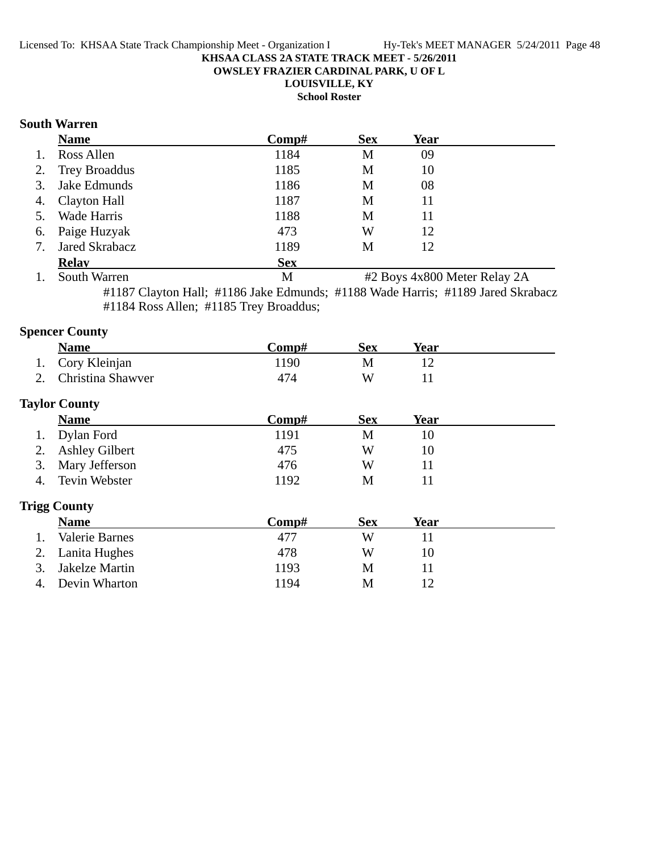**OWSLEY FRAZIER CARDINAL PARK, U OF L**

## **LOUISVILLE, KY**

**School Roster**

### **South Warren**

|    | <b>Name</b>      | Comp#      | <b>Sex</b> | Year |  |
|----|------------------|------------|------------|------|--|
| 1. | Ross Allen       | 1184       | M          | 09   |  |
|    | 2. Trey Broaddus | 1185       | M          | 10   |  |
|    | 3. Jake Edmunds  | 1186       | M          | 08   |  |
|    | 4. Clayton Hall  | 1187       | M          | 11   |  |
|    | 5. Wade Harris   | 1188       | M          | 11   |  |
|    | 6. Paige Huzyak  | 473        | W          | 12   |  |
| 7. | Jared Skrabacz   | 1189       | M          | 12   |  |
|    | <b>Relav</b>     | <b>Sex</b> |            |      |  |

1. South Warren M #2 Boys 4x800 Meter Relay 2A #1187 Clayton Hall; #1186 Jake Edmunds; #1188 Wade Harris; #1189 Jared Skrabacz

#1184 Ross Allen; #1185 Trey Broaddus;

## **Spencer County**

| <b>Name</b>          | Comp# | Sex | Year |  |
|----------------------|-------|-----|------|--|
| 1. Cory Kleinian     | 1190  | M   |      |  |
| 2. Christina Shawver | 474   | W   |      |  |
|                      |       |     |      |  |

## **Taylor County**

| $\mathbf{y}$ for county |       |            |      |
|-------------------------|-------|------------|------|
| <b>Name</b>             | Comp# | <b>Sex</b> | Year |
| 1. Dylan Ford           | 1191  | M          |      |
| 2. Ashley Gilbert       | 475   | W          | 10   |
| 3. Mary Jefferson       | 476   | W          |      |
| 4. Tevin Webster        | 1192  | М          |      |

## **Trigg County**

|    | <b>Name</b>      | Comp# | Sex | <b>Year</b> |
|----|------------------|-------|-----|-------------|
|    | Valerie Barnes   | 477   | W   |             |
|    | 2. Lanita Hughes | 478   | W   | 10          |
| 3. | Jakelze Martin   | 1193  | М   |             |
|    | 4. Devin Wharton | 1194  | M   |             |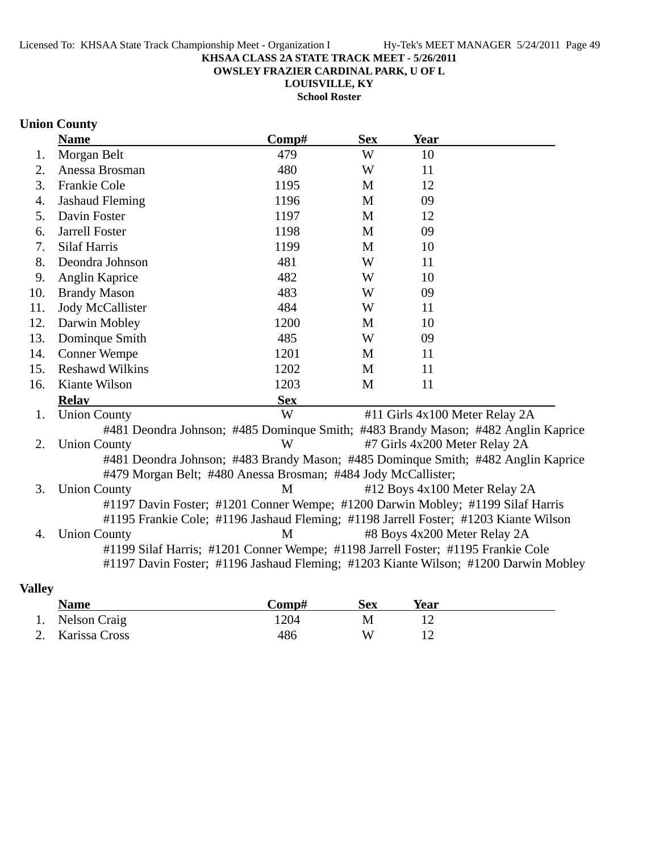**OWSLEY FRAZIER CARDINAL PARK, U OF L**

**LOUISVILLE, KY School Roster**

## **Union County**

|     | <b>Name</b>                                                   | Comp#      | <b>Sex</b>   | <b>Year</b>                                                                          |  |
|-----|---------------------------------------------------------------|------------|--------------|--------------------------------------------------------------------------------------|--|
| 1.  | Morgan Belt                                                   | 479        | W            | 10                                                                                   |  |
| 2.  | Anessa Brosman                                                | 480        | W            | 11                                                                                   |  |
| 3.  | Frankie Cole                                                  | 1195       | M            | 12                                                                                   |  |
| 4.  | <b>Jashaud Fleming</b>                                        | 1196       | M            | 09                                                                                   |  |
| 5.  | Davin Foster                                                  | 1197       | $\mathbf{M}$ | 12                                                                                   |  |
| 6.  | <b>Jarrell Foster</b>                                         | 1198       | M            | 09                                                                                   |  |
| 7.  | <b>Silaf Harris</b>                                           | 1199       | M            | 10                                                                                   |  |
| 8.  | Deondra Johnson                                               | 481        | W            | 11                                                                                   |  |
| 9.  | Anglin Kaprice                                                | 482        | W            | 10                                                                                   |  |
| 10. | <b>Brandy Mason</b>                                           | 483        | W            | 09                                                                                   |  |
| 11. | <b>Jody McCallister</b>                                       | 484        | W            | 11                                                                                   |  |
| 12. | Darwin Mobley                                                 | 1200       | M            | 10                                                                                   |  |
| 13. | Dominque Smith                                                | 485        | W            | 09                                                                                   |  |
| 14. | <b>Conner Wempe</b>                                           | 1201       | M            | 11                                                                                   |  |
| 15. | <b>Reshawd Wilkins</b>                                        | 1202       | M            | 11                                                                                   |  |
| 16. | Kiante Wilson                                                 | 1203       | M            | 11                                                                                   |  |
|     | <b>Relay</b>                                                  | <b>Sex</b> |              |                                                                                      |  |
| 1.  | <b>Union County</b>                                           | W          |              | #11 Girls 4x100 Meter Relay 2A                                                       |  |
|     |                                                               |            |              | #481 Deondra Johnson; #485 Dominque Smith; #483 Brandy Mason; #482 Anglin Kaprice    |  |
| 2.  | <b>Union County</b>                                           | W          |              | #7 Girls 4x200 Meter Relay 2A                                                        |  |
|     |                                                               |            |              | #481 Deondra Johnson; #483 Brandy Mason; #485 Dominque Smith; #482 Anglin Kaprice    |  |
|     | #479 Morgan Belt; #480 Anessa Brosman; #484 Jody McCallister; |            |              |                                                                                      |  |
| 3.  | <b>Union County</b>                                           | M          |              | #12 Boys 4x100 Meter Relay 2A                                                        |  |
|     |                                                               |            |              | #1197 Davin Foster; #1201 Conner Wempe; #1200 Darwin Mobley; #1199 Silaf Harris      |  |
|     |                                                               |            |              | #1195 Frankie Cole; #1196 Jashaud Fleming; #1198 Jarrell Foster; #1203 Kiante Wilson |  |
| 4.  | <b>Union County</b>                                           | M          |              | #8 Boys 4x200 Meter Relay 2A                                                         |  |
|     |                                                               |            |              | #1199 Silaf Harris; #1201 Conner Wempe; #1198 Jarrell Foster; #1195 Frankie Cole     |  |
|     |                                                               |            |              | #1197 Davin Foster; #1196 Jashaud Fleming; #1203 Kiante Wilson; #1200 Darwin Mobley  |  |
|     |                                                               |            |              |                                                                                      |  |

## **Valley**

|    | <b>Name</b>      | Comp# | Sex | Year |  |
|----|------------------|-------|-----|------|--|
| 1. | Nelson Craig     | 1204  |     |      |  |
|    | 2. Karissa Cross | 486   | W   |      |  |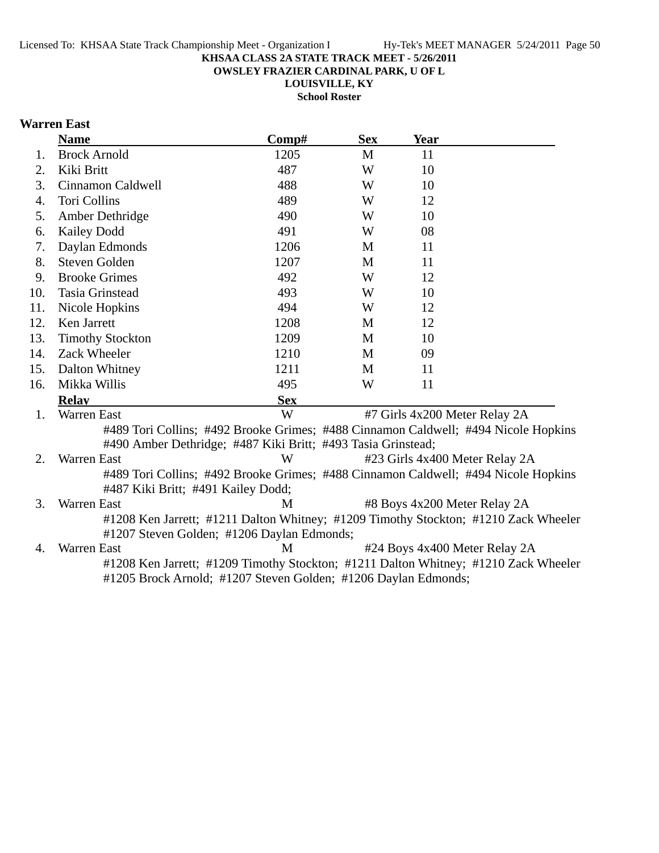**OWSLEY FRAZIER CARDINAL PARK, U OF L**

**LOUISVILLE, KY School Roster**

## **Warren East**

|     | <b>Name</b>                                                                                                                       | Comp#      | <b>Sex</b> | <b>Year</b> |                                |
|-----|-----------------------------------------------------------------------------------------------------------------------------------|------------|------------|-------------|--------------------------------|
| 1.  | <b>Brock Arnold</b>                                                                                                               | 1205       | M          | 11          |                                |
| 2.  | Kiki Britt                                                                                                                        | 487        | W          | 10          |                                |
| 3.  | Cinnamon Caldwell                                                                                                                 | 488        | W          | 10          |                                |
| 4.  | <b>Tori Collins</b>                                                                                                               | 489        | W          | 12          |                                |
| 5.  | Amber Dethridge                                                                                                                   | 490        | W          | 10          |                                |
| 6.  | Kailey Dodd                                                                                                                       | 491        | W          | 08          |                                |
| 7.  | Daylan Edmonds                                                                                                                    | 1206       | M          | 11          |                                |
| 8.  | Steven Golden                                                                                                                     | 1207       | M          | 11          |                                |
| 9.  | <b>Brooke Grimes</b>                                                                                                              | 492        | W          | 12          |                                |
| 10. | Tasia Grinstead                                                                                                                   | 493        | W          | 10          |                                |
| 11. | Nicole Hopkins                                                                                                                    | 494        | W          | 12          |                                |
| 12. | Ken Jarrett                                                                                                                       | 1208       | M          | 12          |                                |
| 13. | <b>Timothy Stockton</b>                                                                                                           | 1209       | M          | 10          |                                |
| 14. | Zack Wheeler                                                                                                                      | 1210       | M          | 09          |                                |
| 15. | Dalton Whitney                                                                                                                    | 1211       | M          | 11          |                                |
| 16. | Mikka Willis                                                                                                                      | 495        | W          | 11          |                                |
|     | <b>Relav</b>                                                                                                                      | <b>Sex</b> |            |             |                                |
| 1.  | <b>Warren East</b>                                                                                                                | W          |            |             | #7 Girls 4x200 Meter Relay 2A  |
|     | #489 Tori Collins; #492 Brooke Grimes; #488 Cinnamon Caldwell; #494 Nicole Hopkins                                                |            |            |             |                                |
|     | #490 Amber Dethridge; #487 Kiki Britt; #493 Tasia Grinstead;                                                                      |            |            |             |                                |
| 2.  | Warren East                                                                                                                       | W          |            |             | #23 Girls 4x400 Meter Relay 2A |
|     | #489 Tori Collins; #492 Brooke Grimes; #488 Cinnamon Caldwell; #494 Nicole Hopkins<br>#487 Kiki Britt; #491 Kailey Dodd;          |            |            |             |                                |
| 3.  | Warren East                                                                                                                       | М          |            |             | #8 Boys 4x200 Meter Relay 2A   |
|     | #1208 Ken Jarrett; #1211 Dalton Whitney; #1209 Timothy Stockton; #1210 Zack Wheeler<br>#1207 Steven Golden; #1206 Daylan Edmonds; |            |            |             |                                |
| 4.  | Warren East                                                                                                                       | M          |            |             | #24 Boys 4x400 Meter Relay 2A  |
|     | #1208 Ken Jarrett; #1209 Timothy Stockton; #1211 Dalton Whitney; #1210 Zack Wheeler                                               |            |            |             |                                |
|     | #1205 Brock Arnold; #1207 Steven Golden; #1206 Daylan Edmonds;                                                                    |            |            |             |                                |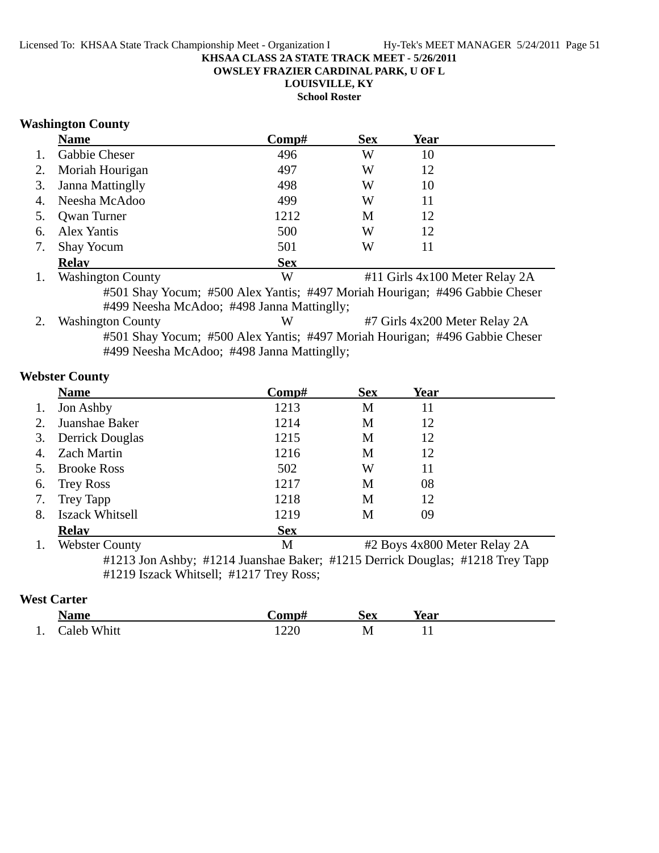**OWSLEY FRAZIER CARDINAL PARK, U OF L**

**LOUISVILLE, KY**

**School Roster**

#### **Washington County**

|    | <b>Name</b>              | Comp#      | <b>Sex</b> | Year                           |  |
|----|--------------------------|------------|------------|--------------------------------|--|
| 1. | Gabbie Cheser            | 496        | W          | 10                             |  |
| 2. | Moriah Hourigan          | 497        | W          | 12                             |  |
| 3. | <b>Janna Mattinglly</b>  | 498        | W          | 10                             |  |
| 4. | Neesha McAdoo            | 499        | W          | 11                             |  |
| 5. | <b>Qwan Turner</b>       | 1212       | M          | 12                             |  |
| 6. | Alex Yantis              | 500        | W          | 12                             |  |
| 7. | <b>Shay Yocum</b>        | 501        | W          | 11                             |  |
|    | <b>Relay</b>             | <b>Sex</b> |            |                                |  |
| 1. | <b>Washington County</b> | W          |            | #11 Girls 4x100 Meter Relay 2A |  |

#501 Shay Yocum; #500 Alex Yantis; #497 Moriah Hourigan; #496 Gabbie Cheser #499 Neesha McAdoo; #498 Janna Mattinglly;

2. Washington County W #7 Girls 4x200 Meter Relay 2A #501 Shay Yocum; #500 Alex Yantis; #497 Moriah Hourigan; #496 Gabbie Cheser #499 Neesha McAdoo; #498 Janna Mattinglly;

### **Webster County**

|    | <b>Name</b>            | Comp#      | <b>Sex</b> | Year                         |  |
|----|------------------------|------------|------------|------------------------------|--|
| 1. | Jon Ashby              | 1213       | M          | 11                           |  |
| 2. | Juanshae Baker         | 1214       | M          | 12                           |  |
|    | 3. Derrick Douglas     | 1215       | M          | 12                           |  |
| 4. | <b>Zach Martin</b>     | 1216       | M          | 12                           |  |
|    | 5. Brooke Ross         | 502        | W          | 11                           |  |
| 6. | <b>Trey Ross</b>       | 1217       | M          | 08                           |  |
| 7. | Trey Tapp              | 1218       | M          | 12                           |  |
| 8. | <b>Iszack Whitsell</b> | 1219       | M          | 09                           |  |
|    | <b>Relav</b>           | <b>Sex</b> |            |                              |  |
| 1. | <b>Webster County</b>  | M          |            | #2 Boys 4x800 Meter Relay 2A |  |

#1213 Jon Ashby; #1214 Juanshae Baker; #1215 Derrick Douglas; #1218 Trey Tapp #1219 Iszack Whitsell; #1217 Trey Ross;

### **West Carter**

|     | $\sim$                     | `omn±       | ŠΔV<br>UСA | rear |  |
|-----|----------------------------|-------------|------------|------|--|
| . . | `aleh-<br>Whitt<br><br>. . | າາເ<br>1220 | <b>IVI</b> | . .  |  |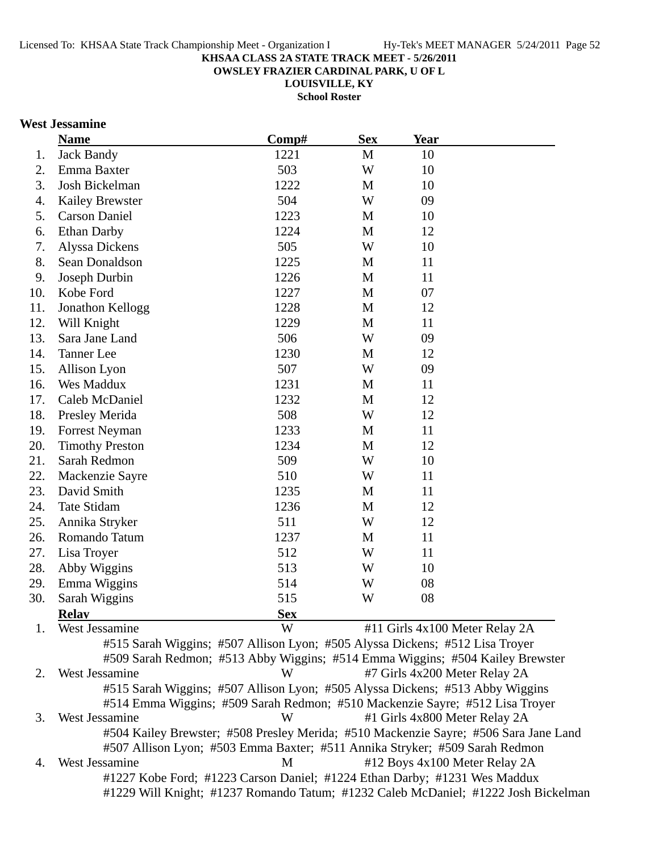**OWSLEY FRAZIER CARDINAL PARK, U OF L**

**LOUISVILLE, KY**

**School Roster**

#### **West Jessamine**

|     | <b>Name</b>                                                                  | Comp#                                                                                | <b>Sex</b>   | <b>Year</b>                   |                                |  |
|-----|------------------------------------------------------------------------------|--------------------------------------------------------------------------------------|--------------|-------------------------------|--------------------------------|--|
| 1.  | <b>Jack Bandy</b>                                                            | 1221                                                                                 | M            | 10                            |                                |  |
| 2.  | Emma Baxter                                                                  | 503                                                                                  | W            | 10                            |                                |  |
| 3.  | Josh Bickelman                                                               | 1222                                                                                 | M            | 10                            |                                |  |
| 4.  | <b>Kailey Brewster</b>                                                       | 504                                                                                  | W            | 09                            |                                |  |
| 5.  | <b>Carson Daniel</b>                                                         | 1223                                                                                 | M            | 10                            |                                |  |
| 6.  | <b>Ethan Darby</b>                                                           | 1224                                                                                 | M            | 12                            |                                |  |
| 7.  | Alyssa Dickens                                                               | 505                                                                                  | W            | 10                            |                                |  |
| 8.  | Sean Donaldson                                                               | 1225                                                                                 | M            | 11                            |                                |  |
| 9.  | Joseph Durbin                                                                | 1226                                                                                 | M            | 11                            |                                |  |
| 10. | Kobe Ford                                                                    | 1227                                                                                 | M            | 07                            |                                |  |
| 11. | Jonathon Kellogg                                                             | 1228                                                                                 | M            | 12                            |                                |  |
| 12. | Will Knight                                                                  | 1229                                                                                 | M            | 11                            |                                |  |
| 13. | Sara Jane Land                                                               | 506                                                                                  | W            | 09                            |                                |  |
| 14. | <b>Tanner</b> Lee                                                            | 1230                                                                                 | M            | 12                            |                                |  |
| 15. | Allison Lyon                                                                 | 507                                                                                  | W            | 09                            |                                |  |
| 16. | Wes Maddux                                                                   | 1231                                                                                 | M            | 11                            |                                |  |
| 17. | Caleb McDaniel                                                               | 1232                                                                                 | M            | 12                            |                                |  |
| 18. | Presley Merida                                                               | 508                                                                                  | W            | 12                            |                                |  |
| 19. | <b>Forrest Neyman</b>                                                        | 1233                                                                                 | M            | 11                            |                                |  |
| 20. | <b>Timothy Preston</b>                                                       | 1234                                                                                 | M            | 12                            |                                |  |
| 21. | Sarah Redmon                                                                 | 509                                                                                  | W            | 10                            |                                |  |
| 22. | Mackenzie Sayre                                                              | 510                                                                                  | W            | 11                            |                                |  |
| 23. | David Smith                                                                  | 1235                                                                                 | M            | 11                            |                                |  |
| 24. | Tate Stidam                                                                  | 1236                                                                                 | M            | 12                            |                                |  |
| 25. | Annika Stryker                                                               | 511                                                                                  | W            | 12                            |                                |  |
| 26. | Romando Tatum                                                                | 1237                                                                                 | $\mathbf{M}$ | 11                            |                                |  |
| 27. | Lisa Troyer                                                                  | 512                                                                                  | W            | 11                            |                                |  |
| 28. | Abby Wiggins                                                                 | 513                                                                                  | W            | 10                            |                                |  |
| 29. | Emma Wiggins                                                                 | 514                                                                                  | W            | 08                            |                                |  |
| 30. | Sarah Wiggins                                                                | 515                                                                                  | W            | 08                            |                                |  |
|     | <b>Relay</b>                                                                 | <b>Sex</b>                                                                           |              |                               |                                |  |
| 1.  | West Jessamine                                                               | W                                                                                    |              |                               | #11 Girls 4x100 Meter Relay 2A |  |
|     | #515 Sarah Wiggins; #507 Allison Lyon; #505 Alyssa Dickens; #512 Lisa Troyer |                                                                                      |              |                               |                                |  |
|     |                                                                              | #509 Sarah Redmon; #513 Abby Wiggins; #514 Emma Wiggins; #504 Kailey Brewster        |              |                               |                                |  |
| 2.  | West Jessamine                                                               | W                                                                                    |              | #7 Girls 4x200 Meter Relay 2A |                                |  |
|     |                                                                              | #515 Sarah Wiggins; #507 Allison Lyon; #505 Alyssa Dickens; #513 Abby Wiggins        |              |                               |                                |  |
|     |                                                                              | #514 Emma Wiggins; #509 Sarah Redmon; #510 Mackenzie Sayre; #512 Lisa Troyer         |              |                               |                                |  |
| 3.  | West Jessamine                                                               | W                                                                                    |              | #1 Girls 4x800 Meter Relay 2A |                                |  |
|     |                                                                              | #504 Kailey Brewster; #508 Presley Merida; #510 Mackenzie Sayre; #506 Sara Jane Land |              |                               |                                |  |
|     |                                                                              | #507 Allison Lyon; #503 Emma Baxter; #511 Annika Stryker; #509 Sarah Redmon          |              |                               |                                |  |
| 4.  | West Jessamine                                                               | M                                                                                    |              |                               | #12 Boys 4x100 Meter Relay 2A  |  |
|     |                                                                              | #1227 Kobe Ford; #1223 Carson Daniel; #1224 Ethan Darby; #1231 Wes Maddux            |              |                               |                                |  |

#1229 Will Knight; #1237 Romando Tatum; #1232 Caleb McDaniel; #1222 Josh Bickelman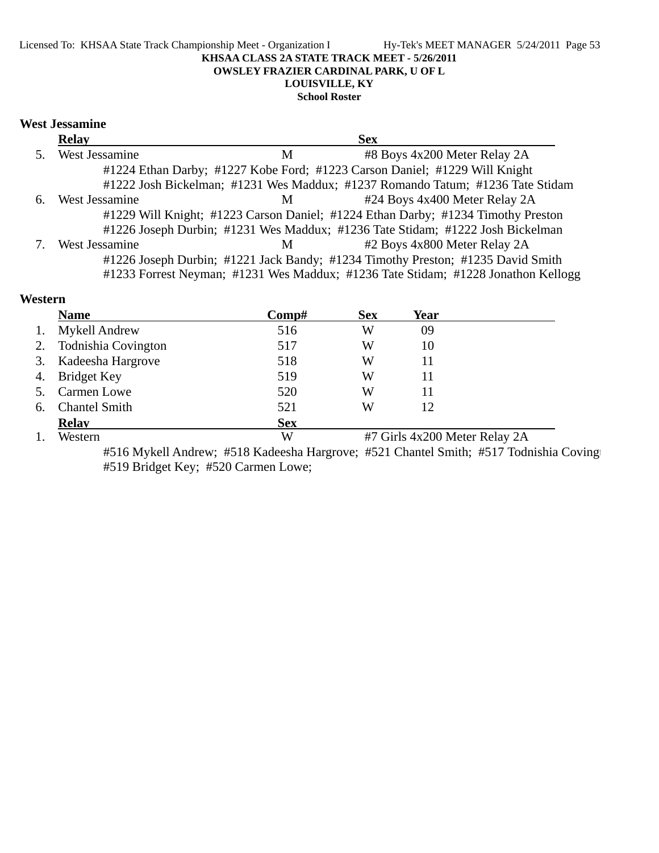#### Licensed To: KHSAA State Track Championship Meet - Organization I Hy-Tek's MEET MANAGER 5/24/2011 Page 53 **KHSAA CLASS 2A STATE TRACK MEET - 5/26/2011 OWSLEY FRAZIER CARDINAL PARK, U OF L LOUISVILLE, KY**

#### **School Roster**

#### **West Jessamine**

|    | <b>Relay</b>   |   | <b>Sex</b>                                                                        |
|----|----------------|---|-----------------------------------------------------------------------------------|
|    | West Jessamine | М | #8 Boys 4x200 Meter Relay 2A                                                      |
|    |                |   | #1224 Ethan Darby; #1227 Kobe Ford; #1223 Carson Daniel; #1229 Will Knight        |
|    |                |   | #1222 Josh Bickelman; #1231 Wes Maddux; #1237 Romando Tatum; #1236 Tate Stidam    |
| 6. | West Jessamine | M | #24 Boys 4x400 Meter Relay 2A                                                     |
|    |                |   | #1229 Will Knight; #1223 Carson Daniel; #1224 Ethan Darby; #1234 Timothy Preston  |
|    |                |   | #1226 Joseph Durbin; #1231 Wes Maddux; #1236 Tate Stidam; #1222 Josh Bickelman    |
|    | West Jessamine | M | #2 Boys 4x800 Meter Relay 2A                                                      |
|    |                |   | #1226 Joseph Durbin; #1221 Jack Bandy; #1234 Timothy Preston; #1235 David Smith   |
|    |                |   | #1233 Forrest Neyman; #1231 Wes Maddux; #1236 Tate Stidam; #1228 Jonathon Kellogg |

## **Western**

|    | <b>Name</b>          | Comp#      | <b>Sex</b> | Year                          |  |
|----|----------------------|------------|------------|-------------------------------|--|
|    | <b>Mykell Andrew</b> | 516        | W          | 09                            |  |
| 2. | Todnishia Covington  | 517        | W          | 10                            |  |
|    | 3. Kadeesha Hargrove | 518        | W          | 11                            |  |
| 4. | Bridget Key          | 519        | W          | 11                            |  |
|    | <b>Carmen Lowe</b>   | 520        | W          | 11                            |  |
| 6. | <b>Chantel Smith</b> | 521        | W          | 12                            |  |
|    | <b>Relav</b>         | <b>Sex</b> |            |                               |  |
|    | Western              | W          |            | #7 Girls 4x200 Meter Relay 2A |  |

#516 Mykell Andrew; #518 Kadeesha Hargrove; #521 Chantel Smith; #517 Todnishia Coving #519 Bridget Key; #520 Carmen Lowe;